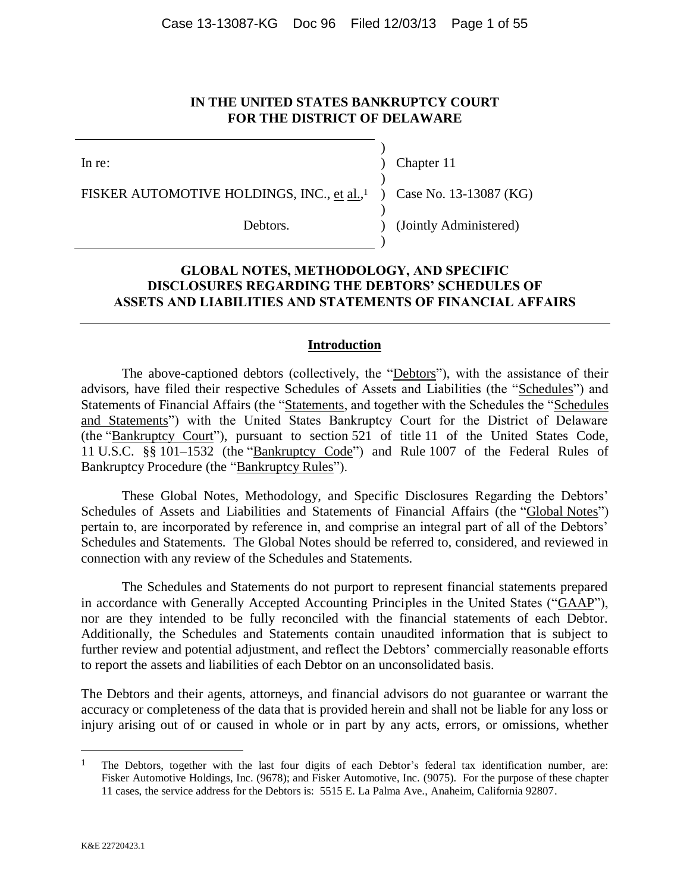## **IN THE UNITED STATES BANKRUPTCY COURT FOR THE DISTRICT OF DELAWARE**

In re: (a) Chapter 11

)

)

)

)

FISKER AUTOMOTIVE HOLDINGS, INC., <u>et al.,</u>1 )

Debtors. (Jointly Administered)

Case No. 13-13087 (KG)

## **GLOBAL NOTES, METHODOLOGY, AND SPECIFIC DISCLOSURES REGARDING THE DEBTORS' SCHEDULES OF ASSETS AND LIABILITIES AND STATEMENTS OF FINANCIAL AFFAIRS**

## **Introduction**

The above-captioned debtors (collectively, the "Debtors"), with the assistance of their advisors, have filed their respective Schedules of Assets and Liabilities (the "Schedules") and Statements of Financial Affairs (the "Statements, and together with the Schedules the "Schedules and Statements") with the United States Bankruptcy Court for the District of Delaware (the "Bankruptcy Court"), pursuant to section 521 of title 11 of the United States Code, 11 U.S.C. §§ 101–1532 (the "Bankruptcy Code") and Rule 1007 of the Federal Rules of Bankruptcy Procedure (the "Bankruptcy Rules").

These Global Notes, Methodology, and Specific Disclosures Regarding the Debtors' Schedules of Assets and Liabilities and Statements of Financial Affairs (the "Global Notes") pertain to, are incorporated by reference in, and comprise an integral part of all of the Debtors' Schedules and Statements. The Global Notes should be referred to, considered, and reviewed in connection with any review of the Schedules and Statements.

The Schedules and Statements do not purport to represent financial statements prepared in accordance with Generally Accepted Accounting Principles in the United States ("GAAP"), nor are they intended to be fully reconciled with the financial statements of each Debtor. Additionally, the Schedules and Statements contain unaudited information that is subject to further review and potential adjustment, and reflect the Debtors' commercially reasonable efforts to report the assets and liabilities of each Debtor on an unconsolidated basis.

The Debtors and their agents, attorneys, and financial advisors do not guarantee or warrant the accuracy or completeness of the data that is provided herein and shall not be liable for any loss or injury arising out of or caused in whole or in part by any acts, errors, or omissions, whether

 $\overline{a}$ 

<sup>&</sup>lt;sup>1</sup> The Debtors, together with the last four digits of each Debtor's federal tax identification number, are: Fisker Automotive Holdings, Inc. (9678); and Fisker Automotive, Inc. (9075). For the purpose of these chapter 11 cases, the service address for the Debtors is: 5515 E. La Palma Ave., Anaheim, California 92807.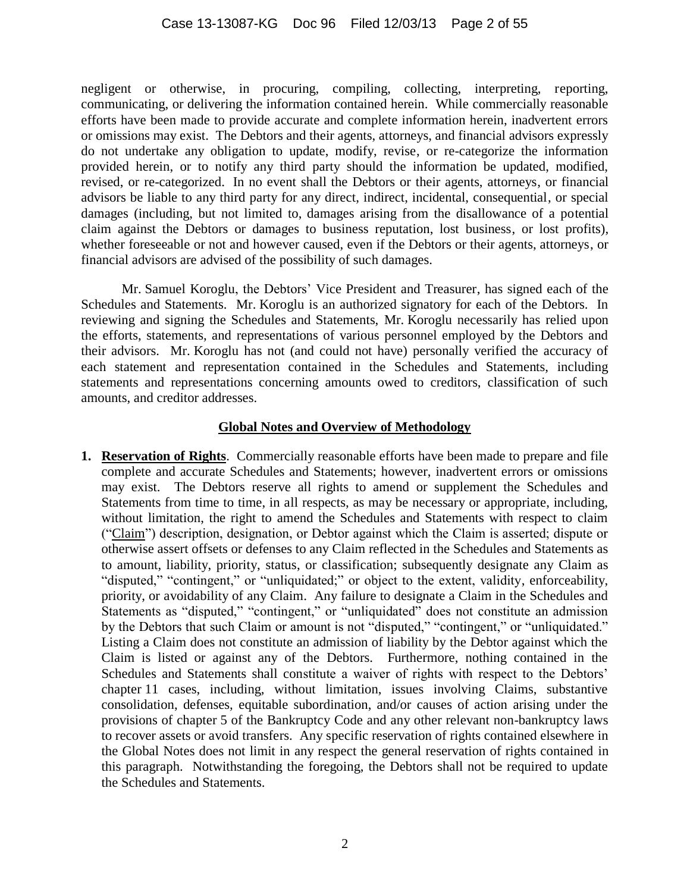negligent or otherwise, in procuring, compiling, collecting, interpreting, reporting, communicating, or delivering the information contained herein. While commercially reasonable efforts have been made to provide accurate and complete information herein, inadvertent errors or omissions may exist. The Debtors and their agents, attorneys, and financial advisors expressly do not undertake any obligation to update, modify, revise, or re-categorize the information provided herein, or to notify any third party should the information be updated, modified, revised, or re-categorized. In no event shall the Debtors or their agents, attorneys, or financial advisors be liable to any third party for any direct, indirect, incidental, consequential, or special damages (including, but not limited to, damages arising from the disallowance of a potential claim against the Debtors or damages to business reputation, lost business, or lost profits), whether foreseeable or not and however caused, even if the Debtors or their agents, attorneys, or financial advisors are advised of the possibility of such damages.

Mr. Samuel Koroglu, the Debtors' Vice President and Treasurer, has signed each of the Schedules and Statements. Mr. Koroglu is an authorized signatory for each of the Debtors. In reviewing and signing the Schedules and Statements, Mr. Koroglu necessarily has relied upon the efforts, statements, and representations of various personnel employed by the Debtors and their advisors. Mr. Koroglu has not (and could not have) personally verified the accuracy of each statement and representation contained in the Schedules and Statements, including statements and representations concerning amounts owed to creditors, classification of such amounts, and creditor addresses.

## **Global Notes and Overview of Methodology**

**1. Reservation of Rights**. Commercially reasonable efforts have been made to prepare and file complete and accurate Schedules and Statements; however, inadvertent errors or omissions may exist. The Debtors reserve all rights to amend or supplement the Schedules and Statements from time to time, in all respects, as may be necessary or appropriate, including, without limitation, the right to amend the Schedules and Statements with respect to claim ("Claim") description, designation, or Debtor against which the Claim is asserted; dispute or otherwise assert offsets or defenses to any Claim reflected in the Schedules and Statements as to amount, liability, priority, status, or classification; subsequently designate any Claim as "disputed," "contingent," or "unliquidated;" or object to the extent, validity, enforceability, priority, or avoidability of any Claim. Any failure to designate a Claim in the Schedules and Statements as "disputed," "contingent," or "unliquidated" does not constitute an admission by the Debtors that such Claim or amount is not "disputed," "contingent," or "unliquidated." Listing a Claim does not constitute an admission of liability by the Debtor against which the Claim is listed or against any of the Debtors. Furthermore, nothing contained in the Schedules and Statements shall constitute a waiver of rights with respect to the Debtors' chapter 11 cases, including, without limitation, issues involving Claims, substantive consolidation, defenses, equitable subordination, and/or causes of action arising under the provisions of chapter 5 of the Bankruptcy Code and any other relevant non-bankruptcy laws to recover assets or avoid transfers. Any specific reservation of rights contained elsewhere in the Global Notes does not limit in any respect the general reservation of rights contained in this paragraph. Notwithstanding the foregoing, the Debtors shall not be required to update the Schedules and Statements.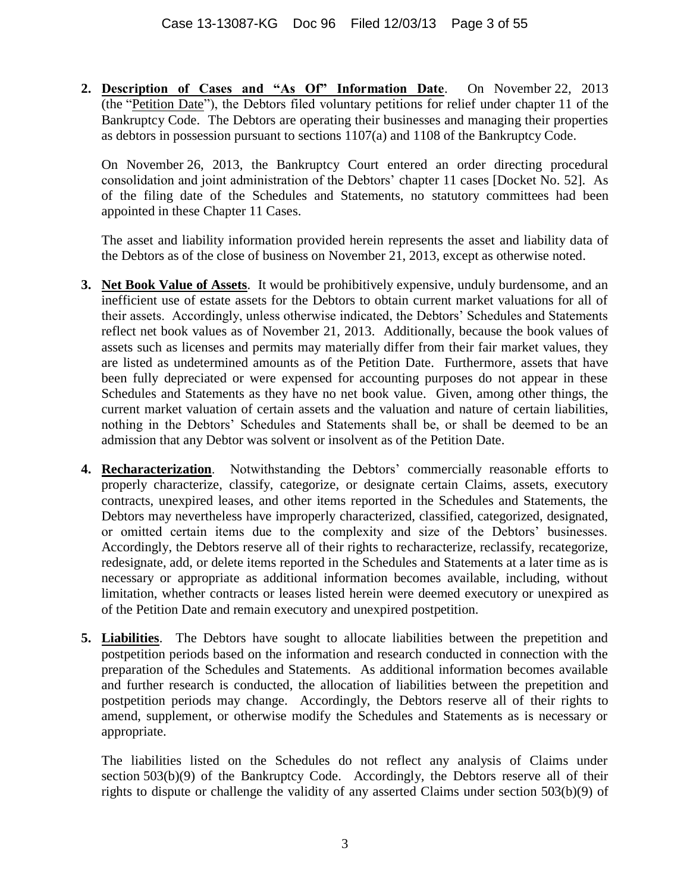**2. Description of Cases and "As Of" Information Date**. On November 22, 2013 (the "Petition Date"), the Debtors filed voluntary petitions for relief under chapter 11 of the Bankruptcy Code. The Debtors are operating their businesses and managing their properties as debtors in possession pursuant to sections 1107(a) and 1108 of the Bankruptcy Code.

On November 26, 2013, the Bankruptcy Court entered an order directing procedural consolidation and joint administration of the Debtors' chapter 11 cases [Docket No. 52]. As of the filing date of the Schedules and Statements, no statutory committees had been appointed in these Chapter 11 Cases.

The asset and liability information provided herein represents the asset and liability data of the Debtors as of the close of business on November 21, 2013, except as otherwise noted.

- **3. Net Book Value of Assets**. It would be prohibitively expensive, unduly burdensome, and an inefficient use of estate assets for the Debtors to obtain current market valuations for all of their assets. Accordingly, unless otherwise indicated, the Debtors' Schedules and Statements reflect net book values as of November 21, 2013. Additionally, because the book values of assets such as licenses and permits may materially differ from their fair market values, they are listed as undetermined amounts as of the Petition Date. Furthermore, assets that have been fully depreciated or were expensed for accounting purposes do not appear in these Schedules and Statements as they have no net book value. Given, among other things, the current market valuation of certain assets and the valuation and nature of certain liabilities, nothing in the Debtors' Schedules and Statements shall be, or shall be deemed to be an admission that any Debtor was solvent or insolvent as of the Petition Date.
- **4. Recharacterization**. Notwithstanding the Debtors' commercially reasonable efforts to properly characterize, classify, categorize, or designate certain Claims, assets, executory contracts, unexpired leases, and other items reported in the Schedules and Statements, the Debtors may nevertheless have improperly characterized, classified, categorized, designated, or omitted certain items due to the complexity and size of the Debtors' businesses. Accordingly, the Debtors reserve all of their rights to recharacterize, reclassify, recategorize, redesignate, add, or delete items reported in the Schedules and Statements at a later time as is necessary or appropriate as additional information becomes available, including, without limitation, whether contracts or leases listed herein were deemed executory or unexpired as of the Petition Date and remain executory and unexpired postpetition.
- **5. Liabilities**. The Debtors have sought to allocate liabilities between the prepetition and postpetition periods based on the information and research conducted in connection with the preparation of the Schedules and Statements. As additional information becomes available and further research is conducted, the allocation of liabilities between the prepetition and postpetition periods may change. Accordingly, the Debtors reserve all of their rights to amend, supplement, or otherwise modify the Schedules and Statements as is necessary or appropriate.

The liabilities listed on the Schedules do not reflect any analysis of Claims under section 503(b)(9) of the Bankruptcy Code. Accordingly, the Debtors reserve all of their rights to dispute or challenge the validity of any asserted Claims under section 503(b)(9) of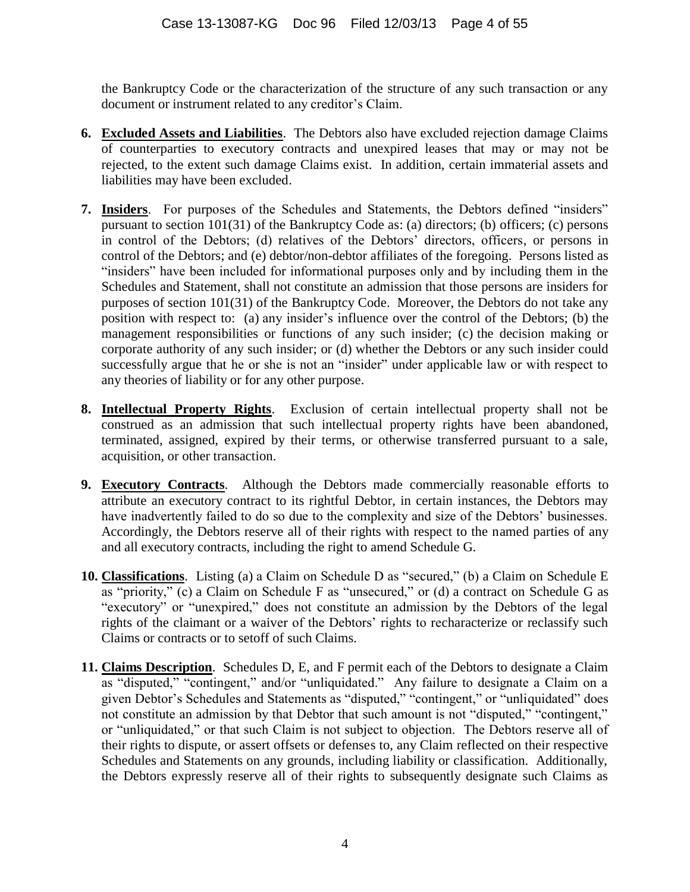the Bankruptcy Code or the characterization of the structure of any such transaction or any document or instrument related to any creditor's Claim.

- **6. Excluded Assets and Liabilities**. The Debtors also have excluded rejection damage Claims of counterparties to executory contracts and unexpired leases that may or may not be rejected, to the extent such damage Claims exist. In addition, certain immaterial assets and liabilities may have been excluded.
- **7. Insiders**. For purposes of the Schedules and Statements, the Debtors defined "insiders" pursuant to section 101(31) of the Bankruptcy Code as: (a) directors; (b) officers; (c) persons in control of the Debtors; (d) relatives of the Debtors' directors, officers, or persons in control of the Debtors; and (e) debtor/non-debtor affiliates of the foregoing. Persons listed as "insiders" have been included for informational purposes only and by including them in the Schedules and Statement, shall not constitute an admission that those persons are insiders for purposes of section 101(31) of the Bankruptcy Code. Moreover, the Debtors do not take any position with respect to: (a) any insider's influence over the control of the Debtors; (b) the management responsibilities or functions of any such insider; (c) the decision making or corporate authority of any such insider; or (d) whether the Debtors or any such insider could successfully argue that he or she is not an "insider" under applicable law or with respect to any theories of liability or for any other purpose.
- **8. Intellectual Property Rights**. Exclusion of certain intellectual property shall not be construed as an admission that such intellectual property rights have been abandoned, terminated, assigned, expired by their terms, or otherwise transferred pursuant to a sale, acquisition, or other transaction.
- **9. Executory Contracts**. Although the Debtors made commercially reasonable efforts to attribute an executory contract to its rightful Debtor, in certain instances, the Debtors may have inadvertently failed to do so due to the complexity and size of the Debtors' businesses. Accordingly, the Debtors reserve all of their rights with respect to the named parties of any and all executory contracts, including the right to amend Schedule G.
- **10. Classifications**. Listing (a) a Claim on Schedule D as "secured," (b) a Claim on Schedule E as "priority,"  $(c)$  a Claim on Schedule F as "unsecured," or (d) a contract on Schedule G as "executory" or "unexpired," does not constitute an admission by the Debtors of the legal rights of the claimant or a waiver of the Debtors' rights to recharacterize or reclassify such Claims or contracts or to setoff of such Claims.
- **11. Claims Description**. Schedules D, E, and F permit each of the Debtors to designate a Claim as "disputed," "contingent," and/or "unliquidated." Any failure to designate a Claim on a given Debtor's Schedules and Statements as "disputed," "contingent," or "unliquidated" does not constitute an admission by that Debtor that such amount is not "disputed," "contingent," or "unliquidated," or that such Claim is not subject to objection. The Debtors reserve all of their rights to dispute, or assert offsets or defenses to, any Claim reflected on their respective Schedules and Statements on any grounds, including liability or classification. Additionally, the Debtors expressly reserve all of their rights to subsequently designate such Claims as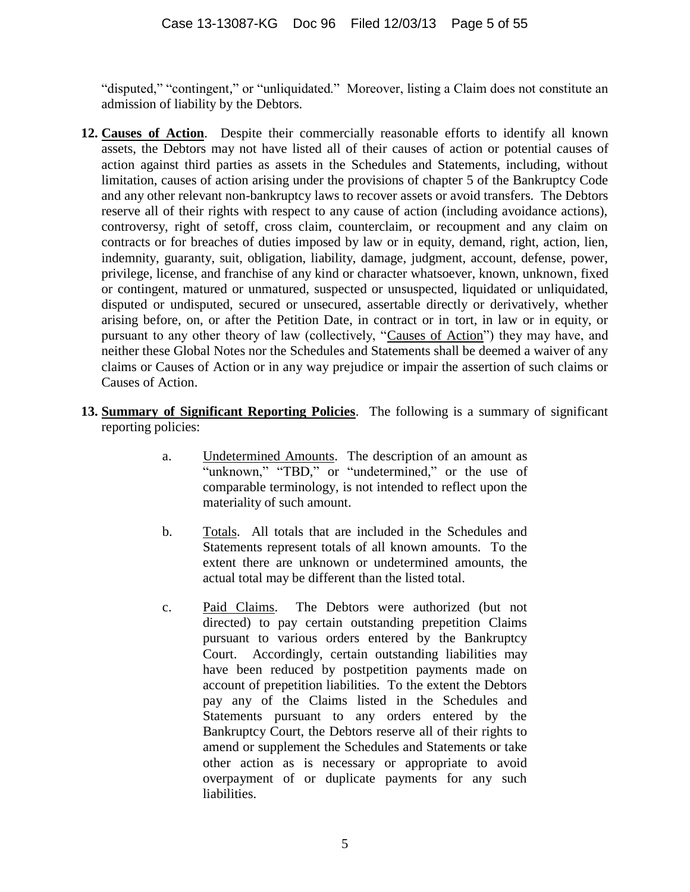"disputed," "contingent," or "unliquidated." Moreover, listing a Claim does not constitute an admission of liability by the Debtors.

- **12. Causes of Action**. Despite their commercially reasonable efforts to identify all known assets, the Debtors may not have listed all of their causes of action or potential causes of action against third parties as assets in the Schedules and Statements, including, without limitation, causes of action arising under the provisions of chapter 5 of the Bankruptcy Code and any other relevant non-bankruptcy laws to recover assets or avoid transfers. The Debtors reserve all of their rights with respect to any cause of action (including avoidance actions), controversy, right of setoff, cross claim, counterclaim, or recoupment and any claim on contracts or for breaches of duties imposed by law or in equity, demand, right, action, lien, indemnity, guaranty, suit, obligation, liability, damage, judgment, account, defense, power, privilege, license, and franchise of any kind or character whatsoever, known, unknown, fixed or contingent, matured or unmatured, suspected or unsuspected, liquidated or unliquidated, disputed or undisputed, secured or unsecured, assertable directly or derivatively, whether arising before, on, or after the Petition Date, in contract or in tort, in law or in equity, or pursuant to any other theory of law (collectively, "Causes of Action") they may have, and neither these Global Notes nor the Schedules and Statements shall be deemed a waiver of any claims or Causes of Action or in any way prejudice or impair the assertion of such claims or Causes of Action.
- **13. Summary of Significant Reporting Policies**. The following is a summary of significant reporting policies:
	- a. Undetermined Amounts. The description of an amount as "unknown," "TBD," or "undetermined," or the use of comparable terminology, is not intended to reflect upon the materiality of such amount.
	- b. Totals. All totals that are included in the Schedules and Statements represent totals of all known amounts. To the extent there are unknown or undetermined amounts, the actual total may be different than the listed total.
	- c. Paid Claims. The Debtors were authorized (but not directed) to pay certain outstanding prepetition Claims pursuant to various orders entered by the Bankruptcy Court. Accordingly, certain outstanding liabilities may have been reduced by postpetition payments made on account of prepetition liabilities. To the extent the Debtors pay any of the Claims listed in the Schedules and Statements pursuant to any orders entered by the Bankruptcy Court, the Debtors reserve all of their rights to amend or supplement the Schedules and Statements or take other action as is necessary or appropriate to avoid overpayment of or duplicate payments for any such liabilities.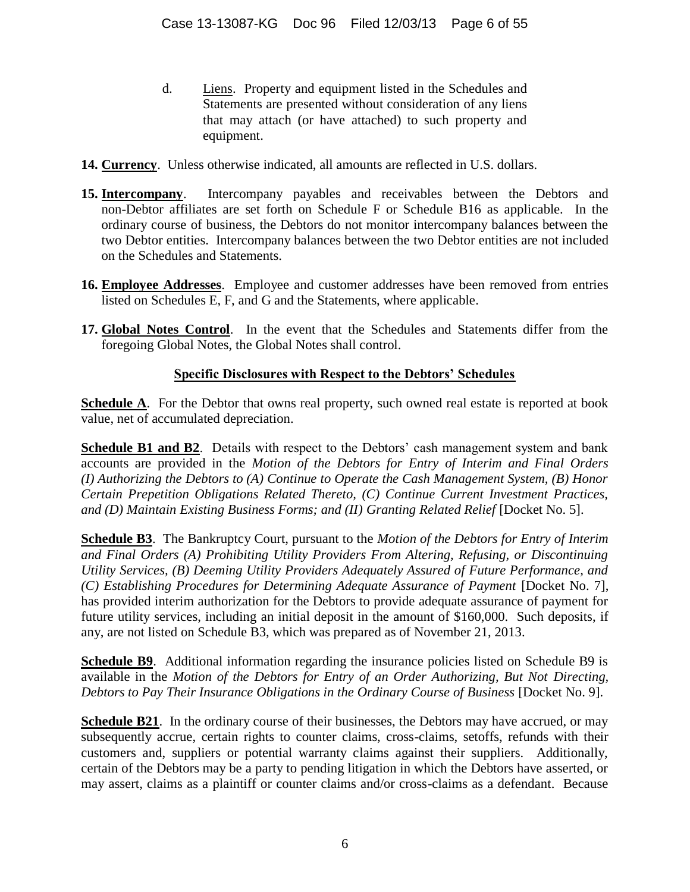- d. Liens. Property and equipment listed in the Schedules and Statements are presented without consideration of any liens that may attach (or have attached) to such property and equipment.
- **14. Currency**.Unless otherwise indicated, all amounts are reflected in U.S. dollars.
- **15. Intercompany**. Intercompany payables and receivables between the Debtors and non-Debtor affiliates are set forth on Schedule F or Schedule B16 as applicable. In the ordinary course of business, the Debtors do not monitor intercompany balances between the two Debtor entities. Intercompany balances between the two Debtor entities are not included on the Schedules and Statements.
- **16. Employee Addresses**. Employee and customer addresses have been removed from entries listed on Schedules E, F, and G and the Statements, where applicable.
- **17. Global Notes Control**. In the event that the Schedules and Statements differ from the foregoing Global Notes, the Global Notes shall control.

## **Specific Disclosures with Respect to the Debtors' Schedules**

**Schedule A.** For the Debtor that owns real property, such owned real estate is reported at book value, net of accumulated depreciation.

**Schedule B1 and B2.** Details with respect to the Debtors' cash management system and bank accounts are provided in the *Motion of the Debtors for Entry of Interim and Final Orders (I) Authorizing the Debtors to (A) Continue to Operate the Cash Management System, (B) Honor Certain Prepetition Obligations Related Thereto, (C) Continue Current Investment Practices, and (D) Maintain Existing Business Forms; and (II) Granting Related Relief [Docket No. 5].* 

**Schedule B3**. The Bankruptcy Court, pursuant to the *Motion of the Debtors for Entry of Interim and Final Orders (A) Prohibiting Utility Providers From Altering, Refusing, or Discontinuing Utility Services, (B) Deeming Utility Providers Adequately Assured of Future Performance, and (C) Establishing Procedures for Determining Adequate Assurance of Payment* [Docket No. 7], has provided interim authorization for the Debtors to provide adequate assurance of payment for future utility services, including an initial deposit in the amount of \$160,000. Such deposits, if any, are not listed on Schedule B3, which was prepared as of November 21, 2013.

**Schedule B9**. Additional information regarding the insurance policies listed on Schedule B9 is available in the *Motion of the Debtors for Entry of an Order Authorizing, But Not Directing, Debtors to Pay Their Insurance Obligations in the Ordinary Course of Business* [Docket No. 9].

**Schedule B21**. In the ordinary course of their businesses, the Debtors may have accrued, or may subsequently accrue, certain rights to counter claims, cross-claims, setoffs, refunds with their customers and, suppliers or potential warranty claims against their suppliers. Additionally, certain of the Debtors may be a party to pending litigation in which the Debtors have asserted, or may assert, claims as a plaintiff or counter claims and/or cross-claims as a defendant. Because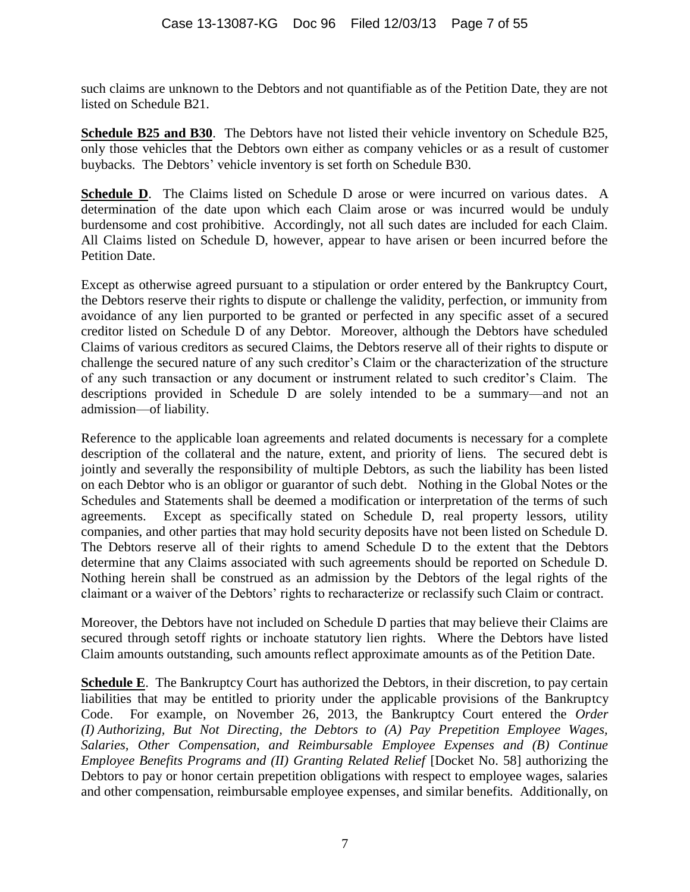such claims are unknown to the Debtors and not quantifiable as of the Petition Date, they are not listed on Schedule B21.

**Schedule B25 and B30**. The Debtors have not listed their vehicle inventory on Schedule B25, only those vehicles that the Debtors own either as company vehicles or as a result of customer buybacks. The Debtors' vehicle inventory is set forth on Schedule B30.

**Schedule D**. The Claims listed on Schedule D arose or were incurred on various dates. A determination of the date upon which each Claim arose or was incurred would be unduly burdensome and cost prohibitive. Accordingly, not all such dates are included for each Claim. All Claims listed on Schedule D, however, appear to have arisen or been incurred before the Petition Date.

Except as otherwise agreed pursuant to a stipulation or order entered by the Bankruptcy Court, the Debtors reserve their rights to dispute or challenge the validity, perfection, or immunity from avoidance of any lien purported to be granted or perfected in any specific asset of a secured creditor listed on Schedule D of any Debtor. Moreover, although the Debtors have scheduled Claims of various creditors as secured Claims, the Debtors reserve all of their rights to dispute or challenge the secured nature of any such creditor's Claim or the characterization of the structure of any such transaction or any document or instrument related to such creditor's Claim. The descriptions provided in Schedule D are solely intended to be a summary—and not an admission—of liability.

Reference to the applicable loan agreements and related documents is necessary for a complete description of the collateral and the nature, extent, and priority of liens. The secured debt is jointly and severally the responsibility of multiple Debtors, as such the liability has been listed on each Debtor who is an obligor or guarantor of such debt. Nothing in the Global Notes or the Schedules and Statements shall be deemed a modification or interpretation of the terms of such agreements. Except as specifically stated on Schedule D, real property lessors, utility companies, and other parties that may hold security deposits have not been listed on Schedule D. The Debtors reserve all of their rights to amend Schedule D to the extent that the Debtors determine that any Claims associated with such agreements should be reported on Schedule D. Nothing herein shall be construed as an admission by the Debtors of the legal rights of the claimant or a waiver of the Debtors' rights to recharacterize or reclassify such Claim or contract.

Moreover, the Debtors have not included on Schedule D parties that may believe their Claims are secured through setoff rights or inchoate statutory lien rights. Where the Debtors have listed Claim amounts outstanding, such amounts reflect approximate amounts as of the Petition Date.

**Schedule E**. The Bankruptcy Court has authorized the Debtors, in their discretion, to pay certain liabilities that may be entitled to priority under the applicable provisions of the Bankruptcy Code. For example, on November 26, 2013, the Bankruptcy Court entered the *Order (I) Authorizing, But Not Directing, the Debtors to (A) Pay Prepetition Employee Wages, Salaries, Other Compensation, and Reimbursable Employee Expenses and (B) Continue Employee Benefits Programs and (II) Granting Related Relief* [Docket No. 58] authorizing the Debtors to pay or honor certain prepetition obligations with respect to employee wages, salaries and other compensation, reimbursable employee expenses, and similar benefits. Additionally, on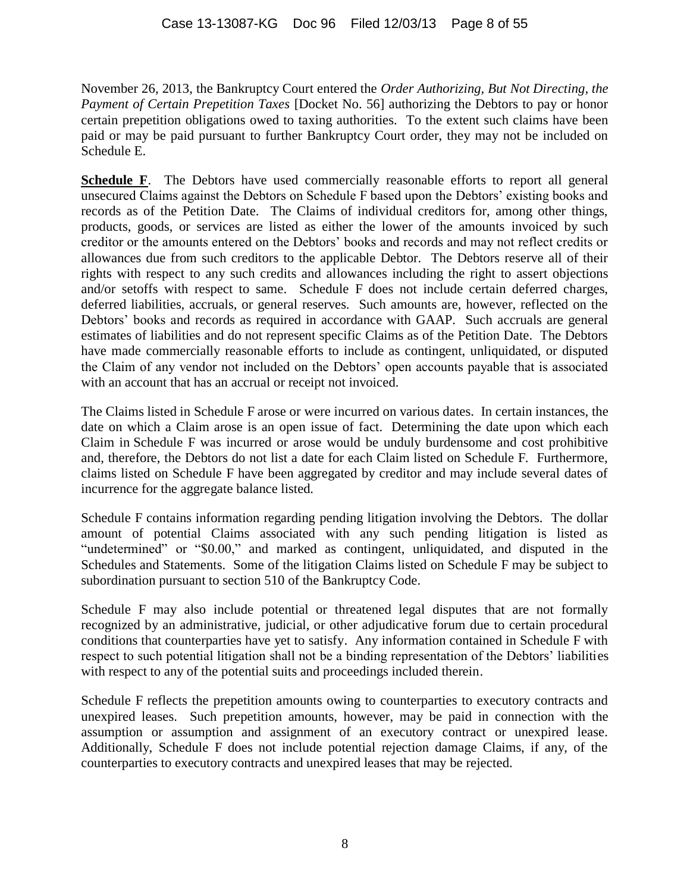November 26, 2013, the Bankruptcy Court entered the *Order Authorizing, But Not Directing, the Payment of Certain Prepetition Taxes* [Docket No. 56] authorizing the Debtors to pay or honor certain prepetition obligations owed to taxing authorities. To the extent such claims have been paid or may be paid pursuant to further Bankruptcy Court order, they may not be included on Schedule E.

**Schedule F**. The Debtors have used commercially reasonable efforts to report all general unsecured Claims against the Debtors on Schedule F based upon the Debtors' existing books and records as of the Petition Date. The Claims of individual creditors for, among other things, products, goods, or services are listed as either the lower of the amounts invoiced by such creditor or the amounts entered on the Debtors' books and records and may not reflect credits or allowances due from such creditors to the applicable Debtor. The Debtors reserve all of their rights with respect to any such credits and allowances including the right to assert objections and/or setoffs with respect to same. Schedule F does not include certain deferred charges, deferred liabilities, accruals, or general reserves. Such amounts are, however, reflected on the Debtors' books and records as required in accordance with GAAP. Such accruals are general estimates of liabilities and do not represent specific Claims as of the Petition Date. The Debtors have made commercially reasonable efforts to include as contingent, unliquidated, or disputed the Claim of any vendor not included on the Debtors' open accounts payable that is associated with an account that has an accrual or receipt not invoiced.

The Claims listed in Schedule F arose or were incurred on various dates. In certain instances, the date on which a Claim arose is an open issue of fact. Determining the date upon which each Claim in Schedule F was incurred or arose would be unduly burdensome and cost prohibitive and, therefore, the Debtors do not list a date for each Claim listed on Schedule F. Furthermore, claims listed on Schedule F have been aggregated by creditor and may include several dates of incurrence for the aggregate balance listed.

Schedule F contains information regarding pending litigation involving the Debtors. The dollar amount of potential Claims associated with any such pending litigation is listed as "undetermined" or "\$0.00," and marked as contingent, unliquidated, and disputed in the Schedules and Statements. Some of the litigation Claims listed on Schedule F may be subject to subordination pursuant to section 510 of the Bankruptcy Code.

Schedule F may also include potential or threatened legal disputes that are not formally recognized by an administrative, judicial, or other adjudicative forum due to certain procedural conditions that counterparties have yet to satisfy. Any information contained in Schedule F with respect to such potential litigation shall not be a binding representation of the Debtors' liabilities with respect to any of the potential suits and proceedings included therein.

Schedule F reflects the prepetition amounts owing to counterparties to executory contracts and unexpired leases. Such prepetition amounts, however, may be paid in connection with the assumption or assumption and assignment of an executory contract or unexpired lease. Additionally, Schedule F does not include potential rejection damage Claims, if any, of the counterparties to executory contracts and unexpired leases that may be rejected.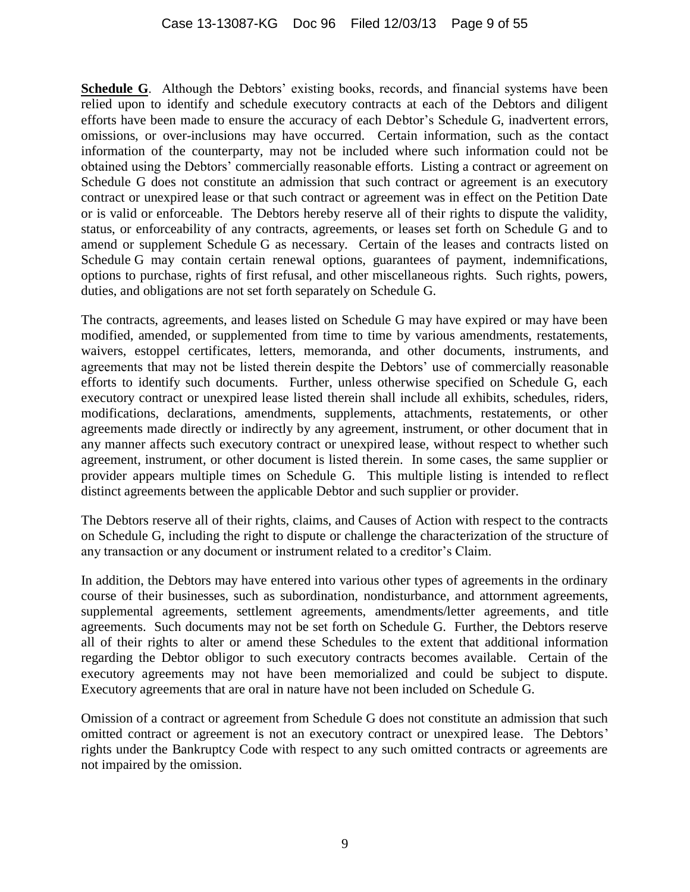## Case 13-13087-KG Doc 96 Filed 12/03/13 Page 9 of 55

**Schedule G**. Although the Debtors' existing books, records, and financial systems have been relied upon to identify and schedule executory contracts at each of the Debtors and diligent efforts have been made to ensure the accuracy of each Debtor's Schedule G, inadvertent errors, omissions, or over-inclusions may have occurred. Certain information, such as the contact information of the counterparty, may not be included where such information could not be obtained using the Debtors' commercially reasonable efforts. Listing a contract or agreement on Schedule G does not constitute an admission that such contract or agreement is an executory contract or unexpired lease or that such contract or agreement was in effect on the Petition Date or is valid or enforceable. The Debtors hereby reserve all of their rights to dispute the validity, status, or enforceability of any contracts, agreements, or leases set forth on Schedule G and to amend or supplement Schedule G as necessary. Certain of the leases and contracts listed on Schedule G may contain certain renewal options, guarantees of payment, indemnifications, options to purchase, rights of first refusal, and other miscellaneous rights. Such rights, powers, duties, and obligations are not set forth separately on Schedule G.

The contracts, agreements, and leases listed on Schedule G may have expired or may have been modified, amended, or supplemented from time to time by various amendments, restatements, waivers, estoppel certificates, letters, memoranda, and other documents, instruments, and agreements that may not be listed therein despite the Debtors' use of commercially reasonable efforts to identify such documents. Further, unless otherwise specified on Schedule G, each executory contract or unexpired lease listed therein shall include all exhibits, schedules, riders, modifications, declarations, amendments, supplements, attachments, restatements, or other agreements made directly or indirectly by any agreement, instrument, or other document that in any manner affects such executory contract or unexpired lease, without respect to whether such agreement, instrument, or other document is listed therein. In some cases, the same supplier or provider appears multiple times on Schedule G. This multiple listing is intended to reflect distinct agreements between the applicable Debtor and such supplier or provider.

The Debtors reserve all of their rights, claims, and Causes of Action with respect to the contracts on Schedule G, including the right to dispute or challenge the characterization of the structure of any transaction or any document or instrument related to a creditor's Claim.

In addition, the Debtors may have entered into various other types of agreements in the ordinary course of their businesses, such as subordination, nondisturbance, and attornment agreements, supplemental agreements, settlement agreements, amendments/letter agreements, and title agreements. Such documents may not be set forth on Schedule G. Further, the Debtors reserve all of their rights to alter or amend these Schedules to the extent that additional information regarding the Debtor obligor to such executory contracts becomes available. Certain of the executory agreements may not have been memorialized and could be subject to dispute. Executory agreements that are oral in nature have not been included on Schedule G.

Omission of a contract or agreement from Schedule G does not constitute an admission that such omitted contract or agreement is not an executory contract or unexpired lease. The Debtors' rights under the Bankruptcy Code with respect to any such omitted contracts or agreements are not impaired by the omission.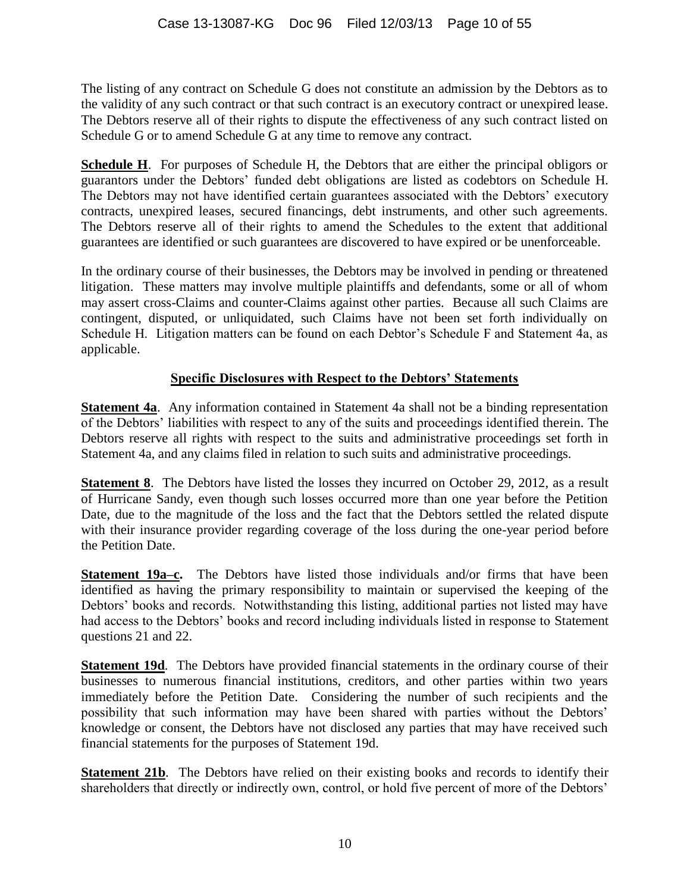The listing of any contract on Schedule G does not constitute an admission by the Debtors as to the validity of any such contract or that such contract is an executory contract or unexpired lease. The Debtors reserve all of their rights to dispute the effectiveness of any such contract listed on Schedule G or to amend Schedule G at any time to remove any contract.

**Schedule H**. For purposes of Schedule H, the Debtors that are either the principal obligors or guarantors under the Debtors' funded debt obligations are listed as codebtors on Schedule H. The Debtors may not have identified certain guarantees associated with the Debtors' executory contracts, unexpired leases, secured financings, debt instruments, and other such agreements. The Debtors reserve all of their rights to amend the Schedules to the extent that additional guarantees are identified or such guarantees are discovered to have expired or be unenforceable.

In the ordinary course of their businesses, the Debtors may be involved in pending or threatened litigation. These matters may involve multiple plaintiffs and defendants, some or all of whom may assert cross-Claims and counter-Claims against other parties. Because all such Claims are contingent, disputed, or unliquidated, such Claims have not been set forth individually on Schedule H. Litigation matters can be found on each Debtor's Schedule F and Statement 4a, as applicable.

## **Specific Disclosures with Respect to the Debtors' Statements**

**Statement 4a.** Any information contained in Statement 4a shall not be a binding representation of the Debtors' liabilities with respect to any of the suits and proceedings identified therein. The Debtors reserve all rights with respect to the suits and administrative proceedings set forth in Statement 4a, and any claims filed in relation to such suits and administrative proceedings.

**Statement 8**. The Debtors have listed the losses they incurred on October 29, 2012, as a result of Hurricane Sandy, even though such losses occurred more than one year before the Petition Date, due to the magnitude of the loss and the fact that the Debtors settled the related dispute with their insurance provider regarding coverage of the loss during the one-year period before the Petition Date.

**Statement 19a–c.** The Debtors have listed those individuals and/or firms that have been identified as having the primary responsibility to maintain or supervised the keeping of the Debtors' books and records. Notwithstanding this listing, additional parties not listed may have had access to the Debtors' books and record including individuals listed in response to Statement questions 21 and 22.

**Statement 19d**. The Debtors have provided financial statements in the ordinary course of their businesses to numerous financial institutions, creditors, and other parties within two years immediately before the Petition Date. Considering the number of such recipients and the possibility that such information may have been shared with parties without the Debtors' knowledge or consent, the Debtors have not disclosed any parties that may have received such financial statements for the purposes of Statement 19d.

**Statement 21b.** The Debtors have relied on their existing books and records to identify their shareholders that directly or indirectly own, control, or hold five percent of more of the Debtors'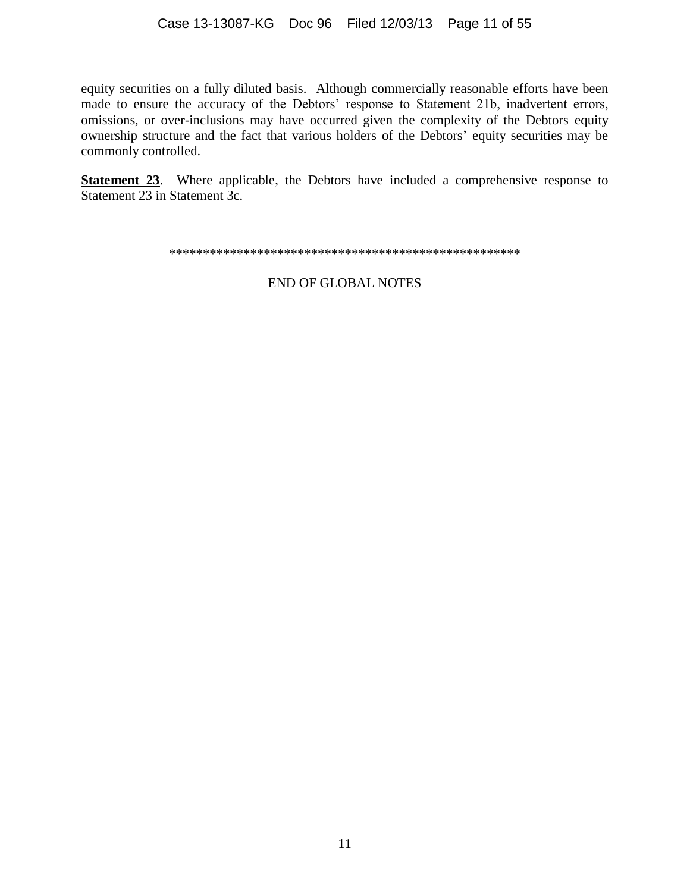equity securities on a fully diluted basis. Although commercially reasonable efforts have been made to ensure the accuracy of the Debtors' response to Statement 21b, inadvertent errors, omissions, or over-inclusions may have occurred given the complexity of the Debtors equity ownership structure and the fact that various holders of the Debtors' equity securities may be commonly controlled.

**Statement 23**. Where applicable, the Debtors have included a comprehensive response to Statement 23 in Statement 3c.

\*\*\*\*\*\*\*\*\*\*\*\*\*\*\*\*\*\*\*\*\*\*\*\*\*\*\*\*\*\*\*\*\*\*\*\*\*\*\*\*\*\*\*\*\*\*\*\*\*\*\*\*

END OF GLOBAL NOTES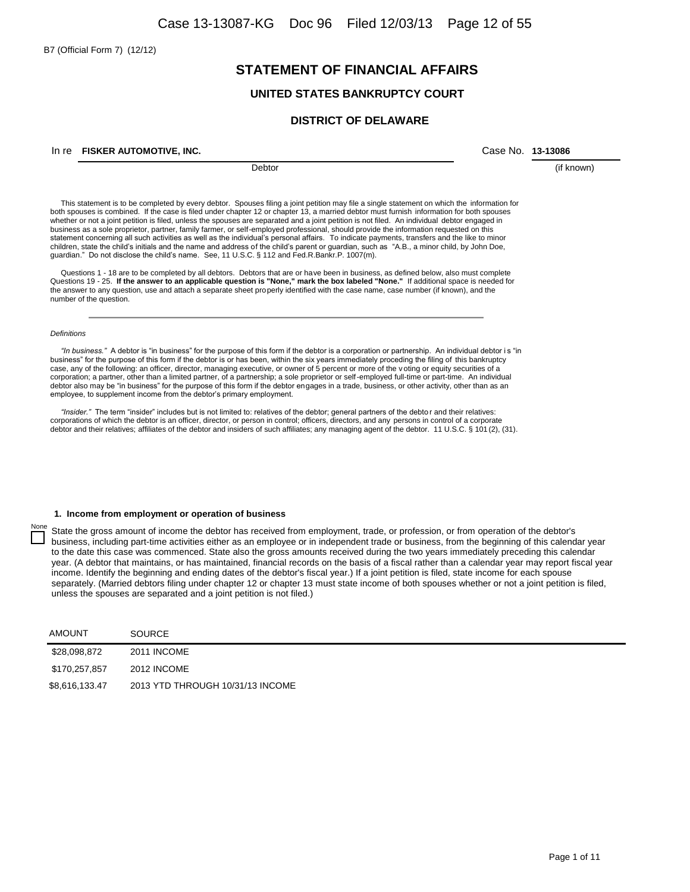B7 (Official Form 7) (12/12)

## **STATEMENT OF FINANCIAL AFFAIRS**

## **UNITED STATES BANKRUPTCY COURT**

### **DISTRICT OF DELAWARE**

### In re Case No. **FISKER AUTOMOTIVE, INC. 13-13086**

(if known)

**Debtor** 

 This statement is to be completed by every debtor. Spouses filing a joint petition may file a single statement on which the information for both spouses is combined. If the case is filed under chapter 12 or chapter 13, a married debtor must furnish information for both spouses whether or not a joint petition is filed, unless the spouses are separated and a joint petition is not filed. An individual debtor engaged in business as a sole proprietor, partner, family farmer, or self-employed professional, should provide the information requested on this statement concerning all such activities as well as the individual's personal affairs. To indicate payments, transfers and the like to minor children, state the child's initials and the name and address of the child's parent or guardian, such as "A.B., a minor child, by John Doe, guardian." Do not disclose the child's name. See, 11 U.S.C. § 112 and Fed.R.Bankr.P. 1007(m).

 Questions 1 - 18 are to be completed by all debtors. Debtors that are or have been in business, as defined below, also must complete Questions 19 - 25. **If the answer to an applicable question is "None," mark the box labeled "None."** If additional space is needed for the answer to any question, use and attach a separate sheet properly identified with the case name, case number (if known), and the number of the question.

#### *Definitions*

"In business." A debtor is "in business" for the purpose of this form if the debtor is a corporation or partnership. An individual debtor is "in business" for the purpose of this form if the debtor is or has been, within the six years immediately proceding the filing of this bankruptcy case, any of the following: an officer, director, managing executive, or owner of 5 percent or more of the v oting or equity securities of a corporation; a partner, other than a limited partner, of a partnership; a sole proprietor or self-employed full-time or part-time. An individual debtor also may be "in business" for the purpose of this form if the debtor engages in a trade, business, or other activity, other than as an employee, to supplement income from the debtor's primary employment.

"Insider." The term "insider" includes but is not limited to: relatives of the debtor; general partners of the debtor and their relatives: corporations of which the debtor is an officer, director, or person in control; officers, directors, and any persons in control of a corporate debtor and their relatives; affiliates of the debtor and insiders of such affiliates; any managing agent of the debtor. 11 U.S.C. § 101 (2), (31).

#### **1. Income from employment or operation of business**

State the gross amount of income the debtor has received from employment, trade, or profession, or from operation of the debtor's business, including part-time activities either as an employee or in independent trade or business, from the beginning of this calendar year to the date this case was commenced. State also the gross amounts received during the two years immediately preceding this calendar year. (A debtor that maintains, or has maintained, financial records on the basis of a fiscal rather than a calendar year may report fiscal year income. Identify the beginning and ending dates of the debtor's fiscal year.) If a joint petition is filed, state income for each spouse separately. (Married debtors filing under chapter 12 or chapter 13 must state income of both spouses whether or not a joint petition is filed, unless the spouses are separated and a joint petition is not filed.)

| <b>AMOUNT</b>  | <b>SOURCE</b>                    |
|----------------|----------------------------------|
| \$28,098,872   | 2011 INCOME                      |
| \$170,257,857  | 2012 INCOME                      |
| \$8,616,133.47 | 2013 YTD THROUGH 10/31/13 INCOME |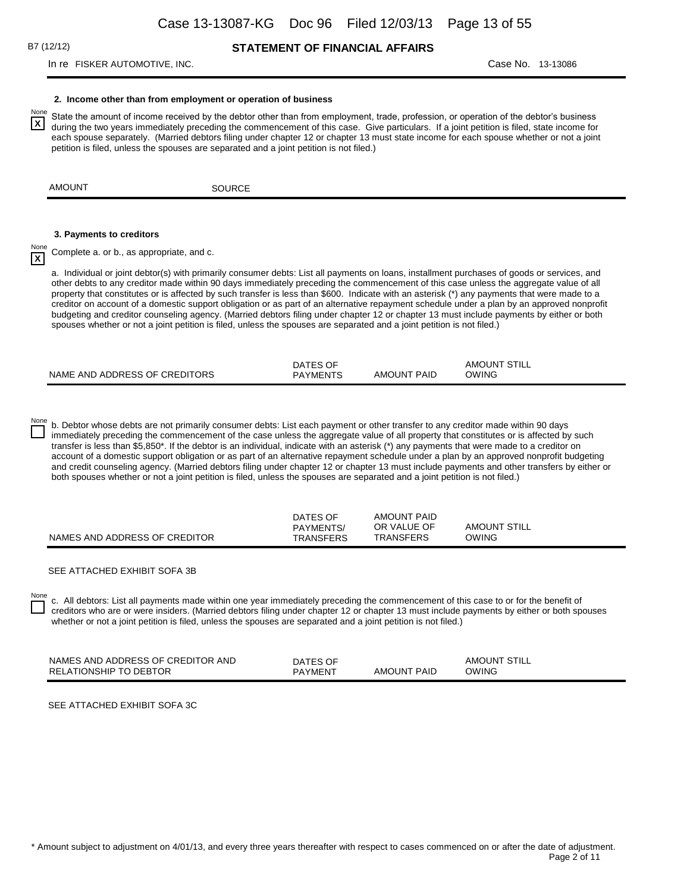**X**

**X**

**STATEMENT OF FINANCIAL AFFAIRS**

In re FISKER AUTOMOTIVE, INC. Case No. 13-13086

### **2. Income other than from employment or operation of business**

State the amount of income received by the debtor other than from employment, trade, profession, or operation of the debtor's business during the two years immediately preceding the commencement of this case. Give particulars. If a joint petition is filed, state income for each spouse separately. (Married debtors filing under chapter 12 or chapter 13 must state income for each spouse whether or not a joint petition is filed, unless the spouses are separated and a joint petition is not filed.)

AMOUNT SOURCE

#### **3. Payments to creditors**

Complete a. or b., as appropriate, and c.

a. Individual or joint debtor(s) with primarily consumer debts: List all payments on loans, installment purchases of goods or services, and other debts to any creditor made within 90 days immediately preceding the commencement of this case unless the aggregate value of all property that constitutes or is affected by such transfer is less than \$600. Indicate with an asterisk (\*) any payments that were made to a creditor on account of a domestic support obligation or as part of an alternative repayment schedule under a plan by an approved nonprofit budgeting and creditor counseling agency. (Married debtors filing under chapter 12 or chapter 13 must include payments by either or both spouses whether or not a joint petition is filed, unless the spouses are separated and a joint petition is not filed.)

|                               | DATES OF        |                    | ⊺ STILL<br><b>AMOUNT</b> |
|-------------------------------|-----------------|--------------------|--------------------------|
| NAME AND ADDRESS OF CREDITORS | <b>PAYMENTS</b> | <b>AMOUNT PAID</b> | OWING                    |

b. Debtor whose debts are not primarily consumer debts: List each payment or other transfer to any creditor made within 90 days immediately preceding the commencement of the case unless the aggregate value of all property that constitutes or is affected by such transfer is less than \$5,850\*. If the debtor is an individual, indicate with an asterisk (\*) any payments that were made to a creditor on account of a domestic support obligation or as part of an alternative repayment schedule under a plan by an approved nonprofit budgeting and credit counseling agency. (Married debtors filing under chapter 12 or chapter 13 must include payments and other transfers by either or both spouses whether or not a joint petition is filed, unless the spouses are separated and a joint petition is not filed.)

|                               | DATES OF<br>PAYMENTS/ | AMOUNT PAID<br>OR VALUE OF | AMOUNT STILL |
|-------------------------------|-----------------------|----------------------------|--------------|
| NAMES AND ADDRESS OF CREDITOR | TRANSFERS             | <b>TRANSFERS</b>           | OWING        |

#### SEE ATTACHED EXHIBIT SOFA 3B

c. All debtors: List all payments made within one year immediately preceding the commencement of this case to or for the benefit of creditors who are or were insiders. (Married debtors filing under chapter 12 or chapter 13 must include payments by either or both spouses whether or not a joint petition is filed, unless the spouses are separated and a joint petition is not filed.)

| NAMES AND ADDRESS OF CREDITOR AND | DATES OF       |                    | <b>AMOUNT STILL</b> |
|-----------------------------------|----------------|--------------------|---------------------|
| RELATIONSHIP TO DEBTOR            | <b>PAYMENT</b> | <b>AMOUNT PAID</b> | OWING               |

SEE ATTACHED EXHIBIT SOFA 3C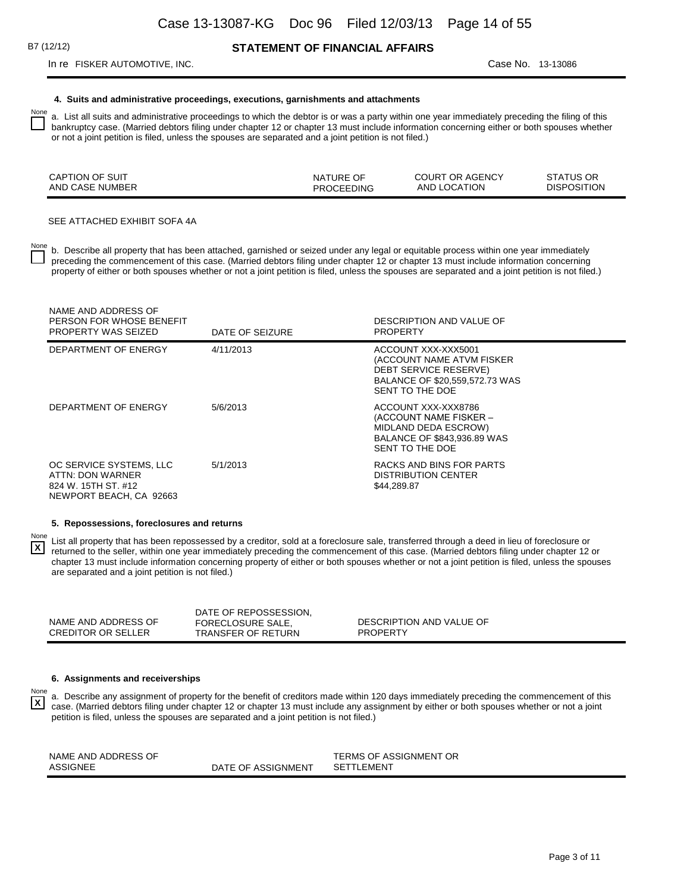### **STATEMENT OF FINANCIAL AFFAIRS**

### In re FISKER AUTOMOTIVE, INC. Case No. 13-13086

### **4. Suits and administrative proceedings, executions, garnishments and attachments**

 $N_{\text{max}}^{0.000}$  a. List all suits and administrative proceedings to which the debtor is or was a party within one year immediately preceding the filing of this bankruptcy case. (Married debtors filing under chapter 12 or chapter 13 must include information concerning either or both spouses whether or not a joint petition is filed, unless the spouses are separated and a joint petition is not filed.)

| CAPTION OF SUIT | NATURE OF         | <b>COURT OR AGENCY</b> | <b>STATUS OR</b> |
|-----------------|-------------------|------------------------|------------------|
| AND CASE NUMBER | <b>PROCEEDING</b> | AND LOCATION           | DISPOSITION      |
|                 |                   |                        |                  |

### SEE ATTACHED EXHIBIT SOFA 4A

 $\overline{1}$  b. Describe all property that has been attached, garnished or seized under any legal or equitable process within one year immediately preceding the commencement of this case. (Married debtors filing under chapter 12 or chapter 13 must include information concerning property of either or both spouses whether or not a joint petition is filed, unless the spouses are separated and a joint petition is not filed.)

| NAME AND ADDRESS OF<br>PERSON FOR WHOSE BENEFIT<br>PROPERTY WAS SEIZED                        | DATE OF SEIZURE | DESCRIPTION AND VALUE OF<br><b>PROPERTY</b>                                                                                    |
|-----------------------------------------------------------------------------------------------|-----------------|--------------------------------------------------------------------------------------------------------------------------------|
| DEPARTMENT OF ENERGY                                                                          | 4/11/2013       | ACCOUNT XXX-XXX5001<br>(ACCOUNT NAME ATVM FISKER<br>DEBT SERVICE RESERVE)<br>BALANCE OF \$20,559,572.73 WAS<br>SENT TO THE DOE |
| DEPARTMENT OF ENERGY                                                                          | 5/6/2013        | ACCOUNT XXX-XXX8786<br>(ACCOUNT NAME FISKER -<br><b>MIDLAND DEDA ESCROW)</b><br>BALANCE OF \$843,936.89 WAS<br>SENT TO THE DOE |
| OC SERVICE SYSTEMS, LLC<br>ATTN: DON WARNER<br>824 W. 15TH ST. #12<br>NEWPORT BEACH, CA 92663 | 5/1/2013        | RACKS AND BINS FOR PARTS<br>DISTRIBUTION CENTER<br>\$44.289.87                                                                 |

### **5. Repossessions, foreclosures and returns**

None List all property that has been repossessed by a creditor, sold at a foreclosure sale, transferred through a deed in lieu of foreclosure or returned to the seller, within one year immediately preceding the commencement of this case. (Married debtors filing under chapter 12 or chapter 13 must include information concerning property of either or both spouses whether or not a joint petition is filed, unless the spouses are separated and a joint petition is not filed.) **X**

|                     | DATE OF REPOSSESSION. |                          |
|---------------------|-----------------------|--------------------------|
| NAME AND ADDRESS OF | FORECLOSURE SALE,     | DESCRIPTION AND VALUE OF |
| CREDITOR OR SELLER  | TRANSFER OF RETURN    | <b>PROPERTY</b>          |

#### **6. Assignments and receiverships**

None a. Describe any assignment of property for the benefit of creditors made within 120 days immediately preceding the commencement of this case. (Married debtors filing under chapter 12 or chapter 13 must include any assignment by either or both spouses whether or not a joint petition is filed, unless the spouses are separated and a joint petition is not filed.) **X**

| NAME AND ADDRESS OF |                    | TERMS OF ASSIGNMENT OR |
|---------------------|--------------------|------------------------|
| ASSIGNEE            | DATE OF ASSIGNMENT | SETTLEMENT             |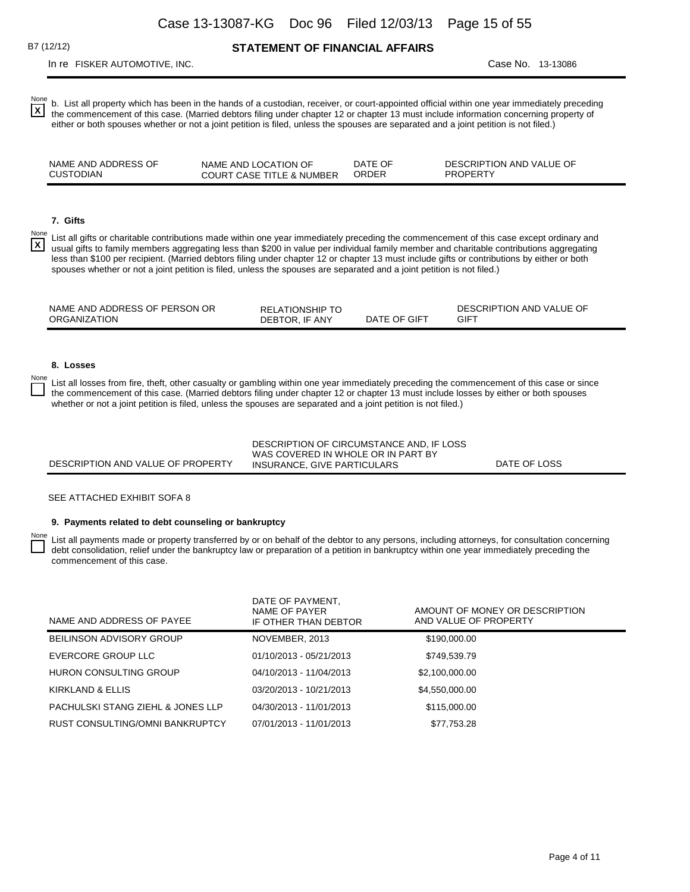## **STATEMENT OF FINANCIAL AFFAIRS**

In re FISKER AUTOMOTIVE, INC. Case No. 13-13086

None b. List all property which has been in the hands of a custodian, receiver, or court-appointed official within one year immediately preceding the commencement of this case. (Married debtors filing under chapter 12 or chapter 13 must include information concerning property of either or both spouses whether or not a joint petition is filed, unless the spouses are separated and a joint petition is not filed.) **X**

| NAME AND ADDRESS OF | NAME AND LOCATION OF                 | DATE OF | DESCRIPTION AND VALUE OF |
|---------------------|--------------------------------------|---------|--------------------------|
| <b>CUSTODIAN</b>    | <b>COURT CASE TITLE &amp; NUMBER</b> | ORDER   | <b>PROPERTY</b>          |

### **7. Gifts**

 $\frac{N_{\text{one}}}{N_{\text{on}}}$  List all gifts or charitable contributions made within one year immediately preceding the commencement of this case except ordinary and usual gifts to family members aggregating less than \$200 in value per individual family member and charitable contributions aggregating less than \$100 per recipient. (Married debtors filing under chapter 12 or chapter 13 must include gifts or contributions by either or both spouses whether or not a joint petition is filed, unless the spouses are separated and a joint petition is not filed.) **X**

| NAME AND ADDRESS OF PERSON OR | <b>RELATIONSHIP TO</b> |              | DESCRIPTION AND VALUE OF |
|-------------------------------|------------------------|--------------|--------------------------|
| <b>ORGANIZATION</b>           | DEBTOR. IF ANY         | DATE OF GIFT | GIF <sup>-</sup>         |

### **8. Losses**

 $\overline{1}$  List all losses from fire, theft, other casualty or gambling within one year immediately preceding the commencement of this case or since the commencement of this case. (Married debtors filing under chapter 12 or chapter 13 must include losses by either or both spouses whether or not a joint petition is filed, unless the spouses are separated and a joint petition is not filed.)

|                                   | DESCRIPTION OF CIRCUMSTANCE AND, IF LOSS |              |
|-----------------------------------|------------------------------------------|--------------|
|                                   | WAS COVERED IN WHOLE OR IN PART BY       |              |
| DESCRIPTION AND VALUE OF PROPERTY | INSURANCE, GIVE PARTICULARS              | DATE OF LOSS |
|                                   |                                          |              |

### SEE ATTACHED EXHIBIT SOFA 8

### **9. Payments related to debt counseling or bankruptcy**

List all payments made or property transferred by or on behalf of the debtor to any persons, including attorneys, for consultation concerning debt consolidation, relief under the bankruptcy law or preparation of a petition in bankruptcy within one year immediately preceding the commencement of this case.

| NAME AND ADDRESS OF PAYEE                    | DATE OF PAYMENT,<br>NAME OF PAYER<br>IF OTHER THAN DEBTOR | AMOUNT OF MONEY OR DESCRIPTION<br>AND VALUE OF PROPERTY |
|----------------------------------------------|-----------------------------------------------------------|---------------------------------------------------------|
| BEILINSON ADVISORY GROUP                     | NOVEMBER, 2013                                            | \$190,000.00                                            |
| EVERCORE GROUP LLC                           | 01/10/2013 - 05/21/2013                                   | \$749.539.79                                            |
| HURON CONSULTING GROUP                       | 04/10/2013 - 11/04/2013                                   | \$2,100,000.00                                          |
| KIRKLAND & ELLIS                             | 03/20/2013 - 10/21/2013                                   | \$4.550.000.00                                          |
| <b>PACHULSKI STANG ZIEHL &amp; JONES LLP</b> | 04/30/2013 - 11/01/2013                                   | \$115,000.00                                            |
| RUST CONSULTING/OMNI BANKRUPTCY              | 07/01/2013 - 11/01/2013                                   | \$77,753.28                                             |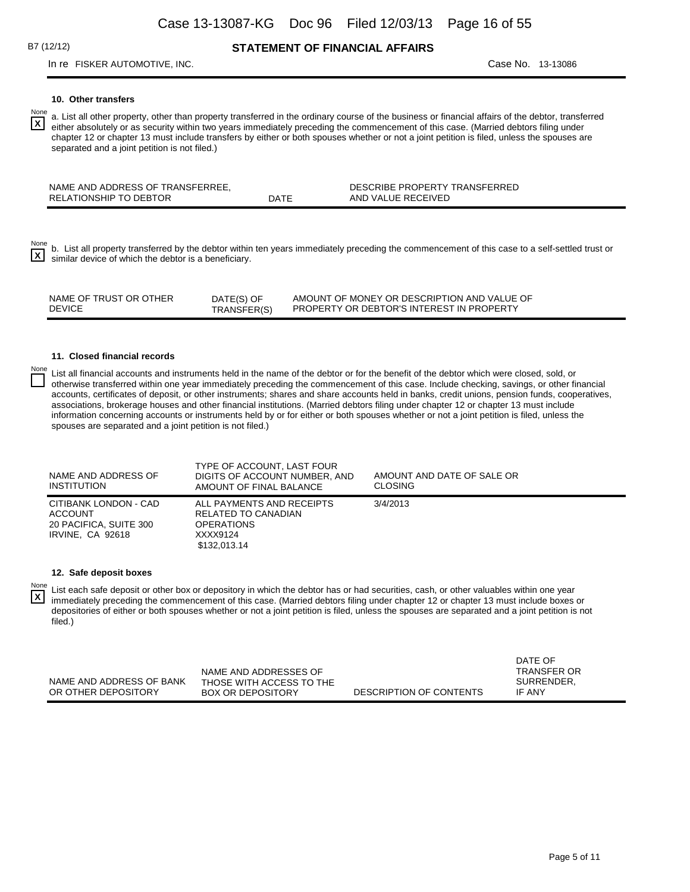## **STATEMENT OF FINANCIAL AFFAIRS**

In re FISKER AUTOMOTIVE, INC. Case No. 13-13086

### **10. Other transfers**

B7 (12/12)

 $N_{\text{max}}$  a. List all other property, other than property transferred in the ordinary course of the business or financial affairs of the debtor, transferred either absolutely or as security within two years immediately preceding the commencement of this case. (Married debtors filing under chapter 12 or chapter 13 must include transfers by either or both spouses whether or not a joint petition is filed, unless the spouses are separated and a joint petition is not filed.) **X**

| NAME AND ADDRESS OF TRANSFERREE. |      | DESCRIBE PROPERTY TRANSFERRED |
|----------------------------------|------|-------------------------------|
| <b>RELATIONSHIP TO DEBTOR</b>    | DATE | AND VALUE RECEIVED            |

 $\overline{X}$  b. List all property transferred by the debtor within ten years immediately preceding the commencement of this case to a self-settled trust or  $\overline{X}$  similar device of which the debtor is a beneficiary. similar device of which the debtor is a beneficiary.

| NAME OF TRUST OR OTHER | DATE(S) OF  | AMOUNT OF MONEY OR DESCRIPTION AND VALUE OF |
|------------------------|-------------|---------------------------------------------|
| <b>DEVICE</b>          | TRANSFER(S) | PROPERTY OR DEBTOR'S INTEREST IN PROPERTY   |

#### **11. Closed financial records**

None List all financial accounts and instruments held in the name of the debtor or for the benefit of the debtor which were closed, sold, or otherwise transferred within one year immediately preceding the commencement of this case. Include checking, savings, or other financial accounts, certificates of deposit, or other instruments; shares and share accounts held in banks, credit unions, pension funds, cooperatives, associations, brokerage houses and other financial institutions. (Married debtors filing under chapter 12 or chapter 13 must include information concerning accounts or instruments held by or for either or both spouses whether or not a joint petition is filed, unless the spouses are separated and a joint petition is not filed.)

| NAME AND ADDRESS OF<br>INSTITUTION                                             | TYPE OF ACCOUNT. LAST FOUR<br>DIGITS OF ACCOUNT NUMBER, AND<br>AMOUNT OF FINAL BALANCE            | AMOUNT AND DATE OF SALE OR<br><b>CLOSING</b> |
|--------------------------------------------------------------------------------|---------------------------------------------------------------------------------------------------|----------------------------------------------|
| CITIBANK LONDON - CAD<br>ACCOUNT<br>20 PACIFICA, SUITE 300<br>IRVINE, CA 92618 | ALL PAYMENTS AND RECEIPTS<br>RELATED TO CANADIAN<br><b>OPERATIONS</b><br>XXXX9124<br>\$132,013.14 | 3/4/2013                                     |

### **12. Safe deposit boxes**

 $\frac{None}{N-1}$  List each safe deposit or other box or depository in which the debtor has or had securities, cash, or other valuables within one year immediately preceding the commencement of this case. (Married debtors filing under chapter 12 or chapter 13 must include boxes or depositories of either or both spouses whether or not a joint petition is filed, unless the spouses are separated and a joint petition is not filed.) **X**

|                          |                          |                         | DATE OF       |
|--------------------------|--------------------------|-------------------------|---------------|
|                          | NAME AND ADDRESSES OF    |                         | TRANSFER OR   |
| NAME AND ADDRESS OF BANK | THOSE WITH ACCESS TO THE |                         | SURRENDER.    |
| OR OTHER DEPOSITORY      | BOX OR DEPOSITORY        | DESCRIPTION OF CONTENTS | <b>IF ANY</b> |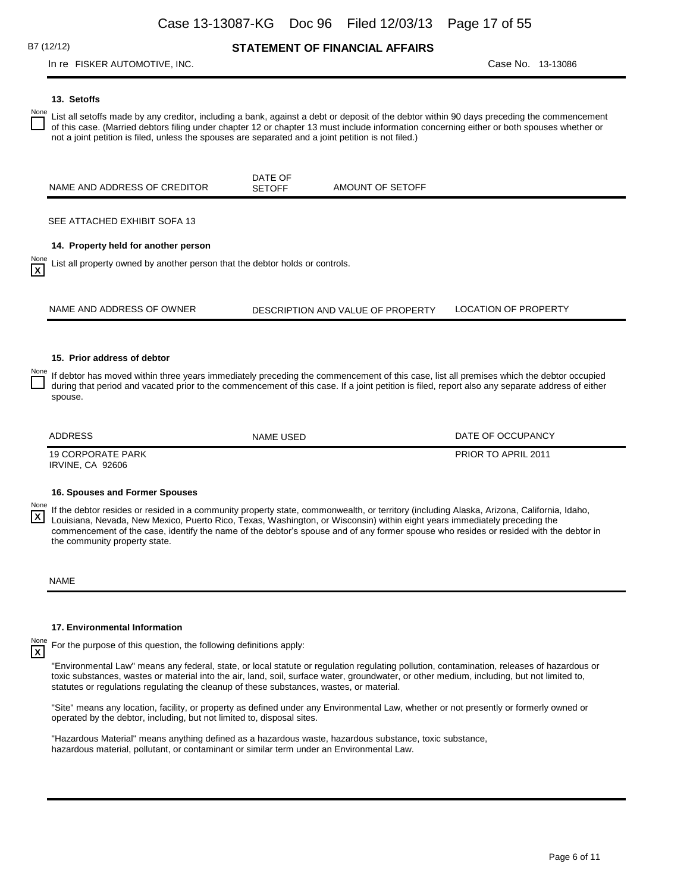### **STATEMENT OF FINANCIAL AFFAIRS**

In re FISKER AUTOMOTIVE, INC. And the state of the state of the state of the state of the STAR Case No. 13-13086

### **13. Setoffs**

B7 (12/12)

**X**

List all setoffs made by any creditor, including a bank, against a debt or deposit of the debtor within 90 days preceding the commencement of this case. (Married debtors filing under chapter 12 or chapter 13 must include information concerning either or both spouses whether or not a joint petition is filed, unless the spouses are separated and a joint petition is not filed.)

|                              | DATE OF |                  |
|------------------------------|---------|------------------|
| NAME AND ADDRESS OF CREDITOR | SETOFF  | AMOUNT OF SETOFF |

SEE ATTACHED EXHIBIT SOFA 13

#### **14. Property held for another person**

List all property owned by another person that the debtor holds or controls.

NAME AND ADDRESS OF OWNER DESCRIPTION AND VALUE OF PROPERTY LOCATION OF PROPERTY

#### **15. Prior address of debtor**

 $\sum_{n=1}^{\text{None}}$  If debtor has moved within three years immediately preceding the commencement of this case, list all premises which the debtor occupied during that period and vacated prior to the commencement of this case. If a joint petition is filed, report also any separate address of either spouse.

ADDRESS NAME USED DATE OF OCCUPANCY PRIOR TO APRIL 2011

19 CORPORATE PARK IRVINE, CA 92606

#### **16. Spouses and Former Spouses**

None If the debtor resides or resided in a community property state, commonwealth, or territory (including Alaska, Arizona, California, Idaho, Louisiana, Nevada, New Mexico, Puerto Rico, Texas, Washington, or Wisconsin) within eight years immediately preceding the commencement of the case, identify the name of the debtor's spouse and of any former spouse who resides or resided with the debtor in the community property state. **X**

NAME

**X**

#### **17. Environmental Information**

For the purpose of this question, the following definitions apply:

"Environmental Law" means any federal, state, or local statute or regulation regulating pollution, contamination, releases of hazardous or toxic substances, wastes or material into the air, land, soil, surface water, groundwater, or other medium, including, but not limited to, statutes or regulations regulating the cleanup of these substances, wastes, or material.

"Site" means any location, facility, or property as defined under any Environmental Law, whether or not presently or formerly owned or operated by the debtor, including, but not limited to, disposal sites.

"Hazardous Material" means anything defined as a hazardous waste, hazardous substance, toxic substance, hazardous material, pollutant, or contaminant or similar term under an Environmental Law.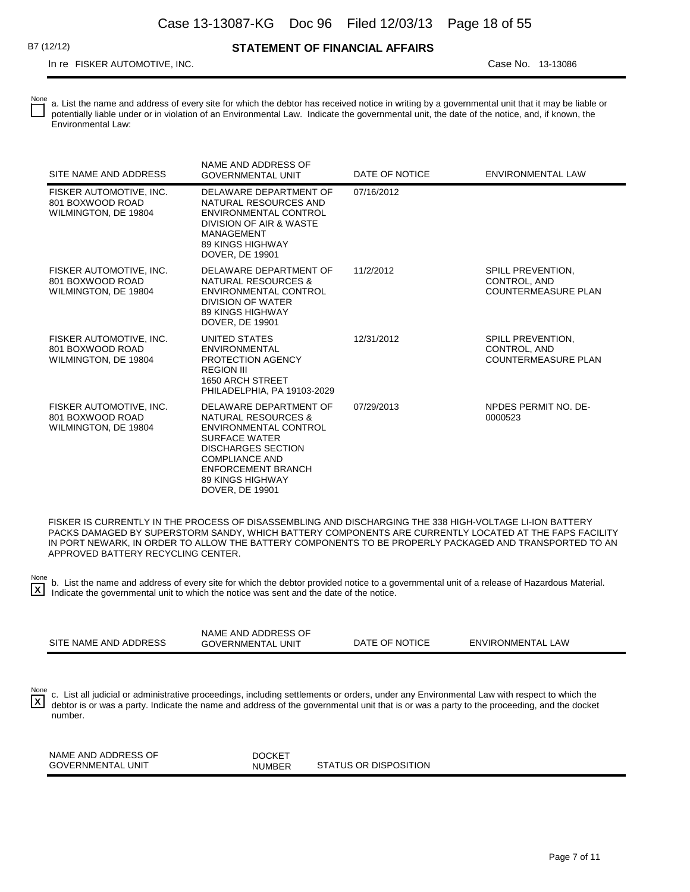## **STATEMENT OF FINANCIAL AFFAIRS**

In re FISKER AUTOMOTIVE, INC. Case No. 13-13086

 $\sum_{n=1}^{\text{None}}$  a. List the name and address of every site for which the debtor has received notice in writing by a governmental unit that it may be liable or potentially liable under or in violation of an Environmental Law. Indicate the governmental unit, the date of the notice, and, if known, the Environmental Law:

| SITE NAME AND ADDRESS                                               | NAME AND ADDRESS OF<br><b>GOVERNMENTAL UNIT</b>                                                                                                                                                                                            | DATE OF NOTICE | ENVIRONMENTAL LAW                                               |
|---------------------------------------------------------------------|--------------------------------------------------------------------------------------------------------------------------------------------------------------------------------------------------------------------------------------------|----------------|-----------------------------------------------------------------|
| FISKER AUTOMOTIVE, INC.<br>801 BOXWOOD ROAD<br>WILMINGTON, DE 19804 | DELAWARE DEPARTMENT OF<br>NATURAL RESOURCES AND<br>ENVIRONMENTAL CONTROL<br>DIVISION OF AIR & WASTE<br>MANAGEMENT<br><b>89 KINGS HIGHWAY</b><br><b>DOVER, DE 19901</b>                                                                     | 07/16/2012     |                                                                 |
| FISKER AUTOMOTIVE, INC.<br>801 BOXWOOD ROAD<br>WILMINGTON, DE 19804 | DELAWARE DEPARTMENT OF<br>NATURAL RESOURCES &<br>ENVIRONMENTAL CONTROL<br>DIVISION OF WATER<br>89 KINGS HIGHWAY<br><b>DOVER, DE 19901</b>                                                                                                  | 11/2/2012      | SPILL PREVENTION.<br>CONTROL, AND<br><b>COUNTERMEASURE PLAN</b> |
| FISKER AUTOMOTIVE, INC.<br>801 BOXWOOD ROAD<br>WILMINGTON, DE 19804 | UNITED STATES<br>ENVIRONMENTAL<br>PROTECTION AGENCY<br><b>REGION III</b><br>1650 ARCH STREET<br>PHILADELPHIA, PA 19103-2029                                                                                                                | 12/31/2012     | SPILL PREVENTION.<br>CONTROL, AND<br><b>COUNTERMEASURE PLAN</b> |
| FISKER AUTOMOTIVE, INC.<br>801 BOXWOOD ROAD<br>WILMINGTON, DE 19804 | DELAWARE DEPARTMENT OF<br><b>NATURAL RESOURCES &amp;</b><br>ENVIRONMENTAL CONTROL<br><b>SURFACE WATER</b><br><b>DISCHARGES SECTION</b><br><b>COMPLIANCE AND</b><br><b>ENFORCEMENT BRANCH</b><br>89 KINGS HIGHWAY<br><b>DOVER, DE 19901</b> | 07/29/2013     | NPDES PERMIT NO. DE-<br>0000523                                 |

FISKER IS CURRENTLY IN THE PROCESS OF DISASSEMBLING AND DISCHARGING THE 338 HIGH-VOLTAGE LI-ION BATTERY PACKS DAMAGED BY SUPERSTORM SANDY, WHICH BATTERY COMPONENTS ARE CURRENTLY LOCATED AT THE FAPS FACILITY IN PORT NEWARK, IN ORDER TO ALLOW THE BATTERY COMPONENTS TO BE PROPERLY PACKAGED AND TRANSPORTED TO AN APPROVED BATTERY RECYCLING CENTER.

None b. List the name and address of every site for which the debtor provided notice to a governmental unit of a release of Hazardous Material. Indicate the governmental unit to which the notice was sent and the date of the notice. **X**

|                                           | NAME AND ADDRESS OF                  |                                    |                      |
|-------------------------------------------|--------------------------------------|------------------------------------|----------------------|
| AND ADDRESS<br><b>SITE</b><br><b>NAME</b> | UNIT<br>GOVERNMENTAL<br>$\mathbf{G}$ | <b>NOTICE</b><br>ΩF<br><b>DATE</b> | ∟AW<br>ENVIRONMENTAL |

c. List all judicial or administrative proceedings, including settlements or orders, under any Environmental Law with respect to which the debtor is or was a party. Indicate the name and address of the governmental unit that is or was a party to the proceeding, and the docket number. **X**

| NAME AND ADDRESS OF      | DOCKET        |                       |
|--------------------------|---------------|-----------------------|
| <b>GOVERNMENTAL UNIT</b> | <b>NUMBER</b> | STATUS OR DISPOSITION |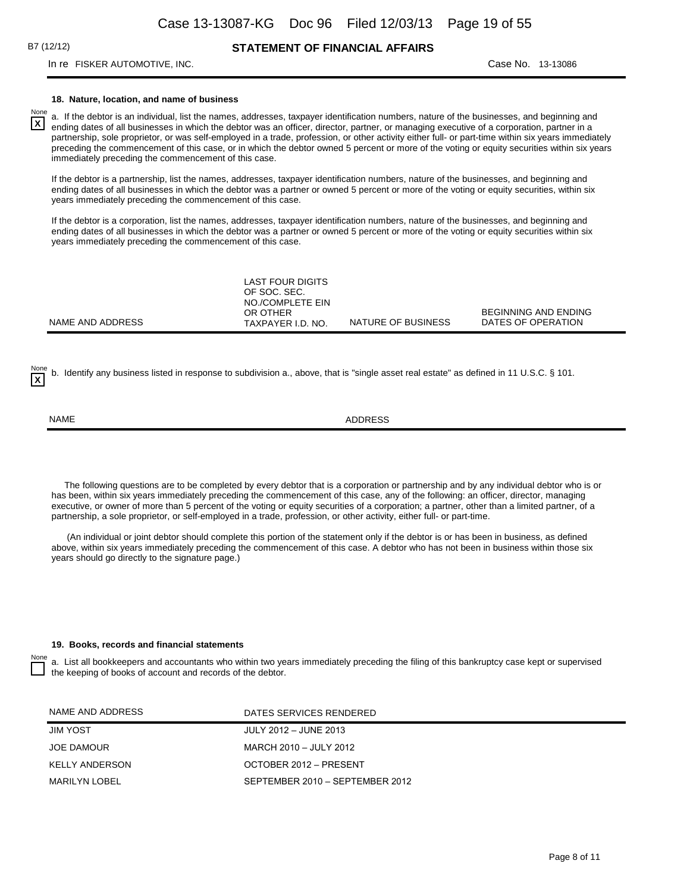**X**

**STATEMENT OF FINANCIAL AFFAIRS**

### In re FISKER AUTOMOTIVE, INC. Case No. 13-13086

### **18. Nature, location, and name of business**

a. If the debtor is an individual, list the names, addresses, taxpayer identification numbers, nature of the businesses, and beginning and ending dates of all businesses in which the debtor was an officer, director, partner, or managing executive of a corporation, partner in a partnership, sole proprietor, or was self-employed in a trade, profession, or other activity either full- or part-time within six years immediately preceding the commencement of this case, or in which the debtor owned 5 percent or more of the voting or equity securities within six years immediately preceding the commencement of this case.

If the debtor is a partnership, list the names, addresses, taxpayer identification numbers, nature of the businesses, and beginning and ending dates of all businesses in which the debtor was a partner or owned 5 percent or more of the voting or equity securities, within six years immediately preceding the commencement of this case.

If the debtor is a corporation, list the names, addresses, taxpayer identification numbers, nature of the businesses, and beginning and ending dates of all businesses in which the debtor was a partner or owned 5 percent or more of the voting or equity securities within six years immediately preceding the commencement of this case.

|                  | LAST FOUR DIGITS<br>OF SOC. SEC.<br>NO./COMPLETE EIN |                    |                                            |
|------------------|------------------------------------------------------|--------------------|--------------------------------------------|
| NAME AND ADDRESS | OR OTHER<br>TAXPAYER I.D. NO.                        | NATURE OF BUSINESS | BEGINNING AND ENDING<br>DATES OF OPERATION |

b. Identify any business listed in response to subdivision a., above, that is "single asset real estate" as defined in 11 U.S.C. § 101.

**X**

NAME ADDRESS

 The following questions are to be completed by every debtor that is a corporation or partnership and by any individual debtor who is or has been, within six years immediately preceding the commencement of this case, any of the following: an officer, director, managing executive, or owner of more than 5 percent of the voting or equity securities of a corporation; a partner, other than a limited partner, of a partnership, a sole proprietor, or self-employed in a trade, profession, or other activity, either full- or part-time.

 (An individual or joint debtor should complete this portion of the statement only if the debtor is or has been in business, as defined above, within six years immediately preceding the commencement of this case. A debtor who has not been in business within those six years should go directly to the signature page.)

#### **19. Books, records and financial statements**

a. List all bookkeepers and accountants who within two years immediately preceding the filing of this bankruptcy case kept or supervised the keeping of books of account and records of the debtor.

| NAME AND ADDRESS | DATES SERVICES RENDERED         |
|------------------|---------------------------------|
| <b>JIM YOST</b>  | JULY 2012 - JUNE 2013           |
| JOE DAMOUR       | MARCH 2010 - JULY 2012          |
| KELLY ANDERSON   | OCTOBER 2012 - PRESENT          |
| MARILYN LOBEL    | SEPTEMBER 2010 - SEPTEMBER 2012 |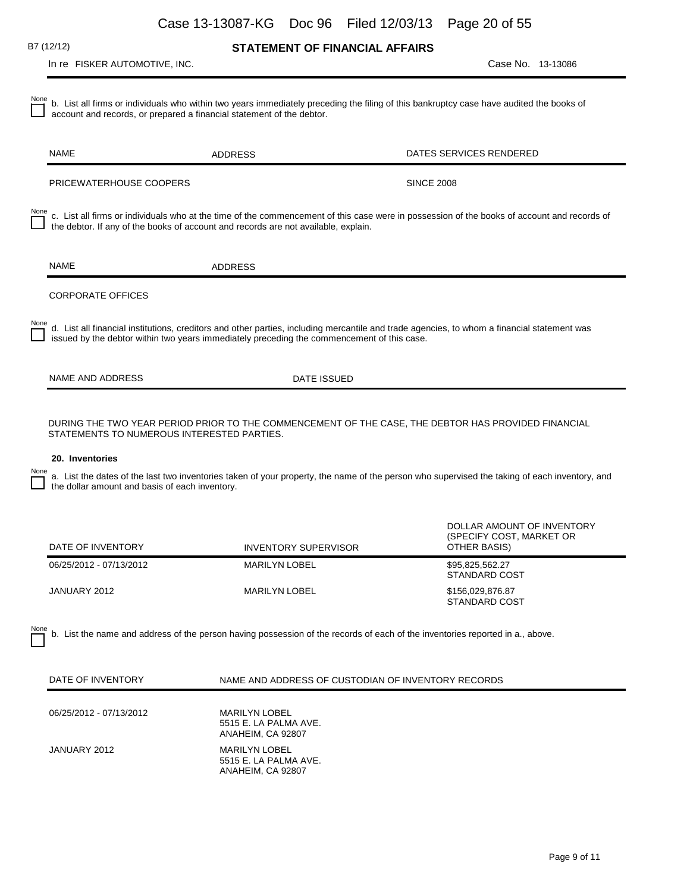| Case 13-13087-KG Doc 96 Filed 12/03/13 Page 20 of 55 |  |  |  |
|------------------------------------------------------|--|--|--|
|------------------------------------------------------|--|--|--|

**STATEMENT OF FINANCIAL AFFAIRS** In re FISKER AUTOMOTIVE, INC. Case No. 13-13086 B7 (12/12)  $\overline{H}$  b. List all firms or individuals who within two years immediately preceding the filing of this bankruptcy case have audited the books of account and records, or prepared a financial statement of the debtor. NAME ADDRESS ADDRESS DATES SERVICES RENDERED PRICEWATERHOUSE COOPERS **SINCE 2008** None c. List all firms or individuals who at the time of the commencement of this case were in possession of the books of account and records of the debtor. If any of the books of account and records are not available, explain. NAME ADDRESS CORPORATE OFFICES None d. List all financial institutions, creditors and other parties, including mercantile and trade agencies, to whom a financial statement was issued by the debtor within two years immediately preceding the commencement of this case. NAME AND ADDRESS DATE ISSUED DURING THE TWO YEAR PERIOD PRIOR TO THE COMMENCEMENT OF THE CASE, THE DEBTOR HAS PROVIDED FINANCIAL STATEMENTS TO NUMEROUS INTERESTED PARTIES.  $\overline{1}$  a. List the dates of the last two inventories taken of your property, the name of the person who supervised the taking of each inventory, and the dollar amount and basis of each inventory. DATE OF INVENTORY INVENTORY SUPERVISOR DOLLAR AMOUNT OF INVENTORY (SPECIFY COST, MARKET OR OTHER BASIS) **20. Inventories** 06/25/2012 - 07/13/2012 MARILYN LOBEL \$95,825,562.27 STANDARD COST JANUARY 2012 MARILYN LOBEL \$156,029,876.87 STANDARD COST b. List the name and address of the person having possession of the records of each of the inventories reported in a., above. DATE OF INVENTORY NAME AND ADDRESS OF CUSTODIAN OF INVENTORY RECORDS 06/25/2012 - 07/13/2012 MARILYN LOBEL 5515 E. LA PALMA AVE. ANAHEIM, CA 92807 JANUARY 2012 MARILYN LOBEL 5515 E. LA PALMA AVE.

ANAHEIM, CA 92807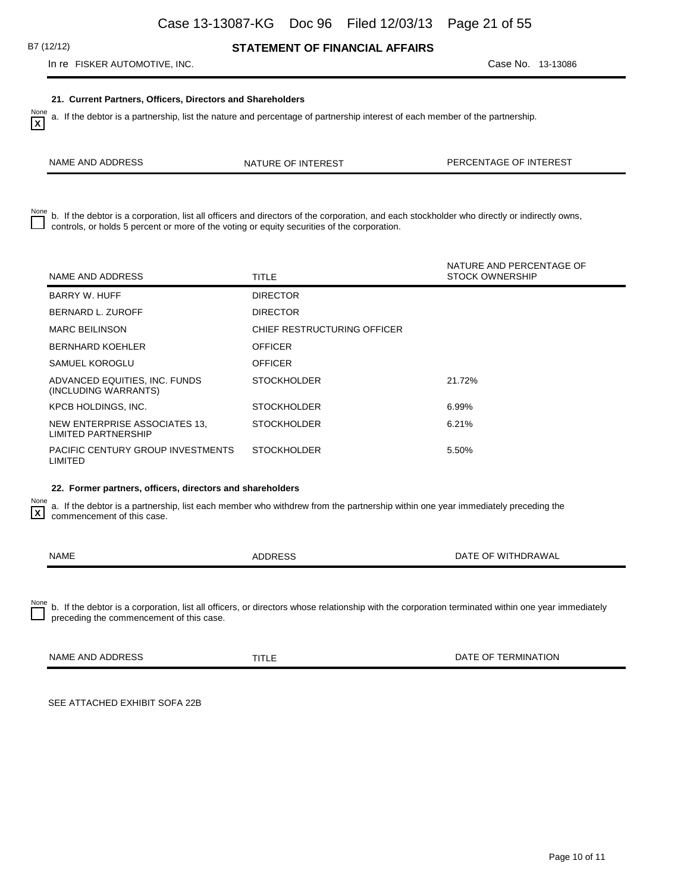## **STATEMENT OF FINANCIAL AFFAIRS**

In re FISKER AUTOMOTIVE, INC. Case No. 13-13086

B7 (12/12)

**X**

### **21. Current Partners, Officers, Directors and Shareholders**

 $\frac{N_{\text{one}}}{N}$  a. If the debtor is a partnership, list the nature and percentage of partnership interest of each member of the partnership.

| ADDRESS<br>NAME<br><b>AND</b> | <b>INTEREST</b><br>OF<br><b>URE</b><br>ΝA | <b>NTAGE</b><br>OF INTEREST<br>PERCI<br>FΝ<br>$\sim$ $\sim$ |
|-------------------------------|-------------------------------------------|-------------------------------------------------------------|
|-------------------------------|-------------------------------------------|-------------------------------------------------------------|

None b. If the debtor is a corporation, list all officers and directors of the corporation, and each stockholder who directly or indirectly owns, controls, or holds 5 percent or more of the voting or equity securities of the corporation.

|                    | NAME AND ADDRESS                                                                                                                                              | <b>TITLE</b>                | NATURE AND PERCENTAGE OF<br><b>STOCK OWNERSHIP</b> |  |  |
|--------------------|---------------------------------------------------------------------------------------------------------------------------------------------------------------|-----------------------------|----------------------------------------------------|--|--|
|                    | BARRY W. HUFF                                                                                                                                                 | <b>DIRECTOR</b>             |                                                    |  |  |
|                    | BERNARD L. ZUROFF                                                                                                                                             | <b>DIRECTOR</b>             |                                                    |  |  |
|                    | <b>MARC BEILINSON</b>                                                                                                                                         | CHIEF RESTRUCTURING OFFICER |                                                    |  |  |
|                    | <b>BERNHARD KOEHLER</b>                                                                                                                                       | <b>OFFICER</b>              |                                                    |  |  |
|                    | SAMUEL KOROGLU                                                                                                                                                | <b>OFFICER</b>              |                                                    |  |  |
|                    | ADVANCED EQUITIES, INC. FUNDS<br>(INCLUDING WARRANTS)                                                                                                         | <b>STOCKHOLDER</b>          | 21.72%                                             |  |  |
|                    | KPCB HOLDINGS, INC.                                                                                                                                           | <b>STOCKHOLDER</b>          | 6.99%                                              |  |  |
|                    | NEW ENTERPRISE ASSOCIATES 13.<br><b>LIMITED PARTNERSHIP</b>                                                                                                   | <b>STOCKHOLDER</b>          | 6.21%                                              |  |  |
|                    | <b>PACIFIC CENTURY GROUP INVESTMENTS</b><br>LIMITED                                                                                                           | <b>STOCKHOLDER</b>          | 5.50%                                              |  |  |
|                    | 22. Former partners, officers, directors and shareholders                                                                                                     |                             |                                                    |  |  |
| $\pmb{\mathsf{x}}$ | a. If the debtor is a partnership, list each member who withdrew from the partnership within one year immediately preceding the<br>commencement of this case. |                             |                                                    |  |  |
|                    | <b>NAME</b>                                                                                                                                                   | <b>ADDRESS</b>              | DATE OF WITHDRAWAL                                 |  |  |

None b. If the debtor is a corporation, list all officers, or directors whose relationship with the corporation terminated within one year immediately preceding the commencement of this case.

| <b>NAME</b><br>ANI<br>.<br><b>11</b> | -<br>--- | TION<br>MINA<br>℩⊢<br>$\sim$ $\sim$ |
|--------------------------------------|----------|-------------------------------------|
|                                      |          |                                     |

SEE ATTACHED EXHIBIT SOFA 22B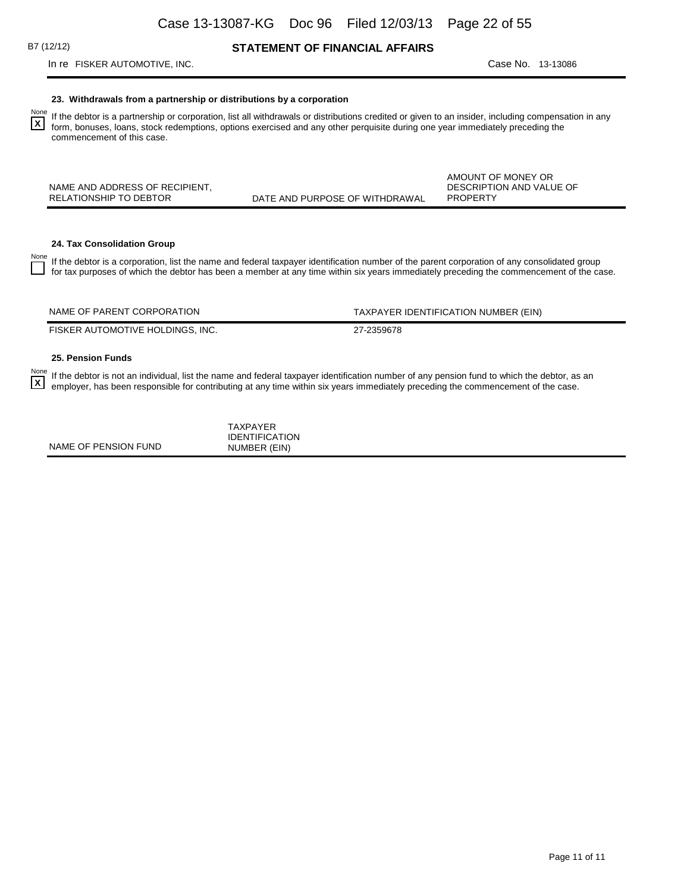## **STATEMENT OF FINANCIAL AFFAIRS**

### In re FISKER AUTOMOTIVE, INC. Case No. 13-13086

### **23. Withdrawals from a partnership or distributions by a corporation**

 $\sum_{n=1}^{\text{None}}$  If the debtor is a partnership or corporation, list all withdrawals or distributions credited or given to an insider, including compensation in any form, bonuses, loans, stock redemptions, options exercised and any other perquisite during one year immediately preceding the commencement of this case. **X**

NAME AND ADDRESS OF RECIPIENT,<br>RELATIONSHIP TO DEBTOR

DATE AND PURPOSE OF WITHDRAWAL

AMOUNT OF MONEY OR DESCRIPTION AND VALUE OF **PROPERTY** 

### **24. Tax Consolidation Group**

None If the debtor is a corporation, list the name and federal taxpayer identification number of the parent corporation of any consolidated group for tax purposes of which the debtor has been a member at any time within six years immediately preceding the commencement of the case.

FISKER AUTOMOTIVE HOLDINGS, INC. 27-2359678

NAME OF PARENT CORPORATION TAXPAYER IDENTIFICATION NUMBER (EIN)

### **25. Pension Funds**

None If the debtor is not an individual, list the name and federal taxpayer identification number of any pension fund to which the debtor, as an  $\overline{X}$  employer has been responsible for contributing at any time within s employer, has been responsible for contributing at any time within six years immediately preceding the commencement of the case. **X**

NAME OF PENSION FUND TAXPAYER IDENTIFICATION NUMBER (EIN)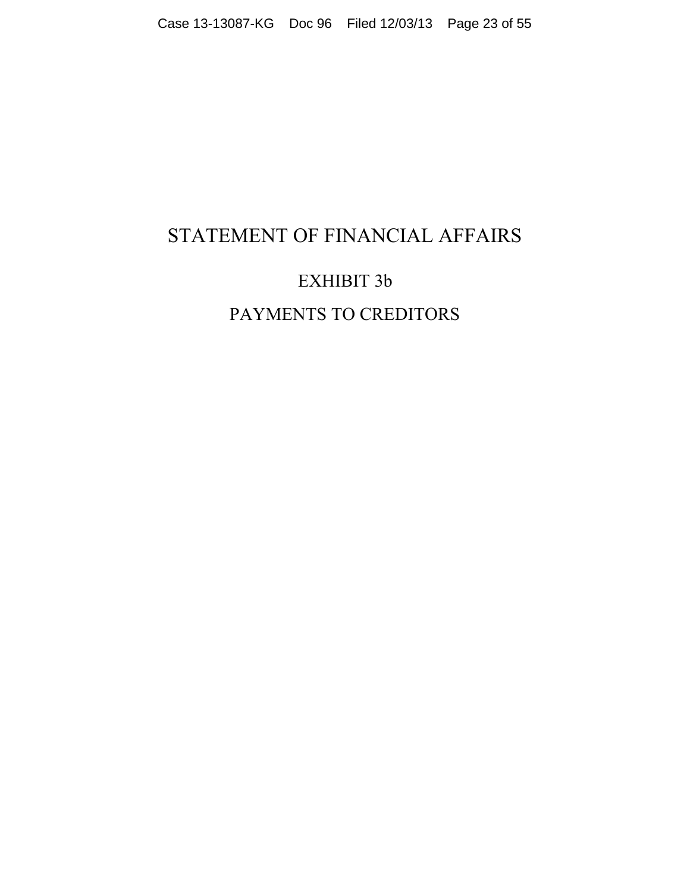# STATEMENT OF FINANCIAL AFFAIRS

# EXHIBIT 3b

# PAYMENTS TO CREDITORS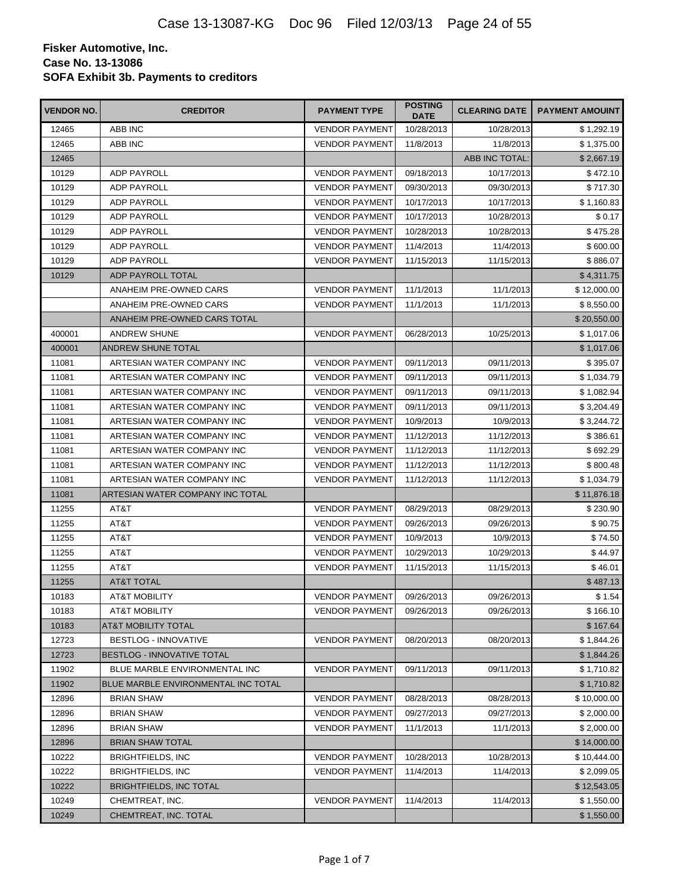| <b>VENDOR NO.</b> | <b>CREDITOR</b>                     | <b>PAYMENT TYPE</b>   | <b>POSTING</b><br><b>DATE</b> | <b>CLEARING DATE</b> | <b>PAYMENT AMOUINT</b> |
|-------------------|-------------------------------------|-----------------------|-------------------------------|----------------------|------------------------|
| 12465             | ABB INC                             | <b>VENDOR PAYMENT</b> | 10/28/2013                    | 10/28/2013           | \$1,292.19             |
| 12465             | ABB INC                             | <b>VENDOR PAYMENT</b> | 11/8/2013                     | 11/8/2013            | \$1,375.00             |
| 12465             |                                     |                       |                               | ABB INC TOTAL:       | \$2,667.19             |
| 10129             | <b>ADP PAYROLL</b>                  | <b>VENDOR PAYMENT</b> | 09/18/2013                    | 10/17/2013           | \$472.10               |
| 10129             | <b>ADP PAYROLL</b>                  | <b>VENDOR PAYMENT</b> | 09/30/2013                    | 09/30/2013           | \$717.30               |
| 10129             | <b>ADP PAYROLL</b>                  | <b>VENDOR PAYMENT</b> | 10/17/2013                    | 10/17/2013           | \$1,160.83             |
| 10129             | <b>ADP PAYROLL</b>                  | <b>VENDOR PAYMENT</b> | 10/17/2013                    | 10/28/2013           | \$0.17                 |
| 10129             | <b>ADP PAYROLL</b>                  | <b>VENDOR PAYMENT</b> | 10/28/2013                    | 10/28/2013           | \$475.28               |
| 10129             | <b>ADP PAYROLL</b>                  | <b>VENDOR PAYMENT</b> | 11/4/2013                     | 11/4/2013            | \$600.00               |
| 10129             | <b>ADP PAYROLL</b>                  | <b>VENDOR PAYMENT</b> | 11/15/2013                    | 11/15/2013           | \$886.07               |
| 10129             | ADP PAYROLL TOTAL                   |                       |                               |                      | \$4,311.75             |
|                   | ANAHEIM PRE-OWNED CARS              | <b>VENDOR PAYMENT</b> | 11/1/2013                     | 11/1/2013            | \$12,000.00            |
|                   | ANAHEIM PRE-OWNED CARS              | <b>VENDOR PAYMENT</b> | 11/1/2013                     | 11/1/2013            | \$8,550.00             |
|                   | ANAHEIM PRE-OWNED CARS TOTAL        |                       |                               |                      | \$20,550.00            |
| 400001            | ANDREW SHUNE                        | <b>VENDOR PAYMENT</b> | 06/28/2013                    | 10/25/2013           | \$1,017.06             |
| 400001            | ANDREW SHUNE TOTAL                  |                       |                               |                      | \$1,017.06             |
| 11081             | ARTESIAN WATER COMPANY INC          | <b>VENDOR PAYMENT</b> | 09/11/2013                    | 09/11/2013           | \$395.07               |
| 11081             | ARTESIAN WATER COMPANY INC          | <b>VENDOR PAYMENT</b> | 09/11/2013                    | 09/11/2013           | \$1,034.79             |
| 11081             | ARTESIAN WATER COMPANY INC          | <b>VENDOR PAYMENT</b> | 09/11/2013                    | 09/11/2013           | \$1,082.94             |
| 11081             | ARTESIAN WATER COMPANY INC          | <b>VENDOR PAYMENT</b> | 09/11/2013                    | 09/11/2013           | \$3,204.49             |
| 11081             | ARTESIAN WATER COMPANY INC          | <b>VENDOR PAYMENT</b> | 10/9/2013                     | 10/9/2013            | \$3,244.72             |
| 11081             | ARTESIAN WATER COMPANY INC          | <b>VENDOR PAYMENT</b> | 11/12/2013                    | 11/12/2013           | \$386.61               |
| 11081             | ARTESIAN WATER COMPANY INC          | <b>VENDOR PAYMENT</b> | 11/12/2013                    | 11/12/2013           | \$692.29               |
| 11081             | ARTESIAN WATER COMPANY INC          | <b>VENDOR PAYMENT</b> | 11/12/2013                    | 11/12/2013           | \$800.48               |
| 11081             | ARTESIAN WATER COMPANY INC          | <b>VENDOR PAYMENT</b> | 11/12/2013                    | 11/12/2013           | \$1,034.79             |
| 11081             | ARTESIAN WATER COMPANY INC TOTAL    |                       |                               |                      | \$11,876.18            |
| 11255             | AT&T                                | <b>VENDOR PAYMENT</b> | 08/29/2013                    | 08/29/2013           | \$230.90               |
| 11255             | AT&T                                | <b>VENDOR PAYMENT</b> | 09/26/2013                    | 09/26/2013           | \$90.75                |
| 11255             | AT&T                                | <b>VENDOR PAYMENT</b> | 10/9/2013                     | 10/9/2013            | \$74.50                |
| 11255             | AT&T                                | <b>VENDOR PAYMENT</b> | 10/29/2013                    | 10/29/2013           | \$44.97                |
| 11255             | AT&T                                | <b>VENDOR PAYMENT</b> | 11/15/2013                    | 11/15/2013           | \$46.01                |
| 11255             | <b>AT&amp;T TOTAL</b>               |                       |                               |                      | \$487.13               |
| 10183             | <b>AT&amp;T MOBILITY</b>            | <b>VENDOR PAYMENT</b> | 09/26/2013                    | 09/26/2013           | \$1.54                 |
| 10183             | <b>AT&amp;T MOBILITY</b>            | <b>VENDOR PAYMENT</b> | 09/26/2013                    | 09/26/2013           | \$166.10               |
| 10183             | <b>AT&amp;T MOBILITY TOTAL</b>      |                       |                               |                      | \$167.64               |
| 12723             | <b>BESTLOG - INNOVATIVE</b>         | <b>VENDOR PAYMENT</b> | 08/20/2013                    | 08/20/2013           | \$ 1,844.26            |
| 12723             | <b>BESTLOG - INNOVATIVE TOTAL</b>   |                       |                               |                      | \$1,844.26             |
| 11902             | BLUE MARBLE ENVIRONMENTAL INC       | <b>VENDOR PAYMENT</b> | 09/11/2013                    | 09/11/2013           | \$1,710.82             |
| 11902             | BLUE MARBLE ENVIRONMENTAL INC TOTAL |                       |                               |                      | \$1,710.82             |
| 12896             | <b>BRIAN SHAW</b>                   | <b>VENDOR PAYMENT</b> | 08/28/2013                    | 08/28/2013           | \$10,000.00            |
| 12896             | <b>BRIAN SHAW</b>                   | <b>VENDOR PAYMENT</b> | 09/27/2013                    | 09/27/2013           | \$2,000.00             |
| 12896             | <b>BRIAN SHAW</b>                   | <b>VENDOR PAYMENT</b> | 11/1/2013                     | 11/1/2013            | \$2,000.00             |
| 12896             | <b>BRIAN SHAW TOTAL</b>             |                       |                               |                      | \$14,000.00            |
| 10222             | <b>BRIGHTFIELDS, INC</b>            | <b>VENDOR PAYMENT</b> | 10/28/2013                    | 10/28/2013           | \$10,444.00            |
| 10222             | <b>BRIGHTFIELDS, INC</b>            | <b>VENDOR PAYMENT</b> | 11/4/2013                     | 11/4/2013            | \$2,099.05             |
| 10222             | <b>BRIGHTFIELDS, INC TOTAL</b>      |                       |                               |                      | \$12,543.05            |
| 10249             | CHEMTREAT, INC.                     | <b>VENDOR PAYMENT</b> | 11/4/2013                     | 11/4/2013            | \$1,550.00             |
| 10249             | CHEMTREAT, INC. TOTAL               |                       |                               |                      | \$1,550.00             |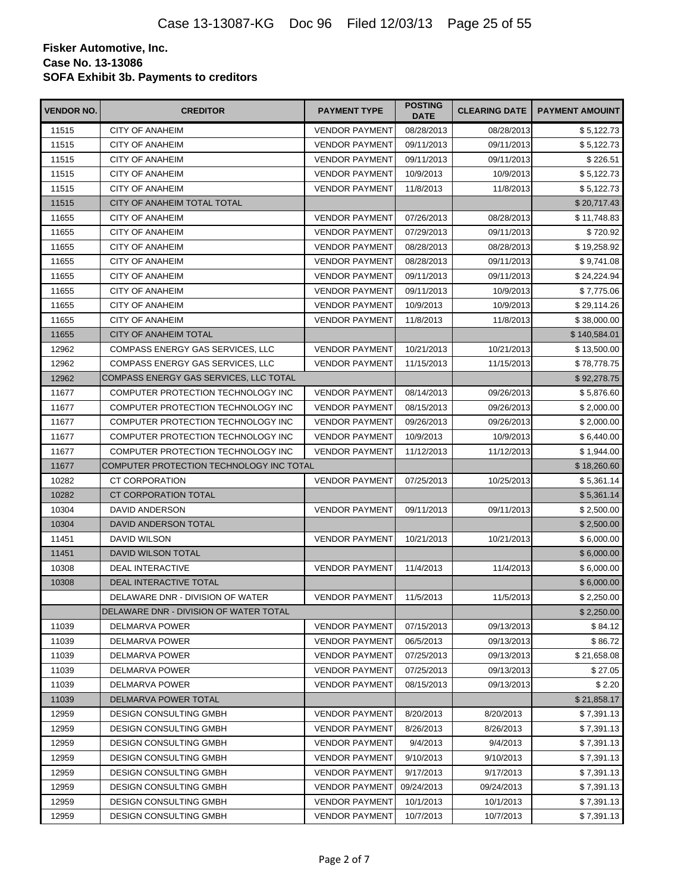| VENDOR NO. | <b>CREDITOR</b>                          | <b>PAYMENT TYPE</b>   | <b>POSTING</b><br><b>DATE</b> | <b>CLEARING DATE</b> | <b>PAYMENT AMOUINT</b> |
|------------|------------------------------------------|-----------------------|-------------------------------|----------------------|------------------------|
| 11515      | <b>CITY OF ANAHEIM</b>                   | <b>VENDOR PAYMENT</b> | 08/28/2013                    | 08/28/2013           | \$5,122.73             |
| 11515      | <b>CITY OF ANAHEIM</b>                   | <b>VENDOR PAYMENT</b> | 09/11/2013                    | 09/11/2013           | \$5,122.73             |
| 11515      | <b>CITY OF ANAHEIM</b>                   | <b>VENDOR PAYMENT</b> | 09/11/2013                    | 09/11/2013           | \$226.51               |
| 11515      | <b>CITY OF ANAHEIM</b>                   | <b>VENDOR PAYMENT</b> | 10/9/2013                     | 10/9/2013            | \$5,122.73             |
| 11515      | <b>CITY OF ANAHEIM</b>                   | <b>VENDOR PAYMENT</b> | 11/8/2013                     | 11/8/2013            | \$5,122.73             |
| 11515      | CITY OF ANAHEIM TOTAL TOTAL              |                       |                               |                      | \$20,717.43            |
| 11655      | <b>CITY OF ANAHEIM</b>                   | <b>VENDOR PAYMENT</b> | 07/26/2013                    | 08/28/2013           | \$11,748.83            |
| 11655      | <b>CITY OF ANAHEIM</b>                   | <b>VENDOR PAYMENT</b> | 07/29/2013                    | 09/11/2013           | \$720.92               |
| 11655      | <b>CITY OF ANAHEIM</b>                   | <b>VENDOR PAYMENT</b> | 08/28/2013                    | 08/28/2013           | \$19,258.92            |
| 11655      | <b>CITY OF ANAHEIM</b>                   | <b>VENDOR PAYMENT</b> | 08/28/2013                    | 09/11/2013           | \$9,741.08             |
| 11655      | <b>CITY OF ANAHEIM</b>                   | <b>VENDOR PAYMENT</b> | 09/11/2013                    | 09/11/2013           | \$24,224.94            |
| 11655      | <b>CITY OF ANAHEIM</b>                   | <b>VENDOR PAYMENT</b> | 09/11/2013                    | 10/9/2013            | \$7,775.06             |
| 11655      | <b>CITY OF ANAHEIM</b>                   | <b>VENDOR PAYMENT</b> | 10/9/2013                     | 10/9/2013            | \$29,114.26            |
| 11655      | <b>CITY OF ANAHEIM</b>                   | <b>VENDOR PAYMENT</b> | 11/8/2013                     | 11/8/2013            | \$38,000.00            |
| 11655      | <b>CITY OF ANAHEIM TOTAL</b>             |                       |                               |                      | \$140,584.01           |
| 12962      | <b>COMPASS ENERGY GAS SERVICES, LLC</b>  | <b>VENDOR PAYMENT</b> | 10/21/2013                    | 10/21/2013           | \$13,500.00            |
| 12962      | COMPASS ENERGY GAS SERVICES, LLC         | <b>VENDOR PAYMENT</b> | 11/15/2013                    | 11/15/2013           | \$78,778.75            |
| 12962      | COMPASS ENERGY GAS SERVICES, LLC TOTAL   |                       |                               |                      | \$92,278.75            |
| 11677      | COMPUTER PROTECTION TECHNOLOGY INC       | <b>VENDOR PAYMENT</b> | 08/14/2013                    | 09/26/2013           | \$5,876.60             |
| 11677      | COMPUTER PROTECTION TECHNOLOGY INC       | <b>VENDOR PAYMENT</b> | 08/15/2013                    | 09/26/2013           | \$2,000.00             |
| 11677      | COMPUTER PROTECTION TECHNOLOGY INC       | <b>VENDOR PAYMENT</b> | 09/26/2013                    | 09/26/2013           | \$2,000.00             |
| 11677      | COMPUTER PROTECTION TECHNOLOGY INC       | <b>VENDOR PAYMENT</b> | 10/9/2013                     | 10/9/2013            | \$6,440.00             |
| 11677      | COMPUTER PROTECTION TECHNOLOGY INC       | <b>VENDOR PAYMENT</b> | 11/12/2013                    | 11/12/2013           | \$1,944.00             |
| 11677      | COMPUTER PROTECTION TECHNOLOGY INC TOTAL |                       |                               |                      | \$18,260.60            |
| 10282      | <b>CT CORPORATION</b>                    | <b>VENDOR PAYMENT</b> | 07/25/2013                    | 10/25/2013           | \$5,361.14             |
| 10282      | <b>CT CORPORATION TOTAL</b>              |                       |                               |                      | \$5,361.14             |
| 10304      | DAVID ANDERSON                           | <b>VENDOR PAYMENT</b> | 09/11/2013                    | 09/11/2013           | \$2,500.00             |
| 10304      | <b>DAVID ANDERSON TOTAL</b>              |                       |                               |                      | \$2,500.00             |
| 11451      | <b>DAVID WILSON</b>                      | <b>VENDOR PAYMENT</b> | 10/21/2013                    | 10/21/2013           | \$6,000.00             |
| 11451      | DAVID WILSON TOTAL                       |                       |                               |                      | \$6,000.00             |
| 10308      | <b>DEAL INTERACTIVE</b>                  | <b>VENDOR PAYMENT</b> | 11/4/2013                     | 11/4/2013            | \$6,000.00             |
| 10308      | DEAL INTERACTIVE TOTAL                   |                       |                               |                      | \$6,000.00             |
|            | DELAWARE DNR - DIVISION OF WATER         | <b>VENDOR PAYMENT</b> | 11/5/2013                     | 11/5/2013            | \$2,250.00             |
|            | DELAWARE DNR - DIVISION OF WATER TOTAL   |                       |                               |                      | \$2,250.00             |
| 11039      | DELMARVA POWER                           | <b>VENDOR PAYMENT</b> | 07/15/2013                    | 09/13/2013           | \$84.12                |
| 11039      | <b>DELMARVA POWER</b>                    | <b>VENDOR PAYMENT</b> | 06/5/2013                     | 09/13/2013           | \$86.72                |
| 11039      | DELMARVA POWER                           | <b>VENDOR PAYMENT</b> | 07/25/2013                    | 09/13/2013           | \$21,658.08            |
| 11039      | DELMARVA POWER                           | <b>VENDOR PAYMENT</b> | 07/25/2013                    | 09/13/2013           | \$27.05                |
| 11039      | DELMARVA POWER                           | <b>VENDOR PAYMENT</b> | 08/15/2013                    | 09/13/2013           | \$2.20                 |
| 11039      | DELMARVA POWER TOTAL                     |                       |                               |                      | \$21,858.17            |
| 12959      | <b>DESIGN CONSULTING GMBH</b>            | <b>VENDOR PAYMENT</b> | 8/20/2013                     | 8/20/2013            | \$7,391.13             |
| 12959      | <b>DESIGN CONSULTING GMBH</b>            | <b>VENDOR PAYMENT</b> | 8/26/2013                     | 8/26/2013            | \$7,391.13             |
| 12959      | <b>DESIGN CONSULTING GMBH</b>            | <b>VENDOR PAYMENT</b> | 9/4/2013                      | 9/4/2013             | \$ 7,391.13            |
| 12959      | <b>DESIGN CONSULTING GMBH</b>            | <b>VENDOR PAYMENT</b> | 9/10/2013                     | 9/10/2013            | \$7,391.13             |
| 12959      | <b>DESIGN CONSULTING GMBH</b>            | <b>VENDOR PAYMENT</b> | 9/17/2013                     | 9/17/2013            | \$ 7,391.13            |
| 12959      | <b>DESIGN CONSULTING GMBH</b>            | <b>VENDOR PAYMENT</b> | 09/24/2013                    | 09/24/2013           | \$7,391.13             |
| 12959      | <b>DESIGN CONSULTING GMBH</b>            | <b>VENDOR PAYMENT</b> | 10/1/2013                     | 10/1/2013            | \$7,391.13             |
| 12959      | <b>DESIGN CONSULTING GMBH</b>            | <b>VENDOR PAYMENT</b> | 10/7/2013                     | 10/7/2013            | \$7,391.13             |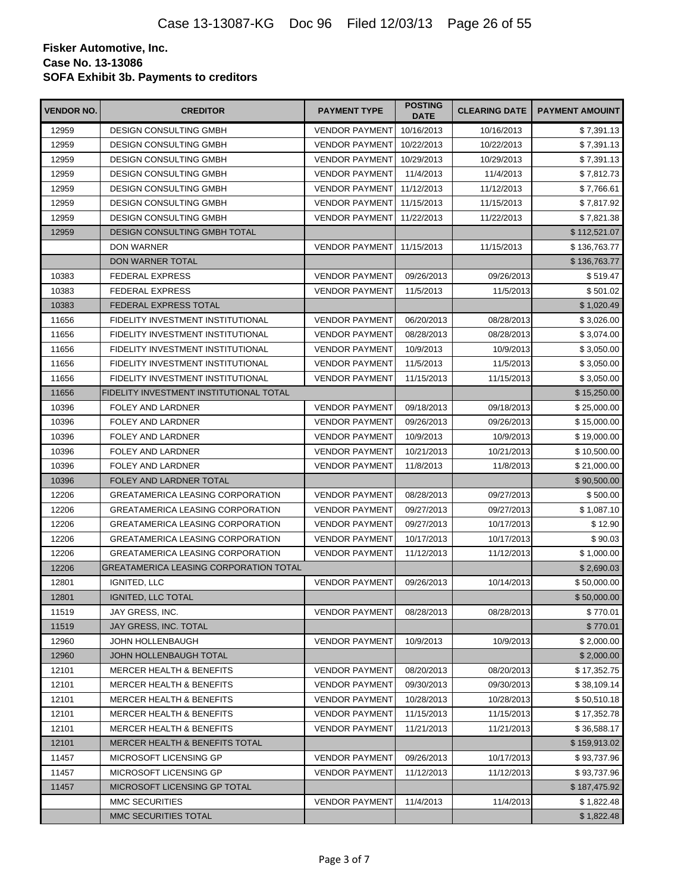| <b>VENDOR NO.</b> | <b>CREDITOR</b>                         | <b>PAYMENT TYPE</b>   | <b>POSTING</b><br><b>DATE</b> | <b>CLEARING DATE</b> | <b>PAYMENT AMOUINT</b> |
|-------------------|-----------------------------------------|-----------------------|-------------------------------|----------------------|------------------------|
| 12959             | <b>DESIGN CONSULTING GMBH</b>           | <b>VENDOR PAYMENT</b> | 10/16/2013                    | 10/16/2013           | \$7,391.13             |
| 12959             | <b>DESIGN CONSULTING GMBH</b>           | <b>VENDOR PAYMENT</b> | 10/22/2013                    | 10/22/2013           | \$7,391.13             |
| 12959             | <b>DESIGN CONSULTING GMBH</b>           | <b>VENDOR PAYMENT</b> | 10/29/2013                    | 10/29/2013           | \$7,391.13             |
| 12959             | <b>DESIGN CONSULTING GMBH</b>           | <b>VENDOR PAYMENT</b> | 11/4/2013                     | 11/4/2013            | \$7,812.73             |
| 12959             | <b>DESIGN CONSULTING GMBH</b>           | <b>VENDOR PAYMENT</b> | 11/12/2013                    | 11/12/2013           | \$7,766.61             |
| 12959             | DESIGN CONSULTING GMBH                  | <b>VENDOR PAYMENT</b> | 11/15/2013                    | 11/15/2013           | \$7,817.92             |
| 12959             | <b>DESIGN CONSULTING GMBH</b>           | <b>VENDOR PAYMENT</b> | 11/22/2013                    | 11/22/2013           | \$7,821.38             |
| 12959             | <b>DESIGN CONSULTING GMBH TOTAL</b>     |                       |                               |                      | \$112,521.07           |
|                   | <b>DON WARNER</b>                       | <b>VENDOR PAYMENT</b> | 11/15/2013                    | 11/15/2013           | \$136,763.77           |
|                   | <b>DON WARNER TOTAL</b>                 |                       |                               |                      | \$136,763.77           |
| 10383             | <b>FEDERAL EXPRESS</b>                  | <b>VENDOR PAYMENT</b> | 09/26/2013                    | 09/26/2013           | \$519.47               |
| 10383             | <b>FEDERAL EXPRESS</b>                  | <b>VENDOR PAYMENT</b> | 11/5/2013                     | 11/5/2013            | \$501.02               |
| 10383             | FEDERAL EXPRESS TOTAL                   |                       |                               |                      | \$1,020.49             |
| 11656             | FIDELITY INVESTMENT INSTITUTIONAL       | <b>VENDOR PAYMENT</b> | 06/20/2013                    | 08/28/2013           | \$3,026.00             |
| 11656             | FIDELITY INVESTMENT INSTITUTIONAL       | <b>VENDOR PAYMENT</b> | 08/28/2013                    | 08/28/2013           | \$3,074.00             |
| 11656             | FIDELITY INVESTMENT INSTITUTIONAL       | <b>VENDOR PAYMENT</b> | 10/9/2013                     | 10/9/2013            | \$3,050.00             |
| 11656             | FIDELITY INVESTMENT INSTITUTIONAL       | <b>VENDOR PAYMENT</b> | 11/5/2013                     | 11/5/2013            | \$3,050.00             |
| 11656             | FIDELITY INVESTMENT INSTITUTIONAL       | <b>VENDOR PAYMENT</b> | 11/15/2013                    | 11/15/2013           | \$3,050.00             |
| 11656             | FIDELITY INVESTMENT INSTITUTIONAL TOTAL |                       |                               |                      | \$15,250.00            |
| 10396             | FOLEY AND LARDNER                       | <b>VENDOR PAYMENT</b> | 09/18/2013                    | 09/18/2013           | \$25,000.00            |
| 10396             | FOLEY AND LARDNER                       | <b>VENDOR PAYMENT</b> | 09/26/2013                    | 09/26/2013           | \$15,000.00            |
| 10396             | FOLEY AND LARDNER                       | <b>VENDOR PAYMENT</b> | 10/9/2013                     | 10/9/2013            | \$19,000.00            |
| 10396             | FOLEY AND LARDNER                       | <b>VENDOR PAYMENT</b> | 10/21/2013                    | 10/21/2013           | \$10,500.00            |
| 10396             | FOLEY AND LARDNER                       | <b>VENDOR PAYMENT</b> | 11/8/2013                     | 11/8/2013            | \$21,000.00            |
| 10396             | FOLEY AND LARDNER TOTAL                 |                       |                               |                      | \$90,500.00            |
| 12206             | <b>GREATAMERICA LEASING CORPORATION</b> | <b>VENDOR PAYMENT</b> | 08/28/2013                    | 09/27/2013           | \$500.00               |
| 12206             | <b>GREATAMERICA LEASING CORPORATION</b> | <b>VENDOR PAYMENT</b> | 09/27/2013                    | 09/27/2013           | \$1,087.10             |
| 12206             | <b>GREATAMERICA LEASING CORPORATION</b> | <b>VENDOR PAYMENT</b> | 09/27/2013                    | 10/17/2013           | \$12.90                |
| 12206             | <b>GREATAMERICA LEASING CORPORATION</b> | <b>VENDOR PAYMENT</b> | 10/17/2013                    | 10/17/2013           | \$90.03                |
| 12206             | <b>GREATAMERICA LEASING CORPORATION</b> | <b>VENDOR PAYMENT</b> | 11/12/2013                    | 11/12/2013           | \$1,000.00             |
| 12206             | GREATAMERICA LEASING CORPORATION TOTAL  |                       |                               |                      | \$2,690.03             |
| 12801             | <b>IGNITED, LLC</b>                     | <b>VENDOR PAYMENT</b> | 09/26/2013                    | 10/14/2013           | \$50,000.00            |
| 12801             | <b>IGNITED, LLC TOTAL</b>               |                       |                               |                      | \$50,000.00            |
| 11519             | JAY GRESS, INC.                         | <b>VENDOR PAYMENT</b> | 08/28/2013                    | 08/28/2013           | \$770.01               |
| 11519             | JAY GRESS, INC. TOTAL                   |                       |                               |                      | \$770.01               |
| 12960             | <b>JOHN HOLLENBAUGH</b>                 | <b>VENDOR PAYMENT</b> | 10/9/2013                     | 10/9/2013            | \$2,000.00             |
| 12960             | JOHN HOLLENBAUGH TOTAL                  |                       |                               |                      | \$2,000.00             |
| 12101             | MERCER HEALTH & BENEFITS                | <b>VENDOR PAYMENT</b> | 08/20/2013                    | 08/20/2013           | \$17,352.75            |
| 12101             | MERCER HEALTH & BENEFITS                | <b>VENDOR PAYMENT</b> | 09/30/2013                    | 09/30/2013           | \$38,109.14            |
| 12101             | <b>MERCER HEALTH &amp; BENEFITS</b>     | <b>VENDOR PAYMENT</b> | 10/28/2013                    | 10/28/2013           | \$50,510.18            |
| 12101             | MERCER HEALTH & BENEFITS                | <b>VENDOR PAYMENT</b> | 11/15/2013                    | 11/15/2013           | \$17,352.78            |
| 12101             | MERCER HEALTH & BENEFITS                | <b>VENDOR PAYMENT</b> | 11/21/2013                    | 11/21/2013           | \$36,588.17            |
| 12101             | MERCER HEALTH & BENEFITS TOTAL          |                       |                               |                      | \$159,913.02           |
| 11457             | MICROSOFT LICENSING GP                  | <b>VENDOR PAYMENT</b> | 09/26/2013                    | 10/17/2013           | \$93,737.96            |
| 11457             | MICROSOFT LICENSING GP                  | <b>VENDOR PAYMENT</b> | 11/12/2013                    | 11/12/2013           | \$93,737.96            |
| 11457             | MICROSOFT LICENSING GP TOTAL            |                       |                               |                      | \$187,475.92           |
|                   | <b>MMC SECURITIES</b>                   | <b>VENDOR PAYMENT</b> | 11/4/2013                     | 11/4/2013            | \$1,822.48             |
|                   | MMC SECURITIES TOTAL                    |                       |                               |                      | \$1,822.48             |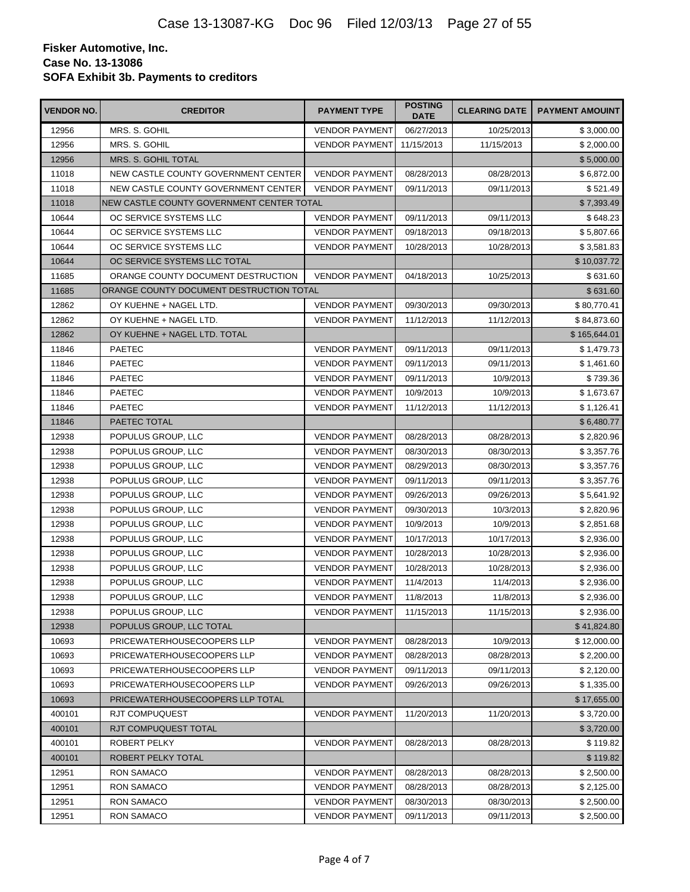| <b>VENDOR NO.</b> | <b>CREDITOR</b>                           | <b>PAYMENT TYPE</b>   | <b>POSTING</b><br><b>DATE</b> | <b>CLEARING DATE</b> | <b>PAYMENT AMOUINT</b> |
|-------------------|-------------------------------------------|-----------------------|-------------------------------|----------------------|------------------------|
| 12956             | MRS. S. GOHIL                             | <b>VENDOR PAYMENT</b> | 06/27/2013                    | 10/25/2013           | \$3,000.00             |
| 12956             | MRS. S. GOHIL                             | <b>VENDOR PAYMENT</b> | 11/15/2013                    | 11/15/2013           | \$2,000.00             |
| 12956             | MRS. S. GOHIL TOTAL                       |                       |                               |                      | \$5,000.00             |
| 11018             | NEW CASTLE COUNTY GOVERNMENT CENTER       | <b>VENDOR PAYMENT</b> | 08/28/2013                    | 08/28/2013           | \$6,872.00             |
| 11018             | NEW CASTLE COUNTY GOVERNMENT CENTER       | <b>VENDOR PAYMENT</b> | 09/11/2013                    | 09/11/2013           | \$521.49               |
| 11018             | NEW CASTLE COUNTY GOVERNMENT CENTER TOTAL |                       |                               |                      | \$7,393.49             |
| 10644             | OC SERVICE SYSTEMS LLC                    | <b>VENDOR PAYMENT</b> | 09/11/2013                    | 09/11/2013           | \$648.23               |
| 10644             | OC SERVICE SYSTEMS LLC                    | <b>VENDOR PAYMENT</b> | 09/18/2013                    | 09/18/2013           | \$5,807.66             |
| 10644             | OC SERVICE SYSTEMS LLC                    | <b>VENDOR PAYMENT</b> | 10/28/2013                    | 10/28/2013           | \$3,581.83             |
| 10644             | OC SERVICE SYSTEMS LLC TOTAL              |                       |                               |                      | \$10,037.72            |
| 11685             | ORANGE COUNTY DOCUMENT DESTRUCTION        | <b>VENDOR PAYMENT</b> | 04/18/2013                    | 10/25/2013           | \$631.60               |
| 11685             | ORANGE COUNTY DOCUMENT DESTRUCTION TOTAL  |                       |                               |                      | \$631.60               |
| 12862             | OY KUEHNE + NAGEL LTD.                    | <b>VENDOR PAYMENT</b> | 09/30/2013                    | 09/30/2013           | \$80,770.41            |
| 12862             | OY KUEHNE + NAGEL LTD.                    | <b>VENDOR PAYMENT</b> | 11/12/2013                    | 11/12/2013           | \$84,873.60            |
| 12862             | OY KUEHNE + NAGEL LTD. TOTAL              |                       |                               |                      | \$165,644.01           |
| 11846             | <b>PAETEC</b>                             | <b>VENDOR PAYMENT</b> | 09/11/2013                    | 09/11/2013           | \$1,479.73             |
| 11846             | PAETEC                                    | <b>VENDOR PAYMENT</b> | 09/11/2013                    | 09/11/2013           | \$1,461.60             |
| 11846             | <b>PAETEC</b>                             | <b>VENDOR PAYMENT</b> | 09/11/2013                    | 10/9/2013            | \$739.36               |
| 11846             | PAETEC                                    | <b>VENDOR PAYMENT</b> | 10/9/2013                     | 10/9/2013            | \$1,673.67             |
| 11846             | <b>PAETEC</b>                             | <b>VENDOR PAYMENT</b> | 11/12/2013                    | 11/12/2013           | \$1,126.41             |
| 11846             | PAETEC TOTAL                              |                       |                               |                      | \$6,480.77             |
| 12938             | POPULUS GROUP, LLC                        | <b>VENDOR PAYMENT</b> | 08/28/2013                    | 08/28/2013           | \$ 2,820.96            |
| 12938             | POPULUS GROUP, LLC                        | <b>VENDOR PAYMENT</b> | 08/30/2013                    | 08/30/2013           | \$3,357.76             |
| 12938             | POPULUS GROUP, LLC                        | <b>VENDOR PAYMENT</b> | 08/29/2013                    | 08/30/2013           | \$3,357.76             |
| 12938             | POPULUS GROUP, LLC                        | <b>VENDOR PAYMENT</b> | 09/11/2013                    | 09/11/2013           | \$3,357.76             |
| 12938             | POPULUS GROUP, LLC                        | <b>VENDOR PAYMENT</b> | 09/26/2013                    | 09/26/2013           | \$5,641.92             |
| 12938             | POPULUS GROUP, LLC                        | <b>VENDOR PAYMENT</b> | 09/30/2013                    | 10/3/2013            | \$2,820.96             |
| 12938             | POPULUS GROUP, LLC                        | <b>VENDOR PAYMENT</b> | 10/9/2013                     | 10/9/2013            | \$2,851.68             |
| 12938             | POPULUS GROUP, LLC                        | <b>VENDOR PAYMENT</b> | 10/17/2013                    | 10/17/2013           | \$2,936.00             |
| 12938             | POPULUS GROUP, LLC                        | <b>VENDOR PAYMENT</b> | 10/28/2013                    | 10/28/2013           | \$2,936.00             |
| 12938             | POPULUS GROUP, LLC                        | <b>VENDOR PAYMENT</b> | 10/28/2013                    | 10/28/2013           | \$2,936.00             |
| 12938             | POPULUS GROUP, LLC                        | <b>VENDOR PAYMENT</b> | 11/4/2013                     | 11/4/2013            | \$2,936.00             |
| 12938             | POPULUS GROUP, LLC                        | <b>VENDOR PAYMENT</b> | 11/8/2013                     | 11/8/2013            | \$2,936.00             |
| 12938             | POPULUS GROUP, LLC                        | <b>VENDOR PAYMENT</b> | 11/15/2013                    | 11/15/2013           | \$2,936.00             |
| 12938             | POPULUS GROUP, LLC TOTAL                  |                       |                               |                      | \$41,824.80            |
| 10693             | PRICEWATERHOUSECOOPERS LLP                | <b>VENDOR PAYMENT</b> | 08/28/2013                    | 10/9/2013            | \$12,000.00            |
| 10693             | PRICEWATERHOUSECOOPERS LLP                | <b>VENDOR PAYMENT</b> | 08/28/2013                    | 08/28/2013           | \$2,200.00             |
| 10693             | PRICEWATERHOUSECOOPERS LLP                | <b>VENDOR PAYMENT</b> | 09/11/2013                    | 09/11/2013           | \$2,120.00             |
| 10693             | PRICEWATERHOUSECOOPERS LLP                | <b>VENDOR PAYMENT</b> | 09/26/2013                    | 09/26/2013           | \$1,335.00             |
| 10693             | PRICEWATERHOUSECOOPERS LLP TOTAL          |                       |                               |                      | \$17,655.00            |
| 400101            | <b>RJT COMPUQUEST</b>                     | <b>VENDOR PAYMENT</b> | 11/20/2013                    | 11/20/2013           | \$3,720.00             |
| 400101            | RJT COMPUQUEST TOTAL                      |                       |                               |                      | \$3,720.00             |
| 400101            | ROBERT PELKY                              | <b>VENDOR PAYMENT</b> | 08/28/2013                    | 08/28/2013           | \$119.82               |
| 400101            | ROBERT PELKY TOTAL                        |                       |                               |                      | \$119.82               |
| 12951             | RON SAMACO                                | <b>VENDOR PAYMENT</b> | 08/28/2013                    | 08/28/2013           | \$2,500.00             |
| 12951             | RON SAMACO                                | <b>VENDOR PAYMENT</b> | 08/28/2013                    | 08/28/2013           | \$2,125.00             |
| 12951             | RON SAMACO                                | <b>VENDOR PAYMENT</b> | 08/30/2013                    | 08/30/2013           | \$2,500.00             |
| 12951             | RON SAMACO                                | <b>VENDOR PAYMENT</b> | 09/11/2013                    | 09/11/2013           | \$2,500.00             |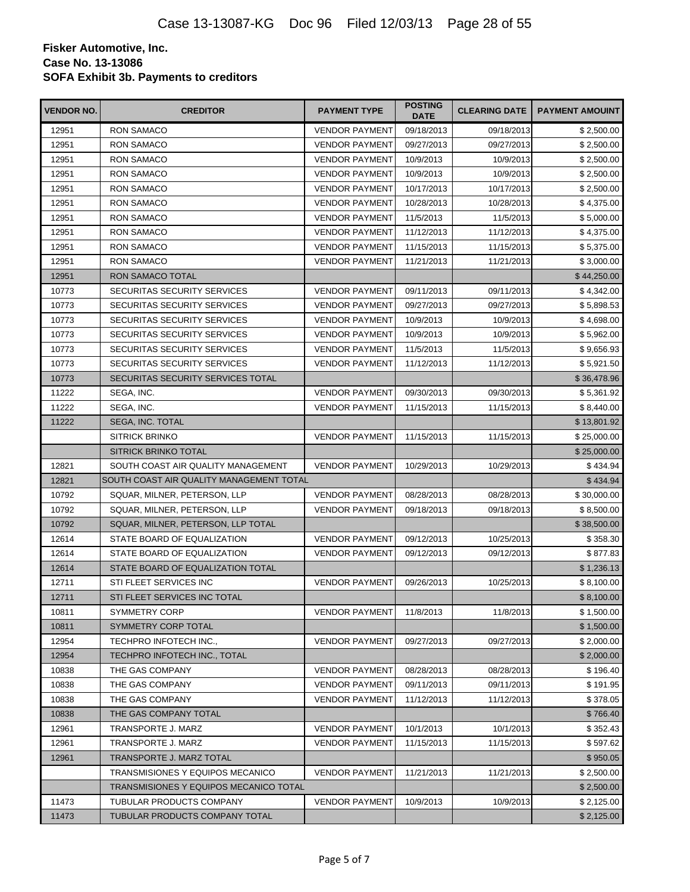| VENDOR NO. | <b>CREDITOR</b>                               | <b>PAYMENT TYPE</b>   | <b>POSTING</b><br><b>DATE</b> | <b>CLEARING DATE</b> | <b>PAYMENT AMOUINT</b> |
|------------|-----------------------------------------------|-----------------------|-------------------------------|----------------------|------------------------|
| 12951      | <b>RON SAMACO</b>                             | <b>VENDOR PAYMENT</b> | 09/18/2013                    | 09/18/2013           | \$2,500.00             |
| 12951      | <b>RON SAMACO</b>                             | <b>VENDOR PAYMENT</b> | 09/27/2013                    | 09/27/2013           | \$2,500.00             |
| 12951      | <b>RON SAMACO</b>                             | <b>VENDOR PAYMENT</b> | 10/9/2013                     | 10/9/2013            | \$2,500.00             |
| 12951      | <b>RON SAMACO</b>                             | <b>VENDOR PAYMENT</b> | 10/9/2013                     | 10/9/2013            | \$2,500.00             |
| 12951      | <b>RON SAMACO</b>                             | <b>VENDOR PAYMENT</b> | 10/17/2013                    | 10/17/2013           | \$2,500.00             |
| 12951      | RON SAMACO                                    | <b>VENDOR PAYMENT</b> | 10/28/2013                    | 10/28/2013           | \$4,375.00             |
| 12951      | <b>RON SAMACO</b>                             | <b>VENDOR PAYMENT</b> | 11/5/2013                     | 11/5/2013            | \$5,000.00             |
| 12951      | <b>RON SAMACO</b>                             | <b>VENDOR PAYMENT</b> | 11/12/2013                    | 11/12/2013           | \$4,375.00             |
| 12951      | RON SAMACO                                    | <b>VENDOR PAYMENT</b> | 11/15/2013                    | 11/15/2013           | \$5,375.00             |
| 12951      | <b>RON SAMACO</b>                             | <b>VENDOR PAYMENT</b> | 11/21/2013                    | 11/21/2013           | \$3,000.00             |
| 12951      | RON SAMACO TOTAL                              |                       |                               |                      | \$44,250.00            |
| 10773      | SECURITAS SECURITY SERVICES                   | <b>VENDOR PAYMENT</b> | 09/11/2013                    | 09/11/2013           | \$4,342.00             |
| 10773      | SECURITAS SECURITY SERVICES                   | <b>VENDOR PAYMENT</b> | 09/27/2013                    | 09/27/2013           | \$5,898.53             |
| 10773      | SECURITAS SECURITY SERVICES                   | <b>VENDOR PAYMENT</b> | 10/9/2013                     | 10/9/2013            | \$4,698.00             |
| 10773      | SECURITAS SECURITY SERVICES                   | <b>VENDOR PAYMENT</b> | 10/9/2013                     | 10/9/2013            | \$5,962.00             |
| 10773      | SECURITAS SECURITY SERVICES                   | <b>VENDOR PAYMENT</b> | 11/5/2013                     | 11/5/2013            | \$9,656.93             |
| 10773      | SECURITAS SECURITY SERVICES                   | <b>VENDOR PAYMENT</b> | 11/12/2013                    | 11/12/2013           | \$5,921.50             |
| 10773      | SECURITAS SECURITY SERVICES TOTAL             |                       |                               |                      | \$36,478.96            |
| 11222      | SEGA, INC.                                    | <b>VENDOR PAYMENT</b> | 09/30/2013                    | 09/30/2013           | \$5,361.92             |
| 11222      | SEGA, INC.                                    | <b>VENDOR PAYMENT</b> | 11/15/2013                    | 11/15/2013           | \$8,440.00             |
| 11222      | SEGA, INC. TOTAL                              |                       |                               |                      | \$13,801.92            |
|            | <b>SITRICK BRINKO</b>                         | <b>VENDOR PAYMENT</b> | 11/15/2013                    | 11/15/2013           | \$25,000.00            |
|            | SITRICK BRINKO TOTAL                          |                       |                               |                      | \$25,000.00            |
| 12821      | SOUTH COAST AIR QUALITY MANAGEMENT            | <b>VENDOR PAYMENT</b> | 10/29/2013                    | 10/29/2013           | \$434.94               |
| 12821      | SOUTH COAST AIR QUALITY MANAGEMENT TOTAL      |                       |                               |                      | \$434.94               |
| 10792      | SQUAR, MILNER, PETERSON, LLP                  | <b>VENDOR PAYMENT</b> | 08/28/2013                    | 08/28/2013           | \$30,000.00            |
| 10792      | SQUAR, MILNER, PETERSON, LLP                  | <b>VENDOR PAYMENT</b> | 09/18/2013                    | 09/18/2013           | \$8,500.00             |
| 10792      | SQUAR, MILNER, PETERSON, LLP TOTAL            |                       |                               |                      | \$38,500.00            |
| 12614      | STATE BOARD OF EQUALIZATION                   | <b>VENDOR PAYMENT</b> | 09/12/2013                    | 10/25/2013           | \$358.30               |
| 12614      | STATE BOARD OF EQUALIZATION                   | <b>VENDOR PAYMENT</b> | 09/12/2013                    | 09/12/2013           | \$877.83               |
| 12614      | STATE BOARD OF EQUALIZATION TOTAL             |                       |                               |                      | \$1,236.13             |
| 12711      | STI FLEET SERVICES INC                        | <b>VENDOR PAYMENT</b> | 09/26/2013                    | 10/25/2013           | \$8,100.00             |
| 12711      | STI FLEET SERVICES INC TOTAL                  |                       |                               |                      | \$8,100.00             |
| 10811      | <b>SYMMETRY CORP</b>                          | <b>VENDOR PAYMENT</b> | 11/8/2013                     | 11/8/2013            | \$1,500.00             |
| 10811      | SYMMETRY CORP TOTAL                           |                       |                               |                      | \$1,500.00             |
| 12954      | <b>TECHPRO INFOTECH INC</b>                   | <b>VENDOR PAYMENT</b> | 09/27/2013                    | 09/27/2013           | \$2,000.00             |
| 12954      | TECHPRO INFOTECH INC., TOTAL                  |                       |                               |                      | \$2,000.00             |
| 10838      | THE GAS COMPANY                               | <b>VENDOR PAYMENT</b> | 08/28/2013                    | 08/28/2013           | \$196.40               |
| 10838      | THE GAS COMPANY                               | <b>VENDOR PAYMENT</b> | 09/11/2013                    | 09/11/2013           | \$191.95               |
| 10838      | THE GAS COMPANY                               | <b>VENDOR PAYMENT</b> | 11/12/2013                    | 11/12/2013           | \$378.05               |
| 10838      | THE GAS COMPANY TOTAL                         |                       |                               |                      | \$766.40               |
| 12961      | TRANSPORTE J. MARZ                            | <b>VENDOR PAYMENT</b> | 10/1/2013                     | 10/1/2013            | \$352.43               |
| 12961      | TRANSPORTE J. MARZ                            | <b>VENDOR PAYMENT</b> | 11/15/2013                    | 11/15/2013           | \$597.62               |
| 12961      | <b>TRANSPORTE J. MARZ TOTAL</b>               |                       |                               |                      | \$950.05               |
|            | TRANSMISIONES Y EQUIPOS MECANICO              | <b>VENDOR PAYMENT</b> | 11/21/2013                    | 11/21/2013           | \$2,500.00             |
|            | <b>TRANSMISIONES Y EQUIPOS MECANICO TOTAL</b> |                       |                               |                      | \$2,500.00             |
| 11473      | TUBULAR PRODUCTS COMPANY                      | <b>VENDOR PAYMENT</b> | 10/9/2013                     | 10/9/2013            | \$2,125.00             |
| 11473      | TUBULAR PRODUCTS COMPANY TOTAL                |                       |                               |                      | \$2,125.00             |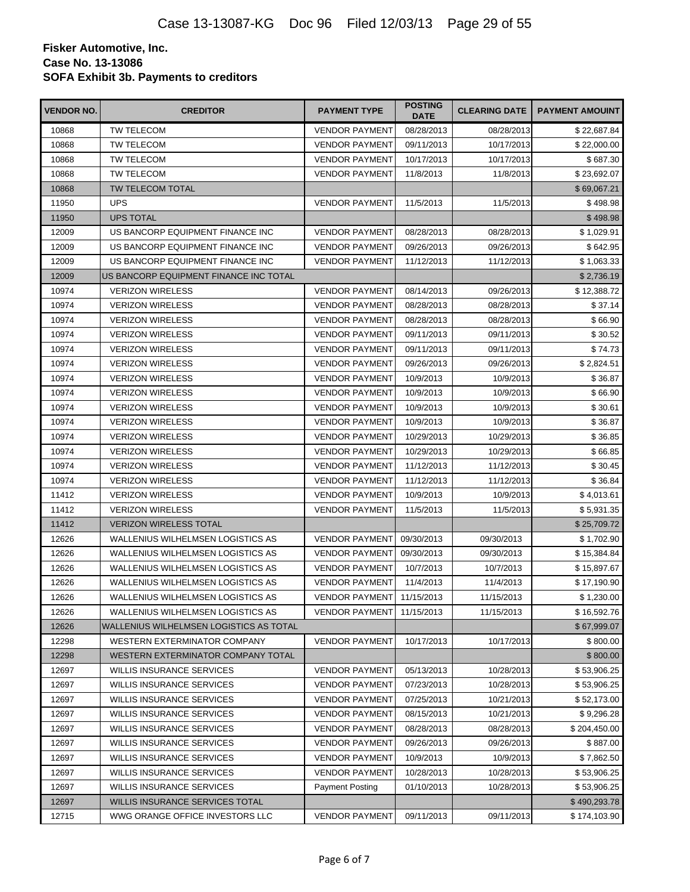| VENDOR NO. | <b>CREDITOR</b>                         | <b>PAYMENT TYPE</b>    | <b>POSTING</b><br><b>DATE</b> | <b>CLEARING DATE</b> | <b>PAYMENT AMOUINT</b> |
|------------|-----------------------------------------|------------------------|-------------------------------|----------------------|------------------------|
| 10868      | <b>TW TELECOM</b>                       | <b>VENDOR PAYMENT</b>  | 08/28/2013                    | 08/28/2013           | \$22,687.84            |
| 10868      | TW TELECOM                              | <b>VENDOR PAYMENT</b>  | 09/11/2013                    | 10/17/2013           | \$22,000.00            |
| 10868      | TW TELECOM                              | <b>VENDOR PAYMENT</b>  | 10/17/2013                    | 10/17/2013           | \$687.30               |
| 10868      | <b>TW TELECOM</b>                       | <b>VENDOR PAYMENT</b>  | 11/8/2013                     | 11/8/2013            | \$23,692.07            |
| 10868      | TW TELECOM TOTAL                        |                        |                               |                      | \$69,067.21            |
| 11950      | <b>UPS</b>                              | <b>VENDOR PAYMENT</b>  | 11/5/2013                     | 11/5/2013            | \$498.98               |
| 11950      | <b>UPS TOTAL</b>                        |                        |                               |                      | \$498.98               |
| 12009      | US BANCORP EQUIPMENT FINANCE INC        | <b>VENDOR PAYMENT</b>  | 08/28/2013                    | 08/28/2013           | \$1,029.91             |
| 12009      | US BANCORP EQUIPMENT FINANCE INC        | <b>VENDOR PAYMENT</b>  | 09/26/2013                    | 09/26/2013           | \$642.95               |
| 12009      | US BANCORP EQUIPMENT FINANCE INC        | <b>VENDOR PAYMENT</b>  | 11/12/2013                    | 11/12/2013           | \$1,063.33             |
| 12009      | US BANCORP EQUIPMENT FINANCE INC TOTAL  |                        |                               |                      | \$2,736.19             |
| 10974      | <b>VERIZON WIRELESS</b>                 | <b>VENDOR PAYMENT</b>  | 08/14/2013                    | 09/26/2013           | \$12,388.72            |
| 10974      | <b>VERIZON WIRELESS</b>                 | <b>VENDOR PAYMENT</b>  | 08/28/2013                    | 08/28/2013           | \$37.14                |
| 10974      | <b>VERIZON WIRELESS</b>                 | <b>VENDOR PAYMENT</b>  | 08/28/2013                    | 08/28/2013           | \$66.90                |
| 10974      | <b>VERIZON WIRELESS</b>                 | <b>VENDOR PAYMENT</b>  | 09/11/2013                    | 09/11/2013           | \$30.52                |
| 10974      | <b>VERIZON WIRELESS</b>                 | <b>VENDOR PAYMENT</b>  | 09/11/2013                    | 09/11/2013           | \$74.73                |
| 10974      | <b>VERIZON WIRELESS</b>                 | <b>VENDOR PAYMENT</b>  | 09/26/2013                    | 09/26/2013           | \$2,824.51             |
| 10974      | <b>VERIZON WIRELESS</b>                 | <b>VENDOR PAYMENT</b>  | 10/9/2013                     | 10/9/2013            | \$36.87                |
| 10974      | <b>VERIZON WIRELESS</b>                 | <b>VENDOR PAYMENT</b>  | 10/9/2013                     | 10/9/2013            | \$66.90                |
| 10974      | <b>VERIZON WIRELESS</b>                 | <b>VENDOR PAYMENT</b>  | 10/9/2013                     | 10/9/2013            | \$30.61                |
| 10974      | <b>VERIZON WIRELESS</b>                 | <b>VENDOR PAYMENT</b>  | 10/9/2013                     | 10/9/2013            | \$36.87                |
| 10974      | <b>VERIZON WIRELESS</b>                 | <b>VENDOR PAYMENT</b>  | 10/29/2013                    | 10/29/2013           | \$36.85                |
| 10974      | <b>VERIZON WIRELESS</b>                 | <b>VENDOR PAYMENT</b>  | 10/29/2013                    | 10/29/2013           | \$66.85                |
| 10974      | <b>VERIZON WIRELESS</b>                 | <b>VENDOR PAYMENT</b>  | 11/12/2013                    | 11/12/2013           | \$30.45                |
| 10974      | <b>VERIZON WIRELESS</b>                 | <b>VENDOR PAYMENT</b>  | 11/12/2013                    | 11/12/2013           | \$36.84                |
| 11412      | <b>VERIZON WIRELESS</b>                 | <b>VENDOR PAYMENT</b>  | 10/9/2013                     | 10/9/2013            | \$4,013.61             |
| 11412      | <b>VERIZON WIRELESS</b>                 | <b>VENDOR PAYMENT</b>  | 11/5/2013                     | 11/5/2013            | \$5,931.35             |
| 11412      | <b>VERIZON WIRELESS TOTAL</b>           |                        |                               |                      | \$25,709.72            |
| 12626      | WALLENIUS WILHELMSEN LOGISTICS AS       | <b>VENDOR PAYMENT</b>  | 09/30/2013                    | 09/30/2013           | \$1,702.90             |
| 12626      | WALLENIUS WILHELMSEN LOGISTICS AS       | <b>VENDOR PAYMENT</b>  | 09/30/2013                    | 09/30/2013           | \$15,384.84            |
| 12626      | WALLENIUS WILHELMSEN LOGISTICS AS       | <b>VENDOR PAYMENT</b>  | 10/7/2013                     | 10/7/2013            | \$15,897.67            |
| 12626      | WALLENIUS WILHELMSEN LOGISTICS AS       | <b>VENDOR PAYMENT</b>  | 11/4/2013                     | 11/4/2013            | \$17,190.90            |
| 12626      | WALLENIUS WILHELMSEN LOGISTICS AS       | <b>VENDOR PAYMENT</b>  | 11/15/2013                    | 11/15/2013           | \$1,230.00             |
| 12626      | WALLENIUS WILHELMSEN LOGISTICS AS       | <b>VENDOR PAYMENT</b>  | 11/15/2013                    | 11/15/2013           | \$16,592.76            |
| 12626      | WALLENIUS WILHELMSEN LOGISTICS AS TOTAL |                        |                               |                      | \$67,999.07            |
| 12298      | WESTERN EXTERMINATOR COMPANY            | <b>VENDOR PAYMENT</b>  | 10/17/2013                    | 10/17/2013           | \$800.00               |
| 12298      | WESTERN EXTERMINATOR COMPANY TOTAL      |                        |                               |                      | \$800.00               |
| 12697      | <b>WILLIS INSURANCE SERVICES</b>        | <b>VENDOR PAYMENT</b>  | 05/13/2013                    | 10/28/2013           | \$53,906.25            |
| 12697      | <b>WILLIS INSURANCE SERVICES</b>        | <b>VENDOR PAYMENT</b>  | 07/23/2013                    | 10/28/2013           | \$53,906.25            |
| 12697      | <b>WILLIS INSURANCE SERVICES</b>        | <b>VENDOR PAYMENT</b>  | 07/25/2013                    | 10/21/2013           | \$52,173.00            |
| 12697      | <b>WILLIS INSURANCE SERVICES</b>        | <b>VENDOR PAYMENT</b>  | 08/15/2013                    | 10/21/2013           | \$9,296.28             |
| 12697      | <b>WILLIS INSURANCE SERVICES</b>        | <b>VENDOR PAYMENT</b>  | 08/28/2013                    | 08/28/2013           | \$204,450.00           |
| 12697      | <b>WILLIS INSURANCE SERVICES</b>        | <b>VENDOR PAYMENT</b>  | 09/26/2013                    | 09/26/2013           | \$887.00               |
| 12697      | <b>WILLIS INSURANCE SERVICES</b>        | <b>VENDOR PAYMENT</b>  | 10/9/2013                     | 10/9/2013            | \$7,862.50             |
| 12697      | <b>WILLIS INSURANCE SERVICES</b>        | <b>VENDOR PAYMENT</b>  | 10/28/2013                    | 10/28/2013           | \$53,906.25            |
| 12697      | WILLIS INSURANCE SERVICES               | <b>Payment Posting</b> | 01/10/2013                    | 10/28/2013           | \$53,906.25            |
| 12697      | WILLIS INSURANCE SERVICES TOTAL         |                        |                               |                      | \$490,293.78           |
| 12715      | WWG ORANGE OFFICE INVESTORS LLC         | <b>VENDOR PAYMENT</b>  | 09/11/2013                    | 09/11/2013           | \$174,103.90           |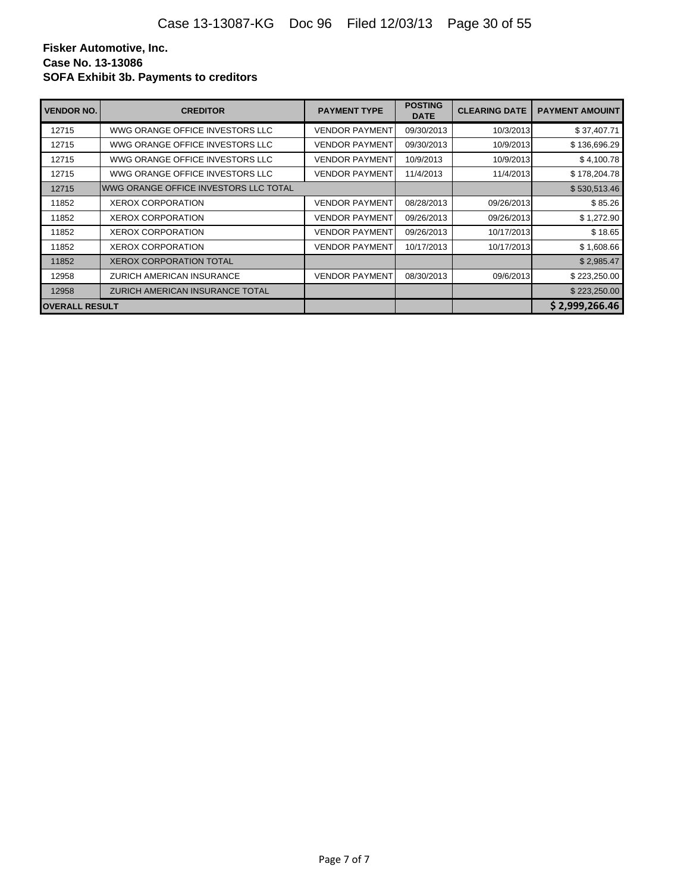| <b>VENDOR NO.</b>     | <b>CREDITOR</b>                       | <b>PAYMENT TYPE</b>   | <b>POSTING</b><br><b>DATE</b> | <b>CLEARING DATE</b> | <b>PAYMENT AMOUINT</b> |
|-----------------------|---------------------------------------|-----------------------|-------------------------------|----------------------|------------------------|
| 12715                 | WWG ORANGE OFFICE INVESTORS LLC       | <b>VENDOR PAYMENT</b> | 09/30/2013                    | 10/3/2013            | \$37,407.71            |
| 12715                 | WWG ORANGE OFFICE INVESTORS LLC       | <b>VENDOR PAYMENT</b> | 09/30/2013                    | 10/9/2013            | \$136,696.29           |
| 12715                 | WWG ORANGE OFFICE INVESTORS LLC       | <b>VENDOR PAYMENT</b> | 10/9/2013                     | 10/9/2013            | \$4,100.78             |
| 12715                 | WWG ORANGE OFFICE INVESTORS LLC       | <b>VENDOR PAYMENT</b> | 11/4/2013                     | 11/4/2013            | \$178,204.78           |
| 12715                 | WWG ORANGE OFFICE INVESTORS LLC TOTAL |                       |                               |                      | \$530,513.46           |
| 11852                 | <b>XEROX CORPORATION</b>              | <b>VENDOR PAYMENT</b> | 08/28/2013                    | 09/26/2013           | \$85.26                |
| 11852                 | <b>XEROX CORPORATION</b>              | <b>VENDOR PAYMENT</b> | 09/26/2013                    | 09/26/2013           | \$1,272.90             |
| 11852                 | <b>XEROX CORPORATION</b>              | <b>VENDOR PAYMENT</b> | 09/26/2013                    | 10/17/2013           | \$18.65                |
| 11852                 | <b>XEROX CORPORATION</b>              | <b>VENDOR PAYMENT</b> | 10/17/2013                    | 10/17/2013           | \$1,608.66             |
| 11852                 | <b>XEROX CORPORATION TOTAL</b>        |                       |                               |                      | \$2,985.47             |
| 12958                 | <b>ZURICH AMERICAN INSURANCE</b>      | <b>VENDOR PAYMENT</b> | 08/30/2013                    | 09/6/2013            | \$223,250.00           |
| 12958                 | ZURICH AMERICAN INSURANCE TOTAL       |                       |                               |                      | \$223,250.00           |
| <b>OVERALL RESULT</b> |                                       |                       |                               |                      | \$2,999,266,46         |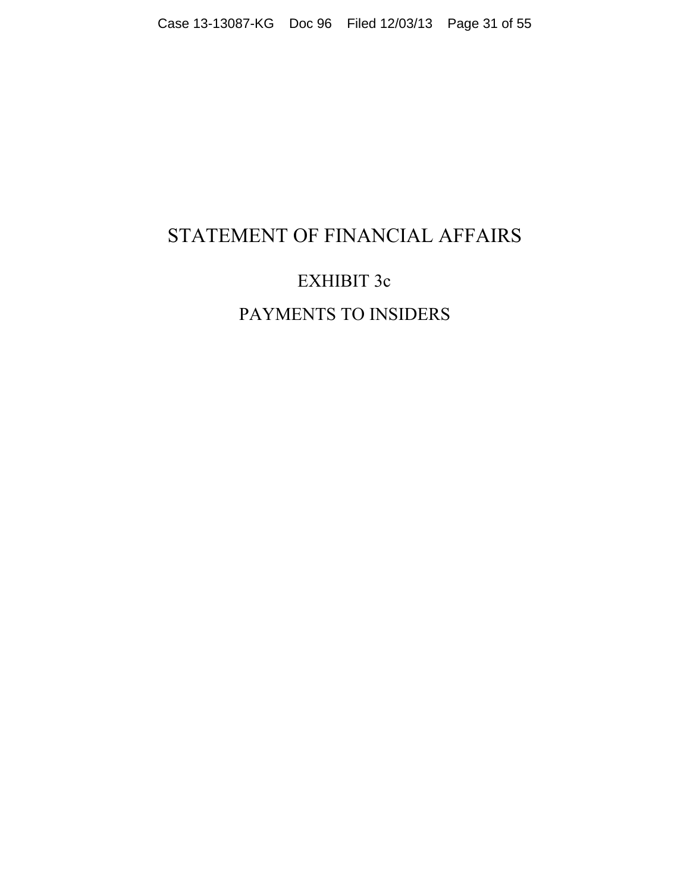# STATEMENT OF FINANCIAL AFFAIRS

# EXHIBIT 3c

# PAYMENTS TO INSIDERS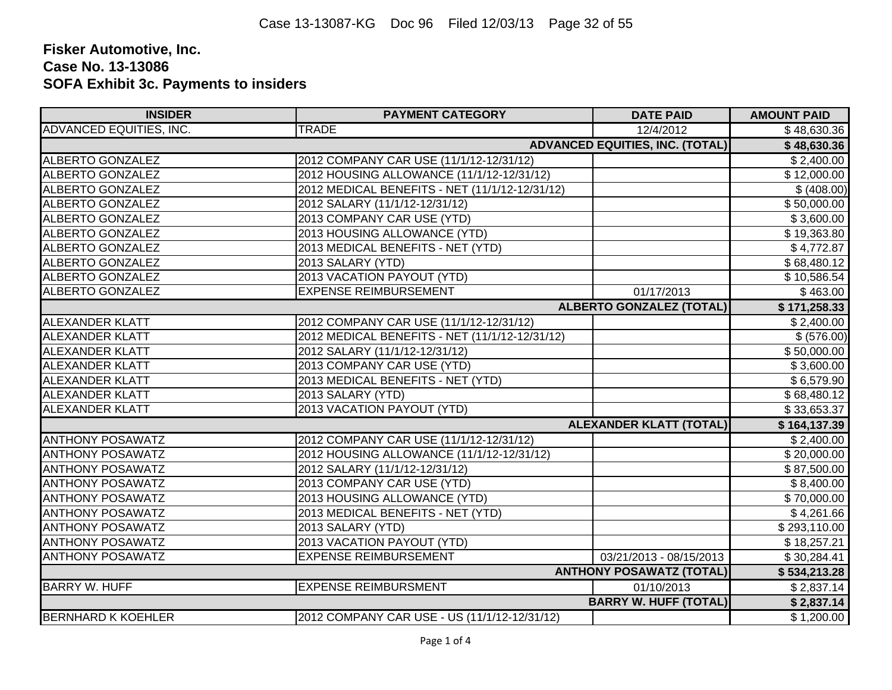| <b>INSIDER</b>               | <b>PAYMENT CATEGORY</b>                        | <b>DATE PAID</b>                       | <b>AMOUNT PAID</b> |  |
|------------------------------|------------------------------------------------|----------------------------------------|--------------------|--|
| ADVANCED EQUITIES, INC.      | TRADE                                          | 12/4/2012                              | \$48,630.36        |  |
|                              |                                                | <b>ADVANCED EQUITIES, INC. (TOTAL)</b> | \$48,630.36        |  |
| <b>ALBERTO GONZALEZ</b>      | 2012 COMPANY CAR USE (11/1/12-12/31/12)        |                                        | \$2,400.00         |  |
| <b>ALBERTO GONZALEZ</b>      | 2012 HOUSING ALLOWANCE (11/1/12-12/31/12)      |                                        | \$12,000.00        |  |
| <b>ALBERTO GONZALEZ</b>      | 2012 MEDICAL BENEFITS - NET (11/1/12-12/31/12) |                                        | \$ (408.00)        |  |
| <b>ALBERTO GONZALEZ</b>      | 2012 SALARY (11/1/12-12/31/12)                 |                                        | \$50,000.00        |  |
| <b>ALBERTO GONZALEZ</b>      | 2013 COMPANY CAR USE (YTD)                     |                                        | \$3,600.00         |  |
| <b>ALBERTO GONZALEZ</b>      | 2013 HOUSING ALLOWANCE (YTD)                   |                                        | \$19,363.80        |  |
| <b>ALBERTO GONZALEZ</b>      | 2013 MEDICAL BENEFITS - NET (YTD)              |                                        | \$4,772.87         |  |
| ALBERTO GONZALEZ             | 2013 SALARY (YTD)                              |                                        | \$68,480.12        |  |
| ALBERTO GONZALEZ             | 2013 VACATION PAYOUT (YTD)                     |                                        | \$10,586.54        |  |
| <b>ALBERTO GONZALEZ</b>      | <b>EXPENSE REIMBURSEMENT</b>                   | 01/17/2013                             | \$463.00           |  |
|                              |                                                | <b>ALBERTO GONZALEZ (TOTAL)</b>        | \$171,258.33       |  |
| <b>ALEXANDER KLATT</b>       | 2012 COMPANY CAR USE (11/1/12-12/31/12)        |                                        | \$2,400.00         |  |
| <b>ALEXANDER KLATT</b>       | 2012 MEDICAL BENEFITS - NET (11/1/12-12/31/12) |                                        | \$ (576.00)        |  |
| <b>ALEXANDER KLATT</b>       | 2012 SALARY (11/1/12-12/31/12)                 |                                        | \$50,000.00        |  |
| <b>ALEXANDER KLATT</b>       | 2013 COMPANY CAR USE (YTD)                     |                                        | \$3,600.00         |  |
| <b>ALEXANDER KLATT</b>       | 2013 MEDICAL BENEFITS - NET (YTD)              |                                        | \$6,579.90         |  |
| <b>ALEXANDER KLATT</b>       | 2013 SALARY (YTD)                              |                                        | \$68,480.12        |  |
| <b>ALEXANDER KLATT</b>       | 2013 VACATION PAYOUT (YTD)                     |                                        | \$33,653.37        |  |
|                              |                                                | <b>ALEXANDER KLATT (TOTAL)</b>         | \$164,137.39       |  |
| <b>ANTHONY POSAWATZ</b>      | 2012 COMPANY CAR USE (11/1/12-12/31/12)        |                                        | \$2,400.00         |  |
| <b>ANTHONY POSAWATZ</b>      | 2012 HOUSING ALLOWANCE (11/1/12-12/31/12)      |                                        | \$20,000.00        |  |
| <b>ANTHONY POSAWATZ</b>      | 2012 SALARY (11/1/12-12/31/12)                 |                                        | \$87,500.00        |  |
| <b>ANTHONY POSAWATZ</b>      | 2013 COMPANY CAR USE (YTD)                     |                                        | \$8,400.00         |  |
| <b>ANTHONY POSAWATZ</b>      | 2013 HOUSING ALLOWANCE (YTD)                   |                                        | \$70,000.00        |  |
| <b>ANTHONY POSAWATZ</b>      | 2013 MEDICAL BENEFITS - NET (YTD)              |                                        | \$4,261.66         |  |
| <b>ANTHONY POSAWATZ</b>      | 2013 SALARY (YTD)                              |                                        | \$293,110.00       |  |
| <b>ANTHONY POSAWATZ</b>      | 2013 VACATION PAYOUT (YTD)                     |                                        | \$18,257.21        |  |
| <b>ANTHONY POSAWATZ</b>      | <b>EXPENSE REIMBURSEMENT</b>                   | 03/21/2013 - 08/15/2013                | \$30,284.41        |  |
|                              |                                                | <b>ANTHONY POSAWATZ (TOTAL)</b>        | \$534,213.28       |  |
| <b>BARRY W. HUFF</b>         | <b>EXPENSE REIMBURSMENT</b>                    | 01/10/2013                             | \$2,837.14         |  |
| <b>BARRY W. HUFF (TOTAL)</b> |                                                |                                        |                    |  |
| <b>BERNHARD K KOEHLER</b>    | 2012 COMPANY CAR USE - US (11/1/12-12/31/12)   |                                        | \$1,200.00         |  |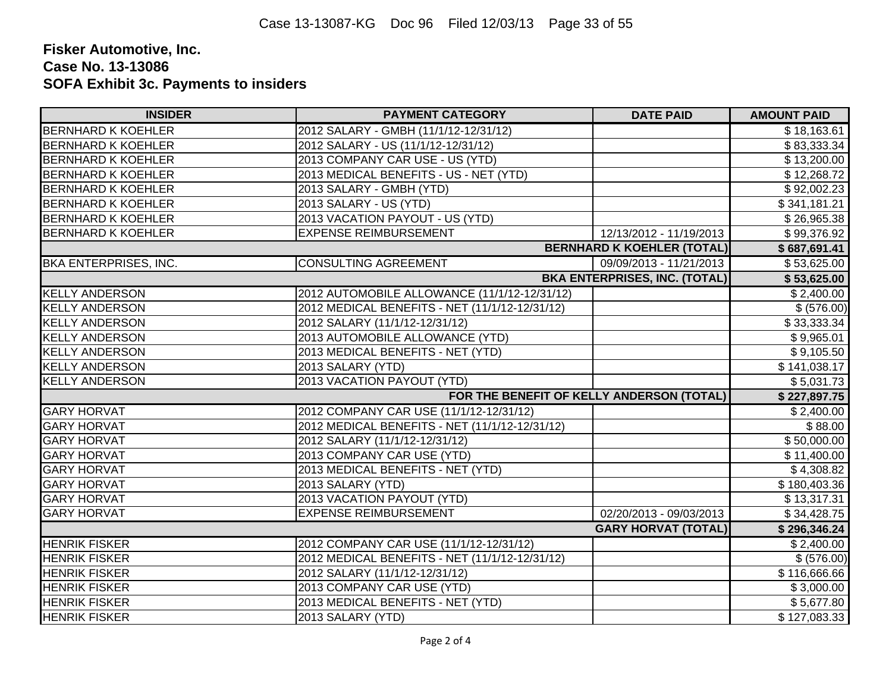| <b>INSIDER</b>                    | <b>PAYMENT CATEGORY</b>                        | <b>DATE PAID</b>                     | <b>AMOUNT PAID</b> |
|-----------------------------------|------------------------------------------------|--------------------------------------|--------------------|
| <b>BERNHARD K KOEHLER</b>         | 2012 SALARY - GMBH (11/1/12-12/31/12)          |                                      | \$18,163.61        |
| <b>BERNHARD K KOEHLER</b>         | 2012 SALARY - US (11/1/12-12/31/12)            |                                      | \$83,333.34        |
| <b>BERNHARD K KOEHLER</b>         | 2013 COMPANY CAR USE - US (YTD)                |                                      | \$13,200.00        |
| <b>BERNHARD K KOEHLER</b>         | 2013 MEDICAL BENEFITS - US - NET (YTD)         |                                      | \$12,268.72        |
| <b>BERNHARD K KOEHLER</b>         | 2013 SALARY - GMBH (YTD)                       |                                      | \$92,002.23        |
| <b>BERNHARD K KOEHLER</b>         | 2013 SALARY - US (YTD)                         |                                      | \$341,181.21       |
| <b>BERNHARD K KOEHLER</b>         | 2013 VACATION PAYOUT - US (YTD)                |                                      | \$26,965.38        |
| <b>BERNHARD K KOEHLER</b>         | <b>EXPENSE REIMBURSEMENT</b>                   | 12/13/2012 - 11/19/2013              | \$99,376.92        |
| <b>BERNHARD K KOEHLER (TOTAL)</b> |                                                |                                      |                    |
| <b>BKA ENTERPRISES, INC.</b>      | <b>CONSULTING AGREEMENT</b>                    | 09/09/2013 - 11/21/2013              | \$53,625.00        |
|                                   |                                                | <b>BKA ENTERPRISES, INC. (TOTAL)</b> | \$53,625.00        |
| <b>KELLY ANDERSON</b>             | 2012 AUTOMOBILE ALLOWANCE (11/1/12-12/31/12)   |                                      | \$2,400.00         |
| <b>KELLY ANDERSON</b>             | 2012 MEDICAL BENEFITS - NET (11/1/12-12/31/12) |                                      | \$ (576.00)        |
| <b>KELLY ANDERSON</b>             | 2012 SALARY (11/1/12-12/31/12)                 |                                      | \$33,333.34        |
| <b>KELLY ANDERSON</b>             | 2013 AUTOMOBILE ALLOWANCE (YTD)                |                                      | \$9,965.01         |
| <b>KELLY ANDERSON</b>             | 2013 MEDICAL BENEFITS - NET (YTD)              |                                      | \$9,105.50         |
| <b>KELLY ANDERSON</b>             | 2013 SALARY (YTD)                              |                                      | \$141,038.17       |
| <b>KELLY ANDERSON</b>             | 2013 VACATION PAYOUT (YTD)                     |                                      | \$5,031.73         |
|                                   | FOR THE BENEFIT OF KELLY ANDERSON (TOTAL)      |                                      | \$227,897.75       |
| <b>GARY HORVAT</b>                | 2012 COMPANY CAR USE (11/1/12-12/31/12)        |                                      | \$2,400.00         |
| <b>GARY HORVAT</b>                | 2012 MEDICAL BENEFITS - NET (11/1/12-12/31/12) |                                      | \$88.00            |
| <b>GARY HORVAT</b>                | 2012 SALARY (11/1/12-12/31/12)                 |                                      | \$50,000.00        |
| <b>GARY HORVAT</b>                | 2013 COMPANY CAR USE (YTD)                     |                                      | \$11,400.00        |
| <b>GARY HORVAT</b>                | 2013 MEDICAL BENEFITS - NET (YTD)              |                                      | \$4,308.82         |
| <b>GARY HORVAT</b>                | 2013 SALARY (YTD)                              |                                      | \$180,403.36       |
| <b>GARY HORVAT</b>                | 2013 VACATION PAYOUT (YTD)                     |                                      | \$13,317.31        |
| <b>GARY HORVAT</b>                | <b>EXPENSE REIMBURSEMENT</b>                   | 02/20/2013 - 09/03/2013              | \$34,428.75        |
|                                   |                                                | <b>GARY HORVAT (TOTAL)</b>           | \$296,346.24       |
| <b>HENRIK FISKER</b>              | 2012 COMPANY CAR USE (11/1/12-12/31/12)        |                                      | \$2,400.00         |
| <b>HENRIK FISKER</b>              | 2012 MEDICAL BENEFITS - NET (11/1/12-12/31/12) |                                      | \$ (576.00)        |
| <b>HENRIK FISKER</b>              | 2012 SALARY (11/1/12-12/31/12)                 |                                      | \$116,666.66       |
| <b>HENRIK FISKER</b>              | 2013 COMPANY CAR USE (YTD)                     |                                      | \$3,000.00         |
| <b>HENRIK FISKER</b>              | 2013 MEDICAL BENEFITS - NET (YTD)              |                                      | \$5,677.80         |
| <b>HENRIK FISKER</b>              | 2013 SALARY (YTD)                              |                                      | \$127,083.33       |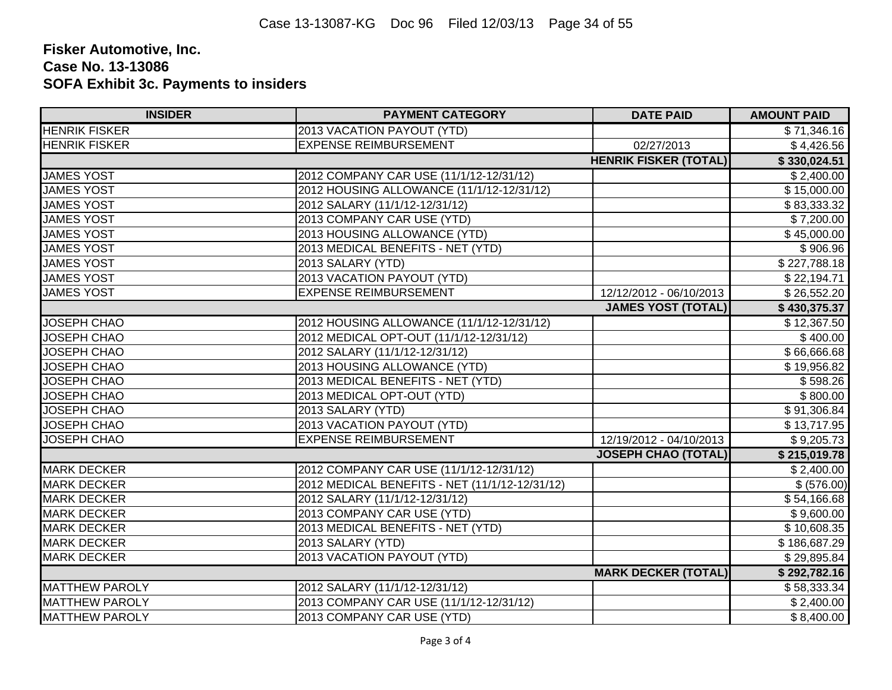| <b>INSIDER</b>        | <b>PAYMENT CATEGORY</b>                        | <b>DATE PAID</b>             | <b>AMOUNT PAID</b>      |
|-----------------------|------------------------------------------------|------------------------------|-------------------------|
| <b>HENRIK FISKER</b>  | 2013 VACATION PAYOUT (YTD)                     |                              | \$71,346.16             |
| <b>HENRIK FISKER</b>  | <b>EXPENSE REIMBURSEMENT</b>                   | 02/27/2013                   | \$4,426.56              |
|                       |                                                | <b>HENRIK FISKER (TOTAL)</b> | \$330,024.51            |
| <b>JAMES YOST</b>     | 2012 COMPANY CAR USE (11/1/12-12/31/12)        |                              | \$2,400.00              |
| <b>JAMES YOST</b>     | 2012 HOUSING ALLOWANCE (11/1/12-12/31/12)      |                              | \$15,000.00             |
| <b>JAMES YOST</b>     | 2012 SALARY (11/1/12-12/31/12)                 |                              | \$83,333.32             |
| <b>JAMES YOST</b>     | 2013 COMPANY CAR USE (YTD)                     |                              | \$7,200.00              |
| <b>JAMES YOST</b>     | 2013 HOUSING ALLOWANCE (YTD)                   |                              | \$45,000.00             |
| <b>JAMES YOST</b>     | 2013 MEDICAL BENEFITS - NET (YTD)              |                              | \$906.96                |
| <b>JAMES YOST</b>     | 2013 SALARY (YTD)                              |                              | \$227,788.18            |
| <b>JAMES YOST</b>     | 2013 VACATION PAYOUT (YTD)                     |                              | \$22,194.71             |
| <b>JAMES YOST</b>     | <b>EXPENSE REIMBURSEMENT</b>                   | 12/12/2012 - 06/10/2013      | \$26,552.20             |
|                       |                                                | <b>JAMES YOST (TOTAL)</b>    | \$430,375.37            |
| <b>JOSEPH CHAO</b>    | 2012 HOUSING ALLOWANCE (11/1/12-12/31/12)      |                              | \$12,367.50             |
| <b>JOSEPH CHAO</b>    | 2012 MEDICAL OPT-OUT (11/1/12-12/31/12)        |                              | \$400.00                |
| <b>JOSEPH CHAO</b>    | 2012 SALARY (11/1/12-12/31/12)                 |                              | \$66,666.68             |
| <b>JOSEPH CHAO</b>    | 2013 HOUSING ALLOWANCE (YTD)                   |                              | \$19,956.82             |
| <b>JOSEPH CHAO</b>    | 2013 MEDICAL BENEFITS - NET (YTD)              |                              | \$598.26                |
| <b>JOSEPH CHAO</b>    | 2013 MEDICAL OPT-OUT (YTD)                     |                              | \$800.00                |
| <b>JOSEPH CHAO</b>    | 2013 SALARY (YTD)                              |                              | $\overline{$91,306.84}$ |
| <b>JOSEPH CHAO</b>    | 2013 VACATION PAYOUT (YTD)                     |                              | \$13,717.95             |
| <b>JOSEPH CHAO</b>    | <b>EXPENSE REIMBURSEMENT</b>                   | 12/19/2012 - 04/10/2013      | \$9,205.73              |
|                       |                                                | <b>JOSEPH CHAO (TOTAL)</b>   | \$215,019.78            |
| <b>MARK DECKER</b>    | 2012 COMPANY CAR USE (11/1/12-12/31/12)        |                              | \$2,400.00              |
| <b>MARK DECKER</b>    | 2012 MEDICAL BENEFITS - NET (11/1/12-12/31/12) |                              | \$ (576.00)             |
| <b>MARK DECKER</b>    | 2012 SALARY (11/1/12-12/31/12)                 |                              | \$54,166.68             |
| <b>MARK DECKER</b>    | 2013 COMPANY CAR USE (YTD)                     |                              | \$9,600.00              |
| <b>MARK DECKER</b>    | 2013 MEDICAL BENEFITS - NET (YTD)              |                              | \$10,608.35             |
| <b>MARK DECKER</b>    | 2013 SALARY (YTD)                              |                              | \$186,687.29            |
| <b>MARK DECKER</b>    | 2013 VACATION PAYOUT (YTD)                     |                              | \$29,895.84             |
|                       |                                                | <b>MARK DECKER (TOTAL)</b>   | \$292,782.16            |
| <b>MATTHEW PAROLY</b> | 2012 SALARY (11/1/12-12/31/12)                 |                              | \$58,333.34             |
| <b>MATTHEW PAROLY</b> | 2013 COMPANY CAR USE (11/1/12-12/31/12)        |                              | \$2,400.00              |
| <b>MATTHEW PAROLY</b> | 2013 COMPANY CAR USE (YTD)                     |                              | \$8,400.00              |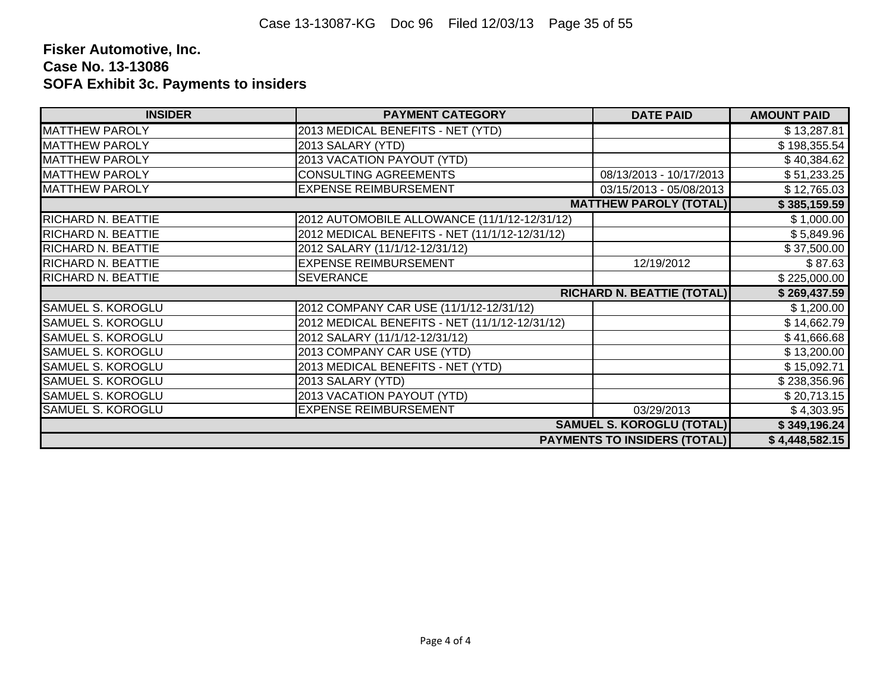| <b>INSIDER</b>            | <b>PAYMENT CATEGORY</b>                        | <b>DATE PAID</b>                    | <b>AMOUNT PAID</b> |
|---------------------------|------------------------------------------------|-------------------------------------|--------------------|
| <b>MATTHEW PAROLY</b>     | 2013 MEDICAL BENEFITS - NET (YTD)              |                                     | \$13,287.81        |
| <b>MATTHEW PAROLY</b>     | 2013 SALARY (YTD)                              |                                     | \$198,355.54       |
| <b>MATTHEW PAROLY</b>     | 2013 VACATION PAYOUT (YTD)                     |                                     | \$40,384.62        |
| <b>MATTHEW PAROLY</b>     | <b>CONSULTING AGREEMENTS</b>                   | 08/13/2013 - 10/17/2013             | \$51,233.25        |
| <b>MATTHEW PAROLY</b>     | <b>EXPENSE REIMBURSEMENT</b>                   | 03/15/2013 - 05/08/2013             | \$12,765.03        |
|                           |                                                | <b>MATTHEW PAROLY (TOTAL)</b>       | \$385,159.59       |
| <b>RICHARD N. BEATTIE</b> | 2012 AUTOMOBILE ALLOWANCE (11/1/12-12/31/12)   |                                     | \$1,000.00         |
| <b>RICHARD N. BEATTIE</b> | 2012 MEDICAL BENEFITS - NET (11/1/12-12/31/12) |                                     | \$5,849.96         |
| <b>RICHARD N. BEATTIE</b> | 2012 SALARY (11/1/12-12/31/12)                 |                                     | \$37,500.00        |
| <b>RICHARD N. BEATTIE</b> | <b>EXPENSE REIMBURSEMENT</b>                   | 12/19/2012                          | \$87.63            |
| <b>RICHARD N. BEATTIE</b> | SEVERANCE                                      |                                     | \$225,000.00       |
|                           |                                                | <b>RICHARD N. BEATTIE (TOTAL)</b>   | \$269,437.59       |
| SAMUEL S. KOROGLU         | 2012 COMPANY CAR USE (11/1/12-12/31/12)        |                                     | \$1,200.00         |
| <b>SAMUEL S. KOROGLU</b>  | 2012 MEDICAL BENEFITS - NET (11/1/12-12/31/12) |                                     | \$14,662.79        |
| SAMUEL S. KOROGLU         | 2012 SALARY (11/1/12-12/31/12)                 |                                     | \$41,666.68        |
| SAMUEL S. KOROGLU         | 2013 COMPANY CAR USE (YTD)                     |                                     | \$13,200.00        |
| <b>SAMUEL S. KOROGLU</b>  | 2013 MEDICAL BENEFITS - NET (YTD)              |                                     | \$15,092.71        |
| SAMUEL S. KOROGLU         | 2013 SALARY (YTD)                              |                                     | \$238,356.96       |
| SAMUEL S. KOROGLU         | 2013 VACATION PAYOUT (YTD)                     |                                     | \$20,713.15        |
| <b>SAMUEL S. KOROGLU</b>  | <b>EXPENSE REIMBURSEMENT</b>                   | 03/29/2013                          | \$4,303.95         |
|                           |                                                | <b>SAMUEL S. KOROGLU (TOTAL)</b>    | \$349,196.24       |
|                           |                                                | <b>PAYMENTS TO INSIDERS (TOTAL)</b> | \$4,448,582.15     |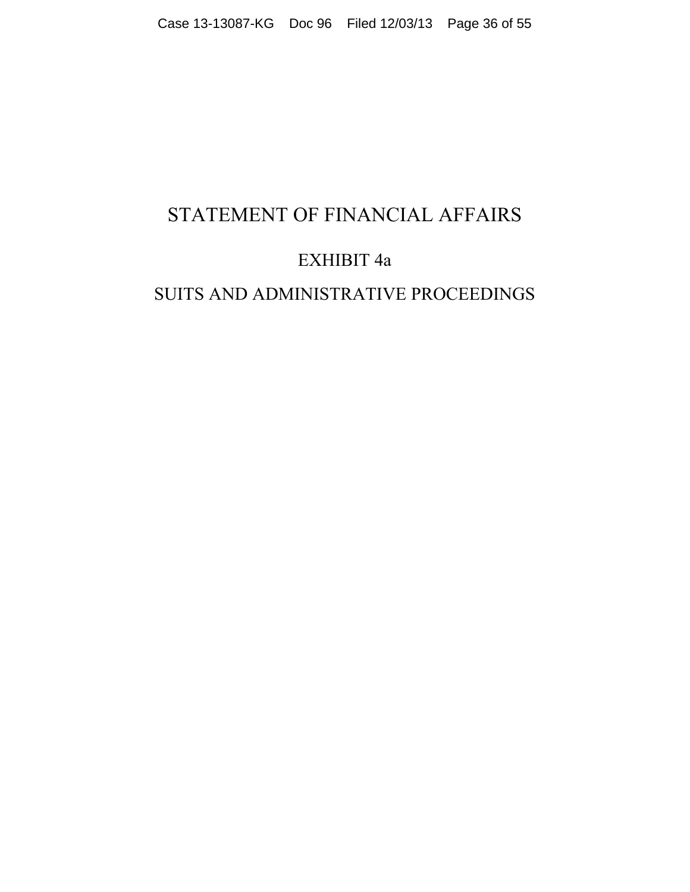## STATEMENT OF FINANCIAL AFFAIRS

## EXHIBIT 4a

## SUITS AND ADMINISTRATIVE PROCEEDINGS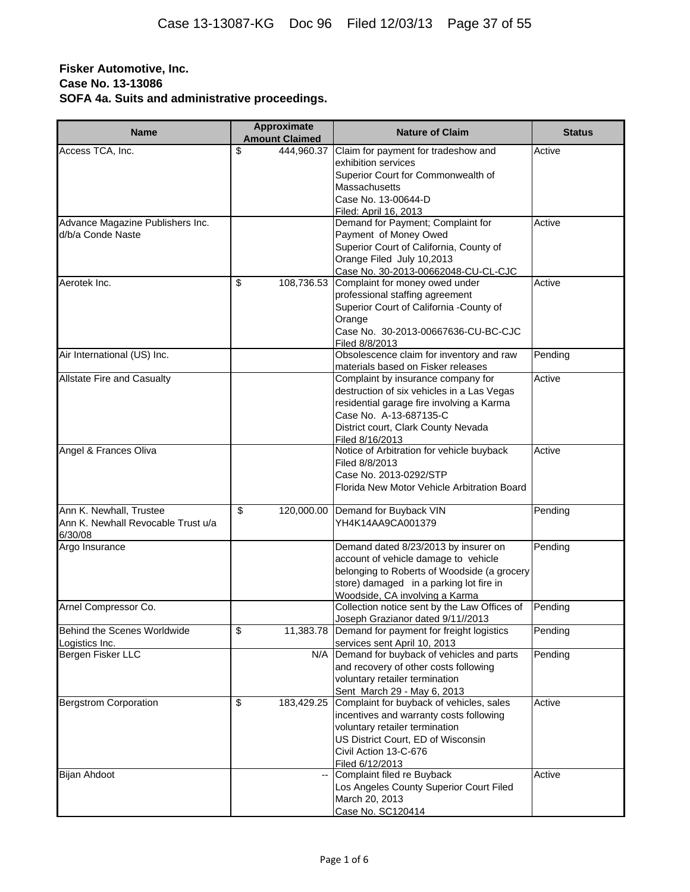| <b>Name</b>                        |                          | <b>Approximate</b>    | <b>Nature of Claim</b>                             | <b>Status</b> |  |
|------------------------------------|--------------------------|-----------------------|----------------------------------------------------|---------------|--|
|                                    |                          | <b>Amount Claimed</b> |                                                    |               |  |
| Access TCA, Inc.                   | \$                       | 444,960.37            | Claim for payment for tradeshow and                | Active        |  |
|                                    |                          |                       | exhibition services                                |               |  |
|                                    |                          |                       | Superior Court for Commonwealth of                 |               |  |
|                                    |                          |                       | Massachusetts                                      |               |  |
|                                    |                          |                       | Case No. 13-00644-D                                |               |  |
|                                    |                          |                       | Filed: April 16, 2013                              |               |  |
| Advance Magazine Publishers Inc.   |                          |                       | Demand for Payment; Complaint for                  | Active        |  |
| d/b/a Conde Naste                  |                          |                       | Payment of Money Owed                              |               |  |
|                                    |                          |                       | Superior Court of California, County of            |               |  |
|                                    |                          |                       | Orange Filed July 10,2013                          |               |  |
|                                    |                          |                       | Case No. 30-2013-00662048-CU-CL-CJC                |               |  |
| Aerotek Inc.                       | $\overline{\mathcal{G}}$ |                       | 108,736.53 Complaint for money owed under          | Active        |  |
|                                    |                          |                       | professional staffing agreement                    |               |  |
|                                    |                          |                       | Superior Court of California -County of            |               |  |
|                                    |                          |                       | Orange                                             |               |  |
|                                    |                          |                       | Case No. 30-2013-00667636-CU-BC-CJC                |               |  |
|                                    |                          |                       | Filed 8/8/2013                                     |               |  |
| Air International (US) Inc.        |                          |                       | Obsolescence claim for inventory and raw           | Pending       |  |
|                                    |                          |                       | materials based on Fisker releases                 |               |  |
| Allstate Fire and Casualty         |                          |                       | Complaint by insurance company for                 | Active        |  |
|                                    |                          |                       | destruction of six vehicles in a Las Vegas         |               |  |
|                                    |                          |                       |                                                    |               |  |
|                                    |                          |                       | residential garage fire involving a Karma          |               |  |
|                                    |                          |                       | Case No. A-13-687135-C                             |               |  |
|                                    |                          |                       | District court, Clark County Nevada                |               |  |
|                                    |                          |                       | Filed 8/16/2013                                    |               |  |
| Angel & Frances Oliva              |                          |                       | Notice of Arbitration for vehicle buyback          | Active        |  |
|                                    |                          |                       | Filed 8/8/2013                                     |               |  |
|                                    |                          |                       | Case No. 2013-0292/STP                             |               |  |
|                                    |                          |                       | Florida New Motor Vehicle Arbitration Board        |               |  |
| Ann K. Newhall, Trustee            | \$                       | 120,000.00            | Demand for Buyback VIN                             | Pending       |  |
| Ann K. Newhall Revocable Trust u/a |                          |                       | YH4K14AA9CA001379                                  |               |  |
| 6/30/08                            |                          |                       |                                                    |               |  |
| Argo Insurance                     |                          |                       | Demand dated 8/23/2013 by insurer on               | Pending       |  |
|                                    |                          |                       | account of vehicle damage to vehicle               |               |  |
|                                    |                          |                       | belonging to Roberts of Woodside (a grocery        |               |  |
|                                    |                          |                       | store) damaged in a parking lot fire in            |               |  |
|                                    |                          |                       | Woodside, CA involving a Karma                     |               |  |
| Arnel Compressor Co.               |                          |                       | Collection notice sent by the Law Offices of       | Pending       |  |
|                                    |                          |                       | Joseph Grazianor dated 9/11//2013                  |               |  |
| <b>Behind the Scenes Worldwide</b> | \$                       |                       | 11,383.78 Demand for payment for freight logistics | Pending       |  |
| Logistics Inc.                     |                          |                       | services sent April 10, 2013                       |               |  |
| Bergen Fisker LLC                  |                          |                       | N/A Demand for buyback of vehicles and parts       | Pending       |  |
|                                    |                          |                       | and recovery of other costs following              |               |  |
|                                    |                          |                       | voluntary retailer termination                     |               |  |
|                                    |                          |                       | Sent March 29 - May 6, 2013                        |               |  |
| <b>Bergstrom Corporation</b>       | $\overline{\mathcal{G}}$ | 183,429.25            | Complaint for buyback of vehicles, sales           | Active        |  |
|                                    |                          |                       | incentives and warranty costs following            |               |  |
|                                    |                          |                       | voluntary retailer termination                     |               |  |
|                                    |                          |                       |                                                    |               |  |
|                                    |                          |                       | US District Court, ED of Wisconsin                 |               |  |
|                                    |                          |                       | Civil Action 13-C-676                              |               |  |
|                                    |                          |                       | Filed 6/12/2013                                    |               |  |
| <b>Bijan Ahdoot</b>                |                          |                       | Complaint filed re Buyback                         | Active        |  |
|                                    |                          |                       | Los Angeles County Superior Court Filed            |               |  |
|                                    |                          |                       | March 20, 2013                                     |               |  |
|                                    |                          |                       | Case No. SC120414                                  |               |  |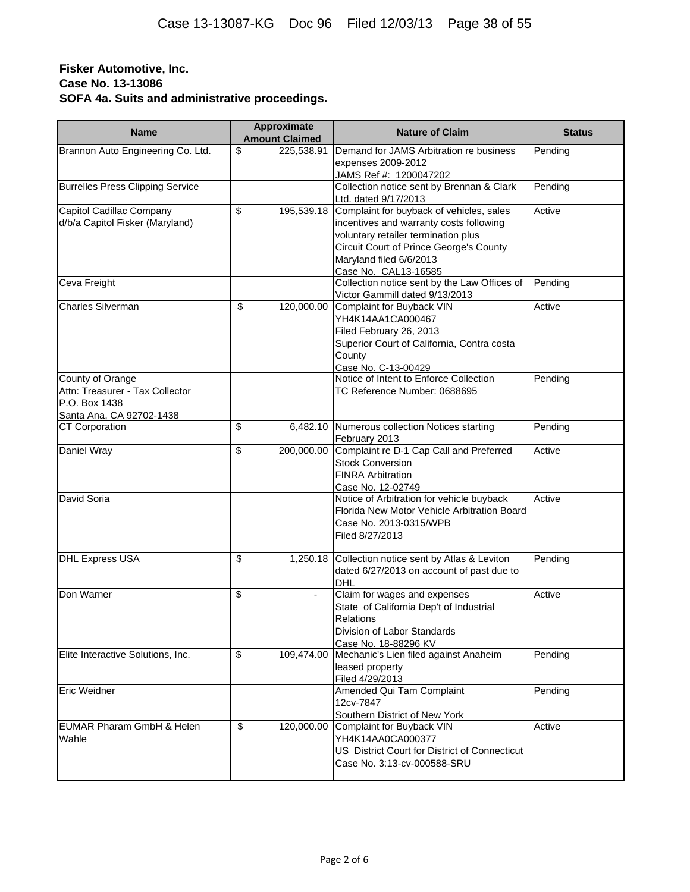| <b>Name</b>                                                                                      |                          | <b>Approximate</b><br><b>Amount Claimed</b> | <b>Nature of Claim</b>                                                                                                                                                                                                          | <b>Status</b> |  |
|--------------------------------------------------------------------------------------------------|--------------------------|---------------------------------------------|---------------------------------------------------------------------------------------------------------------------------------------------------------------------------------------------------------------------------------|---------------|--|
| Brannon Auto Engineering Co. Ltd.                                                                | \$                       | 225,538.91                                  | Demand for JAMS Arbitration re business<br>expenses 2009-2012<br>JAMS Ref #: 1200047202                                                                                                                                         | Pending       |  |
| <b>Burrelles Press Clipping Service</b>                                                          |                          |                                             | Collection notice sent by Brennan & Clark<br>Ltd. dated 9/17/2013                                                                                                                                                               | Pending       |  |
| Capitol Cadillac Company<br>d/b/a Capitol Fisker (Maryland)                                      | \$                       | 195,539.18                                  | Complaint for buyback of vehicles, sales<br>incentives and warranty costs following<br>voluntary retailer termination plus<br><b>Circuit Court of Prince George's County</b><br>Maryland filed 6/6/2013<br>Case No. CAL13-16585 | Active        |  |
| Ceva Freight                                                                                     |                          |                                             | Collection notice sent by the Law Offices of<br>Victor Gammill dated 9/13/2013                                                                                                                                                  | Pending       |  |
| <b>Charles Silverman</b>                                                                         | $\overline{\mathcal{S}}$ | 120,000.00                                  | Complaint for Buyback VIN<br>YH4K14AA1CA000467<br>Filed February 26, 2013<br>Superior Court of California, Contra costa<br>County<br>Case No. C-13-00429                                                                        | Active        |  |
| County of Orange<br>Attn: Treasurer - Tax Collector<br>P.O. Box 1438<br>Santa Ana, CA 92702-1438 |                          |                                             | Notice of Intent to Enforce Collection<br>TC Reference Number: 0688695                                                                                                                                                          | Pending       |  |
| <b>CT Corporation</b>                                                                            | $\overline{\mathbf{e}}$  |                                             | 6,482.10 Numerous collection Notices starting<br>February 2013                                                                                                                                                                  | Pending       |  |
| Daniel Wray                                                                                      | \$                       | 200,000.00                                  | Complaint re D-1 Cap Call and Preferred<br><b>Stock Conversion</b><br><b>FINRA Arbitration</b><br>Case No. 12-02749                                                                                                             | Active        |  |
| David Soria                                                                                      |                          |                                             | Notice of Arbitration for vehicle buyback<br>Florida New Motor Vehicle Arbitration Board<br>Case No. 2013-0315/WPB<br>Filed 8/27/2013                                                                                           | Active        |  |
| <b>DHL Express USA</b>                                                                           | \$                       | 1,250.18                                    | Collection notice sent by Atlas & Leviton<br>dated 6/27/2013 on account of past due to<br>DHL                                                                                                                                   | Pending       |  |
| Don Warner                                                                                       | \$                       | $\blacksquare$                              | Claim for wages and expenses<br>State of California Dep't of Industrial<br>Relations<br>Division of Labor Standards<br>Case No. 18-88296 KV                                                                                     | Active        |  |
| Elite Interactive Solutions, Inc.                                                                | $\overline{\mathcal{S}}$ | 109,474.00                                  | Mechanic's Lien filed against Anaheim<br>leased property<br>Filed 4/29/2013                                                                                                                                                     | Pending       |  |
| <b>Eric Weidner</b>                                                                              |                          |                                             | Amended Qui Tam Complaint<br>12cv-7847<br>Southern District of New York                                                                                                                                                         | Pending       |  |
| <b>EUMAR Pharam GmbH &amp; Helen</b><br>Wahle                                                    | $\overline{\mathcal{G}}$ | 120,000.00                                  | Complaint for Buyback VIN<br>YH4K14AA0CA000377<br>US District Court for District of Connecticut<br>Case No. 3:13-cv-000588-SRU                                                                                                  | Active        |  |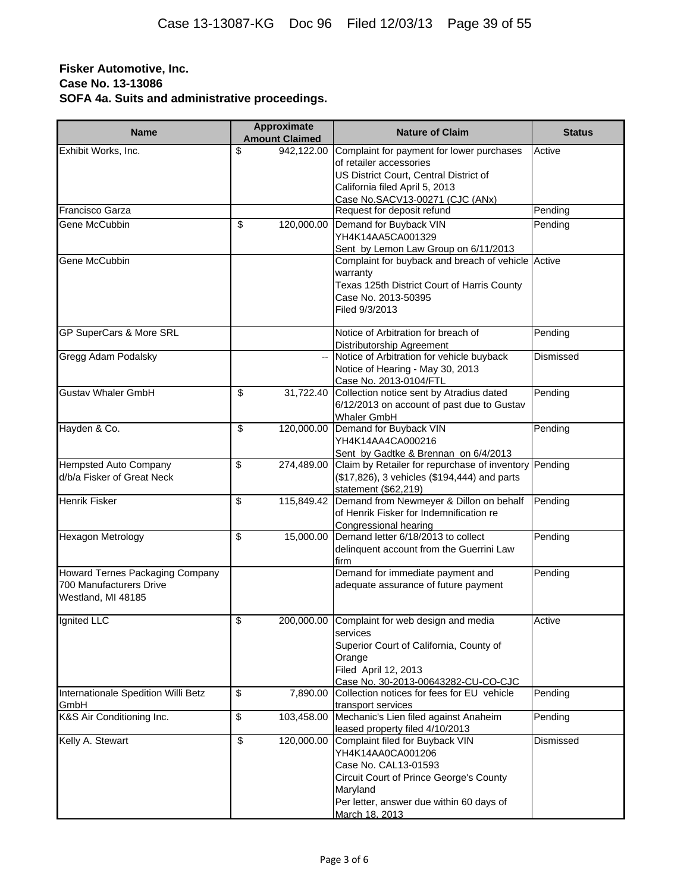| <b>Name</b>                                 | <b>Approximate</b><br><b>Amount Claimed</b> | <b>Nature of Claim</b>                                           | <b>Status</b> |  |  |
|---------------------------------------------|---------------------------------------------|------------------------------------------------------------------|---------------|--|--|
| Exhibit Works, Inc.                         | \$<br>942,122.00                            | Complaint for payment for lower purchases                        | Active        |  |  |
|                                             |                                             | of retailer accessories                                          |               |  |  |
|                                             |                                             | US District Court, Central District of                           |               |  |  |
|                                             |                                             | California filed April 5, 2013                                   |               |  |  |
|                                             |                                             | Case No.SACV13-00271 (CJC (ANx)                                  |               |  |  |
| Francisco Garza                             |                                             | Request for deposit refund                                       | Pending       |  |  |
| Gene McCubbin                               | \$<br>120,000.00                            | Demand for Buyback VIN                                           | Pending       |  |  |
|                                             |                                             | YH4K14AA5CA001329                                                |               |  |  |
|                                             |                                             | Sent by Lemon Law Group on 6/11/2013                             |               |  |  |
| Gene McCubbin                               |                                             | Complaint for buyback and breach of vehicle Active               |               |  |  |
|                                             |                                             | warranty                                                         |               |  |  |
|                                             |                                             | Texas 125th District Court of Harris County                      |               |  |  |
|                                             |                                             | Case No. 2013-50395                                              |               |  |  |
|                                             |                                             | Filed 9/3/2013                                                   |               |  |  |
| <b>GP SuperCars &amp; More SRL</b>          |                                             | Notice of Arbitration for breach of                              | Pending       |  |  |
|                                             |                                             | Distributorship Agreement                                        |               |  |  |
| <b>Gregg Adam Podalsky</b>                  |                                             | Notice of Arbitration for vehicle buyback                        | Dismissed     |  |  |
|                                             |                                             | Notice of Hearing - May 30, 2013                                 |               |  |  |
|                                             |                                             | Case No. 2013-0104/FTL                                           |               |  |  |
| <b>Gustav Whaler GmbH</b>                   | \$<br>31,722.40                             | Collection notice sent by Atradius dated                         | Pending       |  |  |
|                                             |                                             | 6/12/2013 on account of past due to Gustav                       |               |  |  |
|                                             |                                             | <b>Whaler GmbH</b>                                               |               |  |  |
| Hayden & Co.                                | \$<br>120,000.00                            | Demand for Buyback VIN<br>YH4K14AA4CA000216                      | Pending       |  |  |
|                                             |                                             | Sent by Gadtke & Brennan on 6/4/2013                             |               |  |  |
| <b>Hempsted Auto Company</b>                | \$<br>274,489.00                            | Claim by Retailer for repurchase of inventory                    | Pending       |  |  |
| d/b/a Fisker of Great Neck                  |                                             | (\$17,826), 3 vehicles (\$194,444) and parts                     |               |  |  |
|                                             |                                             | statement (\$62,219)                                             |               |  |  |
| <b>Henrik Fisker</b>                        | \$<br>115,849.42                            | Demand from Newmeyer & Dillon on behalf                          | Pending       |  |  |
|                                             |                                             | of Henrik Fisker for Indemnification re                          |               |  |  |
|                                             |                                             | <b>Congressional hearing</b>                                     |               |  |  |
| <b>Hexagon Metrology</b>                    | \$<br>15,000.00                             | Demand letter 6/18/2013 to collect                               | Pending       |  |  |
|                                             |                                             | delinquent account from the Guerrini Law                         |               |  |  |
|                                             |                                             | firm                                                             |               |  |  |
| Howard Ternes Packaging Company             |                                             | Demand for immediate payment and                                 | Pending       |  |  |
| 700 Manufacturers Drive                     |                                             | adequate assurance of future payment                             |               |  |  |
| Westland, MI 48185                          |                                             |                                                                  |               |  |  |
| Ignited LLC                                 | \$                                          | 200,000.00 Complaint for web design and media                    | Active        |  |  |
|                                             |                                             | services                                                         |               |  |  |
|                                             |                                             | Superior Court of California, County of                          |               |  |  |
|                                             |                                             | Orange                                                           |               |  |  |
|                                             |                                             | Filed April 12, 2013                                             |               |  |  |
|                                             |                                             | Case No. 30-2013-00643282-CU-CO-CJC                              |               |  |  |
| Internationale Spedition Willi Betz<br>GmbH | \$<br>7,890.00                              | Collection notices for fees for EU vehicle<br>transport services | Pending       |  |  |
| K&S Air Conditioning Inc.                   | \$<br>103,458.00                            | Mechanic's Lien filed against Anaheim                            | Pending       |  |  |
|                                             |                                             | leased property filed 4/10/2013                                  |               |  |  |
| Kelly A. Stewart                            | \$<br>120,000.00                            | Complaint filed for Buyback VIN                                  | Dismissed     |  |  |
|                                             |                                             | YH4K14AA0CA001206                                                |               |  |  |
|                                             |                                             | Case No. CAL13-01593                                             |               |  |  |
|                                             |                                             | Circuit Court of Prince George's County                          |               |  |  |
|                                             |                                             | Maryland                                                         |               |  |  |
|                                             |                                             | Per letter, answer due within 60 days of                         |               |  |  |
|                                             |                                             | March 18, 2013                                                   |               |  |  |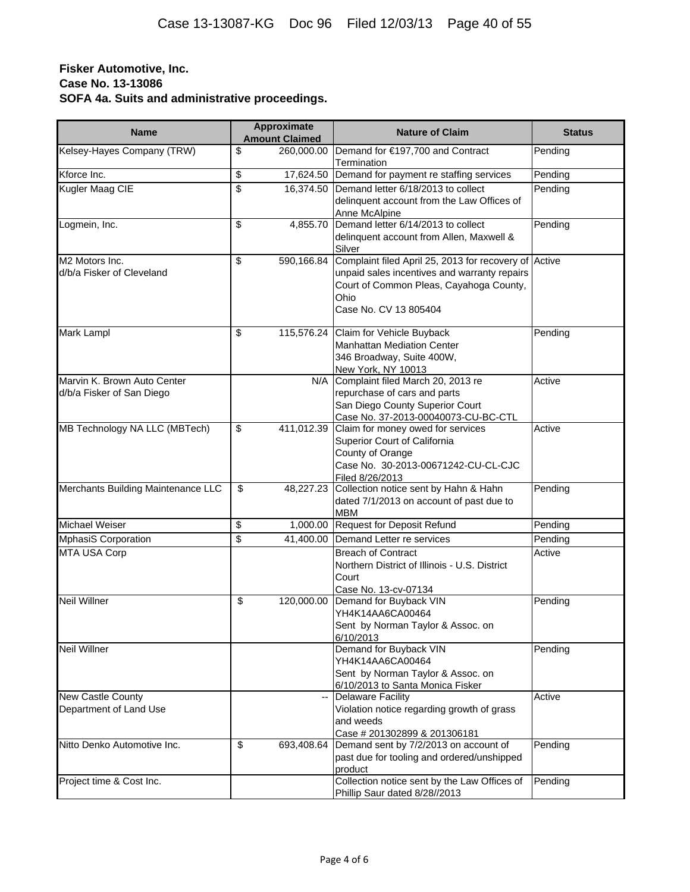| <b>Name</b>                                              |                 | <b>Approximate</b><br><b>Amount Claimed</b> | <b>Nature of Claim</b>                                                                                                                                                            | <b>Status</b> |  |  |
|----------------------------------------------------------|-----------------|---------------------------------------------|-----------------------------------------------------------------------------------------------------------------------------------------------------------------------------------|---------------|--|--|
| Kelsey-Hayes Company (TRW)                               | \$              | 260,000.00                                  | Demand for €197,700 and Contract<br>Termination                                                                                                                                   | Pending       |  |  |
| Kforce Inc.                                              | \$              |                                             | 17,624.50 Demand for payment re staffing services                                                                                                                                 | Pending       |  |  |
| Kugler Maag CIE                                          | $\overline{\$}$ | 16,374.50                                   | Demand letter 6/18/2013 to collect<br>delinquent account from the Law Offices of<br>Anne McAlpine                                                                                 | Pending       |  |  |
| Logmein, Inc.                                            | \$              | 4,855.70                                    | Demand letter 6/14/2013 to collect<br>delinquent account from Allen, Maxwell &<br>Silver                                                                                          | Pending       |  |  |
| M2 Motors Inc.<br>d/b/a Fisker of Cleveland              | \$              | 590,166.84                                  | Complaint filed April 25, 2013 for recovery of Active<br>unpaid sales incentives and warranty repairs<br>Court of Common Pleas, Cayahoga County,<br>Ohio<br>Case No. CV 13 805404 |               |  |  |
| Mark Lampl                                               | \$              | 115,576.24                                  | Claim for Vehicle Buyback<br><b>Manhattan Mediation Center</b><br>346 Broadway, Suite 400W,<br>New York, NY 10013                                                                 | Pending       |  |  |
| Marvin K. Brown Auto Center<br>d/b/a Fisker of San Diego |                 | N/A                                         | Complaint filed March 20, 2013 re<br>repurchase of cars and parts<br>San Diego County Superior Court<br>Case No. 37-2013-00040073-CU-BC-CTL                                       | Active        |  |  |
| MB Technology NA LLC (MBTech)                            | \$              | 411,012.39                                  | Claim for money owed for services<br>Superior Court of California<br>County of Orange<br>Case No. 30-2013-00671242-CU-CL-CJC<br>Filed 8/26/2013                                   | Active        |  |  |
| Merchants Building Maintenance LLC                       | \$              | 48,227.23                                   | Collection notice sent by Hahn & Hahn<br>dated 7/1/2013 on account of past due to<br><b>MBM</b>                                                                                   | Pending       |  |  |
| <b>Michael Weiser</b>                                    | \$              |                                             | 1,000.00 Request for Deposit Refund                                                                                                                                               | Pending       |  |  |
| <b>MphasiS Corporation</b>                               | $\overline{\$}$ | 41,400.00                                   | Demand Letter re services                                                                                                                                                         | Pending       |  |  |
| <b>MTA USA Corp</b>                                      |                 |                                             | <b>Breach of Contract</b><br>Northern District of Illinois - U.S. District<br>Court<br>Case No. 13-cv-07134                                                                       | Active        |  |  |
| <b>Neil Willner</b>                                      | \$              | 120,000.00                                  | Demand for Buyback VIN<br>YH4K14AA6CA00464<br>Sent by Norman Taylor & Assoc. on<br>6/10/2013                                                                                      | Pending       |  |  |
| <b>Neil Willner</b>                                      |                 |                                             | Demand for Buyback VIN<br>YH4K14AA6CA00464<br>Sent by Norman Taylor & Assoc. on<br>6/10/2013 to Santa Monica Fisker                                                               | Pending       |  |  |
| New Castle County<br>Department of Land Use              |                 |                                             | <b>Delaware Facility</b><br>Violation notice regarding growth of grass<br>and weeds<br>Case # 201302899 & 201306181                                                               | Active        |  |  |
| Nitto Denko Automotive Inc.                              | \$              | 693,408.64                                  | Demand sent by 7/2/2013 on account of<br>past due for tooling and ordered/unshipped<br>product                                                                                    | Pending       |  |  |
| Project time & Cost Inc.                                 |                 |                                             | Collection notice sent by the Law Offices of<br>Phillip Saur dated 8/28//2013                                                                                                     | Pending       |  |  |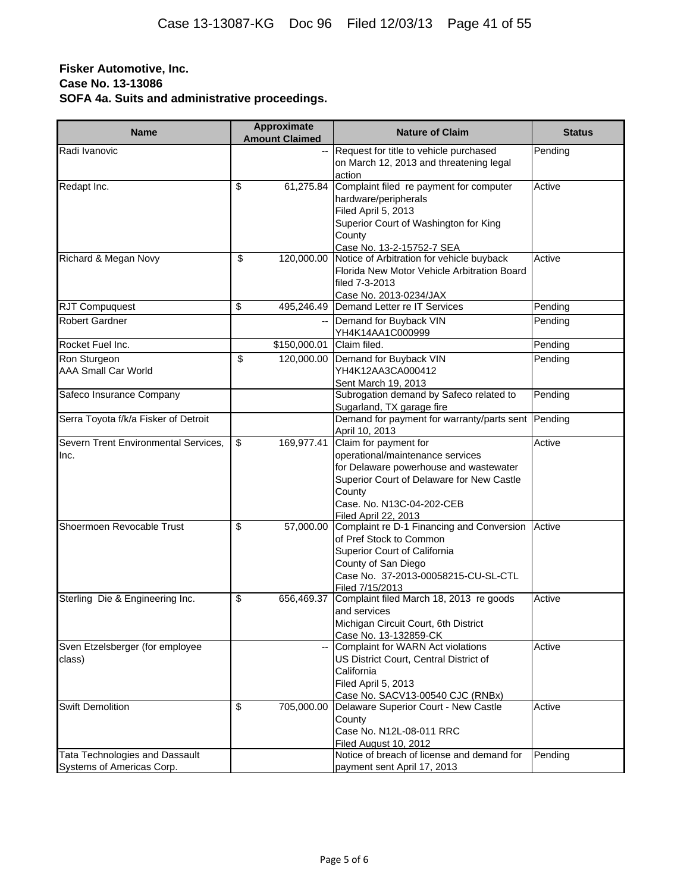| <b>Name</b>                                                 | <b>Approximate</b>                    | <b>Nature of Claim</b>                                                                                                                                                                                          | <b>Status</b> |  |
|-------------------------------------------------------------|---------------------------------------|-----------------------------------------------------------------------------------------------------------------------------------------------------------------------------------------------------------------|---------------|--|
|                                                             | <b>Amount Claimed</b>                 |                                                                                                                                                                                                                 |               |  |
| Radi Ivanovic                                               |                                       | Request for title to vehicle purchased<br>on March 12, 2013 and threatening legal<br>action                                                                                                                     | Pending       |  |
| Redapt Inc.                                                 | \$<br>61,275.84                       | Complaint filed re payment for computer<br>hardware/peripherals<br>Filed April 5, 2013<br>Superior Court of Washington for King<br>County<br>Case No. 13-2-15752-7 SEA                                          | Active        |  |
| Richard & Megan Novy                                        | \$<br>120,000.00                      | Notice of Arbitration for vehicle buyback<br>Florida New Motor Vehicle Arbitration Board<br>filed 7-3-2013<br>Case No. 2013-0234/JAX                                                                            | Active        |  |
| <b>RJT Compuquest</b>                                       | \$                                    | 495,246.49 Demand Letter re IT Services                                                                                                                                                                         | Pending       |  |
| <b>Robert Gardner</b>                                       |                                       | Demand for Buyback VIN<br>YH4K14AA1C000999                                                                                                                                                                      | Pending       |  |
| Rocket Fuel Inc.                                            | \$150,000.01                          | Claim filed.                                                                                                                                                                                                    | Pending       |  |
| Ron Sturgeon<br><b>AAA Small Car World</b>                  | \$<br>120,000.00                      | Demand for Buyback VIN<br>YH4K12AA3CA000412<br>Sent March 19, 2013                                                                                                                                              | Pending       |  |
| Safeco Insurance Company                                    |                                       | Subrogation demand by Safeco related to<br>Sugarland, TX garage fire                                                                                                                                            | Pending       |  |
| Serra Toyota f/k/a Fisker of Detroit                        |                                       | Demand for payment for warranty/parts sent<br>April 10, 2013                                                                                                                                                    | Pending       |  |
| Severn Trent Environmental Services,<br>Inc.                | $\overline{\mathbf{s}}$<br>169,977.41 | Claim for payment for<br>operational/maintenance services<br>for Delaware powerhouse and wastewater<br>Superior Court of Delaware for New Castle<br>County<br>Case. No. N13C-04-202-CEB<br>Filed April 22, 2013 | Active        |  |
| Shoermoen Revocable Trust                                   | \$<br>57,000.00                       | Complaint re D-1 Financing and Conversion<br>of Pref Stock to Common<br>Superior Court of California<br>County of San Diego<br>Case No. 37-2013-00058215-CU-SL-CTL<br>Filed 7/15/2013                           | Active        |  |
| Sterling Die & Engineering Inc.                             | \$<br>656,469.37                      | Complaint filed March 18, 2013 re goods<br>and services<br>Michigan Circuit Court, 6th District<br>Case No. 13-132859-CK                                                                                        | Active        |  |
| Sven Etzelsberger (for employee<br>class)                   |                                       | Complaint for WARN Act violations<br>US District Court, Central District of<br>California<br>Filed April 5, 2013<br>Case No. SACV13-00540 CJC (RNBx)                                                            | Active        |  |
| <b>Swift Demolition</b>                                     | \$<br>705,000.00                      | Delaware Superior Court - New Castle<br>County<br>Case No. N12L-08-011 RRC<br>Filed August 10, 2012                                                                                                             | Active        |  |
| Tata Technologies and Dassault<br>Systems of Americas Corp. |                                       | Notice of breach of license and demand for<br>payment sent April 17, 2013                                                                                                                                       | Pending       |  |
|                                                             |                                       |                                                                                                                                                                                                                 |               |  |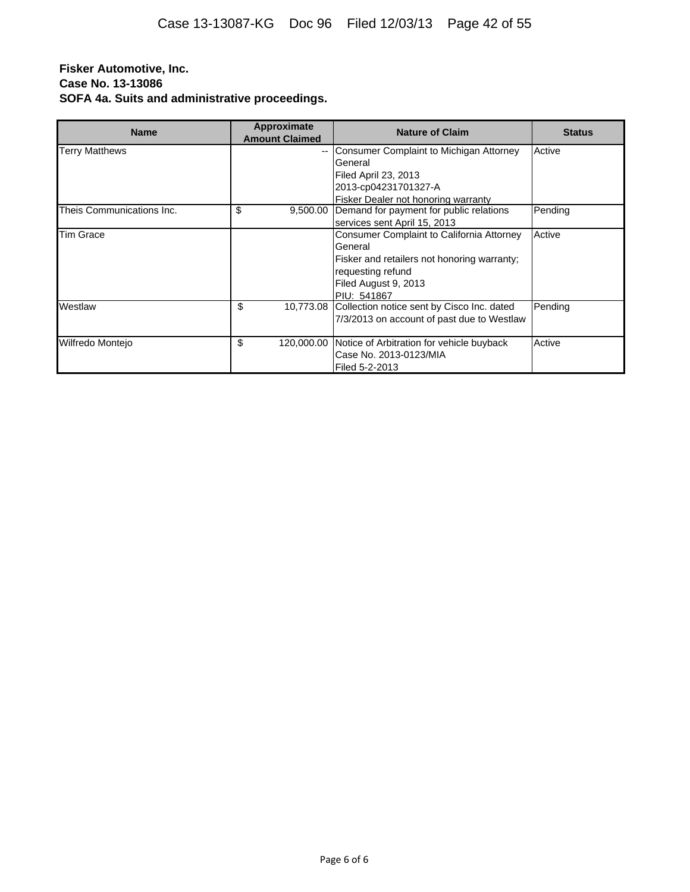| <b>Name</b>               | Approximate<br><b>Amount Claimed</b> | <b>Nature of Claim</b>                           | <b>Status</b> |
|---------------------------|--------------------------------------|--------------------------------------------------|---------------|
| <b>Terry Matthews</b>     | --                                   | Consumer Complaint to Michigan Attorney          | Active        |
|                           |                                      | General                                          |               |
|                           |                                      | <b>Filed April 23, 2013</b>                      |               |
|                           |                                      | 2013-cp04231701327-A                             |               |
|                           |                                      | Fisker Dealer not honoring warranty              |               |
| Theis Communications Inc. | \$<br>9,500.00                       | Demand for payment for public relations          | Pending       |
|                           |                                      | services sent April 15, 2013                     |               |
| <b>Tim Grace</b>          |                                      | <b>Consumer Complaint to California Attorney</b> | Active        |
|                           |                                      | General                                          |               |
|                           |                                      | Fisker and retailers not honoring warranty;      |               |
|                           |                                      | requesting refund                                |               |
|                           |                                      | Filed August 9, 2013                             |               |
|                           |                                      | PIU: 541867                                      |               |
| Westlaw                   | \$<br>10,773.08                      | Collection notice sent by Cisco Inc. dated       | Pending       |
|                           |                                      | 7/3/2013 on account of past due to Westlaw       |               |
|                           |                                      |                                                  |               |
| Wilfredo Montejo          | \$<br>120,000.00                     | Notice of Arbitration for vehicle buyback        | Active        |
|                           |                                      | Case No. 2013-0123/MIA                           |               |
|                           |                                      | Filed 5-2-2013                                   |               |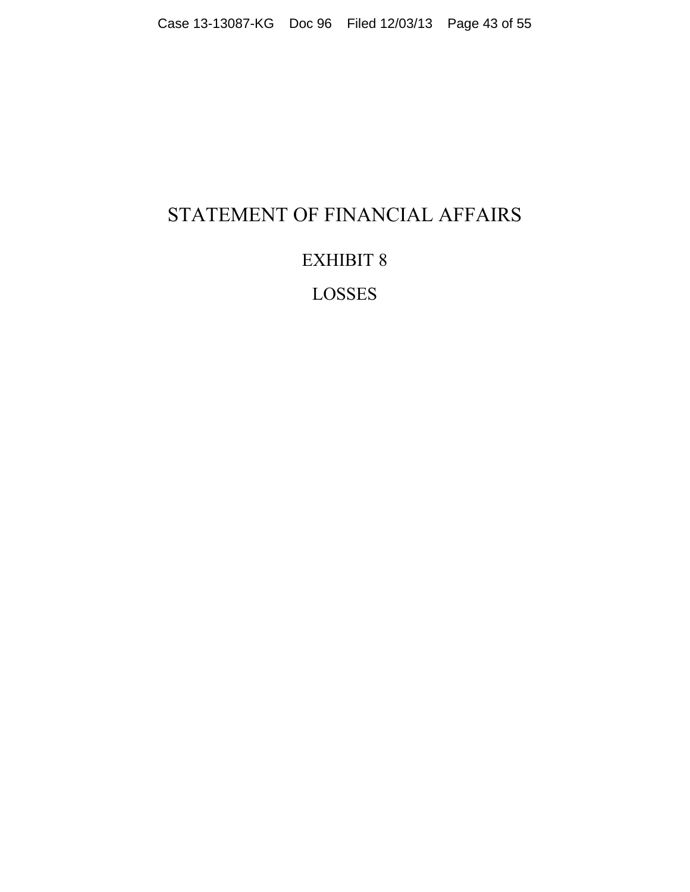# STATEMENT OF FINANCIAL AFFAIRS

## EXHIBIT 8

LOSSES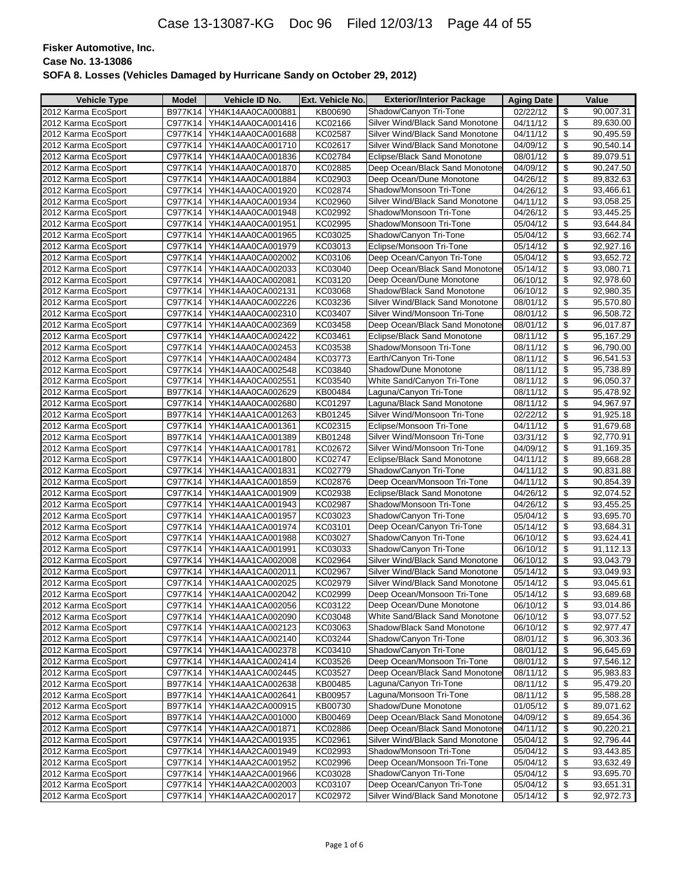| <b>Vehicle Type</b> | <b>Model</b>   | Vehicle ID No.              | Ext. Vehicle No. | <b>Exterior/Interior Package</b>       | <b>Aging Date</b> |                 | Value     |
|---------------------|----------------|-----------------------------|------------------|----------------------------------------|-------------------|-----------------|-----------|
| 2012 Karma EcoSport | B977K14        | YH4K14AA0CA000881           | KB00690          | Shadow/Canyon Tri-Tone                 | 02/22/12          | \$              | 90,007.31 |
| 2012 Karma EcoSport | C977K14        | YH4K14AA0CA001416           | KC02166          | Silver Wind/Black Sand Monotone        | 04/11/12          | \$              | 89,630.00 |
| 2012 Karma EcoSport | C977K14        | YH4K14AA0CA001688           | KC02587          | Silver Wind/Black Sand Monotone        | 04/11/12          | \$              | 90,495.59 |
| 2012 Karma EcoSport | C977K14        | YH4K14AA0CA001710           | KC02617          | Silver Wind/Black Sand Monotone        | 04/09/12          | \$              | 90,540.14 |
| 2012 Karma EcoSport | C977K14        | YH4K14AA0CA001836           | KC02784          | Eclipse/Black Sand Monotone            | 08/01/12          | \$              | 89,079.51 |
| 2012 Karma EcoSport | C977K14        | YH4K14AA0CA001870           | KC02885          | Deep Ocean/Black Sand Monotone         | 04/09/12          | \$              | 90,247.50 |
| 2012 Karma EcoSport | C977K14        | YH4K14AA0CA001884           | KC02903          | Deep Ocean/Dune Monotone               | 04/26/12          | \$              | 89,832.63 |
| 2012 Karma EcoSport | C977K14        | YH4K14AA0CA001920           | KC02874          | Shadow/Monsoon Tri-Tone                | 04/26/12          | \$              | 93,466.61 |
| 2012 Karma EcoSport | C977K14        | YH4K14AA0CA001934           | KC02960          | Silver Wind/Black Sand Monotone        | 04/11/12          | \$              | 93,058.25 |
| 2012 Karma EcoSport | C977K14        | YH4K14AA0CA001948           | KC02992          | Shadow/Monsoon Tri-Tone                | 04/26/12          | \$              | 93,445.25 |
| 2012 Karma EcoSport | C977K14        | YH4K14AA0CA001951           | KC02995          | Shadow/Monsoon Tri-Tone                | 05/04/12          | \$              | 93,644.84 |
| 2012 Karma EcoSport | C977K14        | YH4K14AA0CA001965           | KC03025          | Shadow/Canyon Tri-Tone                 | 05/04/12          | \$              | 93,662.74 |
| 2012 Karma EcoSport | C977K14        | YH4K14AA0CA001979           | KC03013          | Eclipse/Monsoon Tri-Tone               | 05/14/12          | \$              | 92,927.16 |
| 2012 Karma EcoSport | C977K14        | YH4K14AA0CA002002           | KC03106          | Deep Ocean/Canyon Tri-Tone             | 05/04/12          | \$              | 93,652.72 |
| 2012 Karma EcoSport | C977K14        | YH4K14AA0CA002033           | KC03040          | Deep Ocean/Black Sand Monotone         | 05/14/12          | \$              | 93,080.71 |
| 2012 Karma EcoSport | C977K14        | YH4K14AA0CA002081           | KC03120          | Deep Ocean/Dune Monotone               | 06/10/12          | \$              | 92,978.60 |
| 2012 Karma EcoSport | C977K14        | YH4K14AA0CA002131           | KC03068          | Shadow/Black Sand Monotone             | 06/10/12          | \$              | 92,980.35 |
| 2012 Karma EcoSport | C977K14        | YH4K14AA0CA002226           | KC03236          | Silver Wind/Black Sand Monotone        | 08/01/12          | \$              | 95,570.80 |
| 2012 Karma EcoSport | C977K14        | YH4K14AA0CA002310           | KC03407          | Silver Wind/Monsoon Tri-Tone           | 08/01/12          | \$              | 96,508.72 |
| 2012 Karma EcoSport | C977K14        | YH4K14AA0CA002369           | KC03458          | Deep Ocean/Black Sand Monotone         | 08/01/12          | \$              | 96,017.87 |
| 2012 Karma EcoSport | C977K14        | YH4K14AA0CA002422           | KC03461          | Eclipse/Black Sand Monotone            | 08/11/12          | \$              | 95,167.29 |
| 2012 Karma EcoSport | C977K14        | YH4K14AA0CA002453           | KC03538          | Shadow/Monsoon Tri-Tone                | 08/11/12          | \$              | 96,790.00 |
| 2012 Karma EcoSport | C977K14        | YH4K14AA0CA002484           | KC03773          | Earth/Canyon Tri-Tone                  | 08/11/12          | \$              | 96,541.53 |
| 2012 Karma EcoSport | C977K14        | YH4K14AA0CA002548           | KC03840          | Shadow/Dune Monotone                   | 08/11/12          | \$              | 95,738.89 |
| 2012 Karma EcoSport | C977K14        | YH4K14AA0CA002551           | KC03540          | White Sand/Canyon Tri-Tone             | 08/11/12          | \$              | 96,050.37 |
| 2012 Karma EcoSport | <b>B977K14</b> | YH4K14AA0CA002629           | KB00484          | Laguna/Canvon Tri-Tone                 | 08/11/12          | \$              | 95,478.92 |
| 2012 Karma EcoSport | C977K14        | YH4K14AA0CA002680           | KC01297          | Laguna/Black Sand Monotone             | 08/11/12          | \$              | 94,967.97 |
| 2012 Karma EcoSport | B977K14        | YH4K14AA1CA001263           | KB01245          | Silver Wind/Monsoon Tri-Tone           | 02/22/12          | \$              | 91,925.18 |
| 2012 Karma EcoSport | C977K14        | YH4K14AA1CA001361           | KC02315          | Eclipse/Monsoon Tri-Tone               | 04/11/12          | \$              | 91,679.68 |
| 2012 Karma EcoSport | B977K14        | YH4K14AA1CA001389           | KB01248          | Silver Wind/Monsoon Tri-Tone           | 03/31/12          | $\overline{\$}$ | 92,770.91 |
| 2012 Karma EcoSport | C977K14        | YH4K14AA1CA001781           | KC02672          | Silver Wind/Monsoon Tri-Tone           | 04/09/12          | \$              | 91,169.35 |
| 2012 Karma EcoSport |                | C977K14   YH4K14AA1CA001800 | KC02747          | Eclipse/Black Sand Monotone            | 04/11/12          | \$              | 89,668.28 |
| 2012 Karma EcoSport | C977K14        | YH4K14AA1CA001831           | KC02779          | Shadow/Canyon Tri-Tone                 | 04/11/12          | \$              | 90,831.88 |
| 2012 Karma EcoSport | C977K14        | YH4K14AA1CA001859           | KC02876          | Deep Ocean/Monsoon Tri-Tone            | 04/11/12          | \$              | 90,854.39 |
| 2012 Karma EcoSport | C977K14        | YH4K14AA1CA001909           | KC02938          | Eclipse/Black Sand Monotone            | 04/26/12          | \$              | 92,074.52 |
| 2012 Karma EcoSport | C977K14        | YH4K14AA1CA001943           | KC02987          | Shadow/Monsoon Tri-Tone                | 04/26/12          | \$              | 93,455.25 |
| 2012 Karma EcoSport | C977K14        | YH4K14AA1CA001957           | KC03023          | Shadow/Canyon Tri-Tone                 | 05/04/12          | \$              | 93,695.70 |
| 2012 Karma EcoSport |                | C977K14 YH4K14AA1CA001974   | KC03101          | Deep Ocean/Canyon Tri-Tone             | 05/14/12          | \$              | 93,684.31 |
| 2012 Karma EcoSport | C977K14        | YH4K14AA1CA001988           | KC03027          | Shadow/Canyon Tri-Tone                 | 06/10/12          | \$              | 93,624.41 |
| 2012 Karma EcoSport | C977K14        | YH4K14AA1CA001991           | KC03033          | Shadow/Canyon Tri-Tone                 | 06/10/12          | \$              | 91,112.13 |
| 2012 Karma EcoSport | C977K14        | YH4K14AA1CA002008           | KC02964          | Silver Wind/Black Sand Monotone        | 06/10/12          | \$              | 93,043.79 |
| 2012 Karma EcoSport | C977K14        | YH4K14AA1CA002011           | KC02967          | <b>Silver Wind/Black Sand Monotone</b> | 05/14/12          | $\frac{1}{2}$   | 93,049.93 |
| 2012 Karma EcoSport | C977K14        | YH4K14AA1CA002025           | KC02979          | Silver Wind/Black Sand Monotone        | 05/14/12          | \$              | 93,045.61 |
| 2012 Karma EcoSport |                | C977K14 YH4K14AA1CA002042   | KC02999          | Deep Ocean/Monsoon Tri-Tone            | 05/14/12          | \$              | 93,689.68 |
| 2012 Karma EcoSport |                | C977K14   YH4K14AA1CA002056 | KC03122          | Deep Ocean/Dune Monotone               | 06/10/12          | \$              | 93,014.86 |
| 2012 Karma EcoSport | C977K14        | YH4K14AA1CA002090           | KC03048          | White Sand/Black Sand Monotone         | 06/10/12          | \$              | 93,077.52 |
| 2012 Karma EcoSport |                | C977K14 YH4K14AA1CA002123   | KC03063          | Shadow/Black Sand Monotone             | 06/10/12          | \$              | 92,977.47 |
| 2012 Karma EcoSport |                | C977K14   YH4K14AA1CA002140 | KC03244          | Shadow/Canyon Tri-Tone                 | 08/01/12          | \$              | 96,303.36 |
| 2012 Karma EcoSport |                | C977K14 YH4K14AA1CA002378   | KC03410          | Shadow/Canyon Tri-Tone                 | 08/01/12          | \$              | 96,645.69 |
| 2012 Karma EcoSport | C977K14        | YH4K14AA1CA002414           | KC03526          | Deep Ocean/Monsoon Tri-Tone            | 08/01/12          | \$              | 97,546.12 |
| 2012 Karma EcoSport |                | C977K14   YH4K14AA1CA002445 | KC03527          | Deep Ocean/Black Sand Monotone         | 08/11/12          | \$              | 95,983.83 |
| 2012 Karma EcoSport |                | B977K14   YH4K14AA1CA002638 | KB00485          | Laguna/Canyon Tri-Tone                 | 08/11/12          | \$              | 95,479.20 |
| 2012 Karma EcoSport |                | B977K14 YH4K14AA1CA002641   | KB00957          | Laguna/Monsoon Tri-Tone                | 08/11/12          | \$              | 95,588.28 |
| 2012 Karma EcoSport |                | B977K14   YH4K14AA2CA000915 | KB00730          | Shadow/Dune Monotone                   | 01/05/12          | \$              | 89,071.62 |
| 2012 Karma EcoSport | B977K14        | YH4K14AA2CA001000           | KB00469          | Deep Ocean/Black Sand Monotone         | 04/09/12          | \$              | 89,654.36 |
| 2012 Karma EcoSport | C977K14        | YH4K14AA2CA001871           | KC02886          | Deep Ocean/Black Sand Monotone         | 04/11/12          | \$              | 90,220.21 |
| 2012 Karma EcoSport |                | C977K14   YH4K14AA2CA001935 | KC02961          | Silver Wind/Black Sand Monotone        | 05/04/12          | \$              | 92,796.44 |
| 2012 Karma EcoSport | C977K14        | YH4K14AA2CA001949           | KC02993          | Shadow/Monsoon Tri-Tone                | 05/04/12          | \$              | 93,443.85 |
| 2012 Karma EcoSport |                | C977K14   YH4K14AA2CA001952 | KC02996          | Deep Ocean/Monsoon Tri-Tone            | 05/04/12          | \$              | 93,632.49 |
| 2012 Karma EcoSport |                | C977K14   YH4K14AA2CA001966 | KC03028          | Shadow/Canyon Tri-Tone                 | 05/04/12          | \$              | 93,695.70 |
| 2012 Karma EcoSport | C977K14        | YH4K14AA2CA002003           | KC03107          | Deep Ocean/Canyon Tri-Tone             | 05/04/12          | \$              | 93,651.31 |
| 2012 Karma EcoSport | C977K14        | YH4K14AA2CA002017           | KC02972          | Silver Wind/Black Sand Monotone        | 05/14/12          | \$              | 92,972.73 |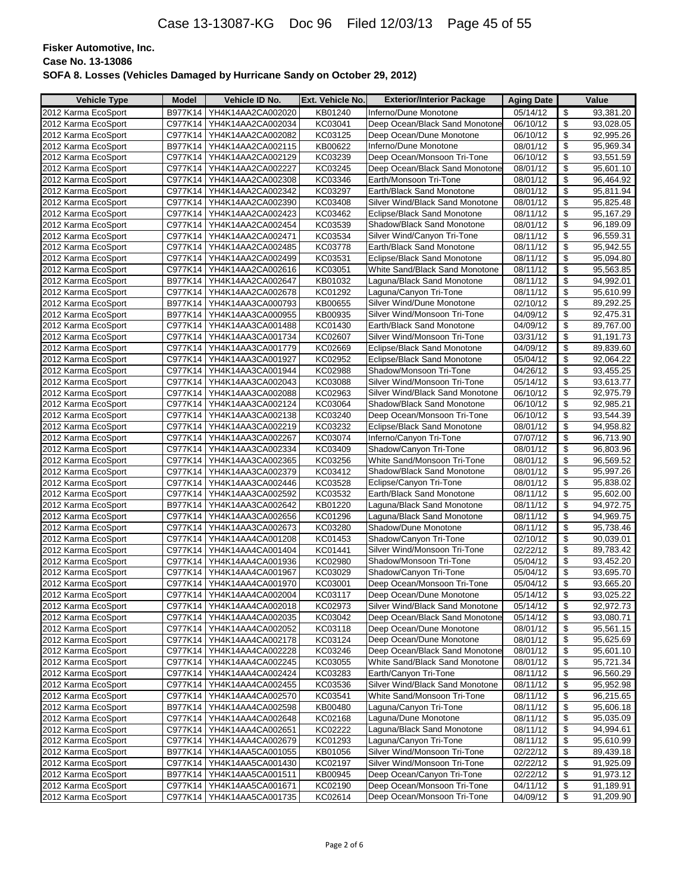| <b>Vehicle Type</b>                        | <b>Model</b> | Vehicle ID No.              | Ext. Vehicle No. | <b>Exterior/Interior Package</b> | <b>Aging Date</b> |          | Value     |
|--------------------------------------------|--------------|-----------------------------|------------------|----------------------------------|-------------------|----------|-----------|
| 2012 Karma EcoSport                        | B977K14      | YH4K14AA2CA002020           | KB01240          | Inferno/Dune Monotone            | 05/14/12          | \$       | 93,381.20 |
| 2012 Karma EcoSport                        | C977K14      | YH4K14AA2CA002034           | KC03041          | Deep Ocean/Black Sand Monotone   | 06/10/12          | \$       | 93,028.05 |
| 2012 Karma EcoSport                        | C977K14      | YH4K14AA2CA002082           | KC03125          | Deep Ocean/Dune Monotone         | 06/10/12          | \$       | 92,995.26 |
| 2012 Karma EcoSport                        | B977K14      | YH4K14AA2CA002115           | KB00622          | Inferno/Dune Monotone            | 08/01/12          | \$       | 95,969.34 |
| 2012 Karma EcoSport                        | C977K14      | YH4K14AA2CA002129           | KC03239          | Deep Ocean/Monsoon Tri-Tone      | 06/10/12          | \$       | 93,551.59 |
| 2012 Karma EcoSport                        | C977K14      | YH4K14AA2CA002227           | KC03245          | Deep Ocean/Black Sand Monotone   | 08/01/12          | \$       | 95,601.10 |
| 2012 Karma EcoSport                        | C977K14      | YH4K14AA2CA002308           | KC03346          | Earth/Monsoon Tri-Tone           | 08/01/12          | \$       | 96,464.92 |
| 2012 Karma EcoSport                        | C977K14      | YH4K14AA2CA002342           | KC03297          | Earth/Black Sand Monotone        | 08/01/12          | \$       | 95,811.94 |
| 2012 Karma EcoSport                        | C977K14      | YH4K14AA2CA002390           | KC03408          | Silver Wind/Black Sand Monotone  | 08/01/12          | \$       | 95,825.48 |
| 2012 Karma EcoSport                        | C977K14      | YH4K14AA2CA002423           | KC03462          | Eclipse/Black Sand Monotone      | 08/11/12          | \$       | 95,167.29 |
| 2012 Karma EcoSport                        | C977K14      | YH4K14AA2CA002454           | KC03539          | Shadow/Black Sand Monotone       | 08/01/12          | \$       | 96,189.09 |
| 2012 Karma EcoSport                        | C977K14      | YH4K14AA2CA002471           | KC03534          | Silver Wind/Canyon Tri-Tone      | 08/11/12          | \$       | 96,559.31 |
| 2012 Karma EcoSport                        | C977K14      | YH4K14AA2CA002485           | KC03778          | Earth/Black Sand Monotone        | 08/11/12          | \$       | 95,942.55 |
| 2012 Karma EcoSport                        | C977K14      | YH4K14AA2CA002499           | KC03531          | Eclipse/Black Sand Monotone      | 08/11/12          | \$       | 95,094.80 |
| 2012 Karma EcoSport                        | C977K14      | YH4K14AA2CA002616           | KC03051          | White Sand/Black Sand Monotone   | 08/11/12          | \$       | 95,563.85 |
| 2012 Karma EcoSport                        | B977K14      | YH4K14AA2CA002647           | KB01032          | Laguna/Black Sand Monotone       | 08/11/12          | \$       | 94,992.01 |
| 2012 Karma EcoSport                        | C977K14      | YH4K14AA2CA002678           | KC01292          | Laguna/Canyon Tri-Tone           | 08/11/12          | \$       | 95,610.99 |
| 2012 Karma EcoSport                        | B977K14      | YH4K14AA3CA000793           | KB00655          | Silver Wind/Dune Monotone        | 02/10/12          | \$       | 89,292.25 |
| 2012 Karma EcoSport                        | B977K14      | YH4K14AA3CA000955           | KB00935          | Silver Wind/Monsoon Tri-Tone     | 04/09/12          | \$       | 92,475.31 |
| 2012 Karma EcoSport                        | C977K14      | YH4K14AA3CA001488           | KC01430          | Earth/Black Sand Monotone        | 04/09/12          | \$       | 89,767.00 |
| 2012 Karma EcoSport                        | C977K14      | YH4K14AA3CA001734           | KC02607          | Silver Wind/Monsoon Tri-Tone     | 03/31/12          | \$       | 91,191.73 |
| 2012 Karma EcoSport                        | C977K14      | YH4K14AA3CA001779           | KC02669          | Eclipse/Black Sand Monotone      | 04/09/12          | \$       | 89,839.60 |
| 2012 Karma EcoSport                        | C977K14      | YH4K14AA3CA001927           | KC02952          | Eclipse/Black Sand Monotone      | 05/04/12          | \$       | 92,064.22 |
| 2012 Karma EcoSport                        | C977K14      | YH4K14AA3CA001944           | KC02988          | Shadow/Monsoon Tri-Tone          | 04/26/12          | \$       | 93,455.25 |
| 2012 Karma EcoSport                        | C977K14      | YH4K14AA3CA002043           | KC03088          | Silver Wind/Monsoon Tri-Tone     | 05/14/12          | \$       | 93,613.77 |
| 2012 Karma EcoSport                        | C977K14      | YH4K14AA3CA002088           | KC02963          | Silver Wind/Black Sand Monotone  | 06/10/12          | \$       | 92,975.79 |
|                                            | C977K14      |                             | KC03064          | Shadow/Black Sand Monotone       | 06/10/12          | \$       | 92,985.21 |
| 2012 Karma EcoSport<br>2012 Karma EcoSport |              | YH4K14AA3CA002124           | KC03240          |                                  |                   |          |           |
|                                            | C977K14      | YH4K14AA3CA002138           |                  | Deep Ocean/Monsoon Tri-Tone      | 06/10/12          | \$       | 93,544.39 |
| 2012 Karma EcoSport                        | C977K14      | YH4K14AA3CA002219           | KC03232          | Eclipse/Black Sand Monotone      | 08/01/12          | \$       | 94,958.82 |
| 2012 Karma EcoSport                        | C977K14      | YH4K14AA3CA002267           | KC03074          | Inferno/Canyon Tri-Tone          | 07/07/12          | \$<br>\$ | 96,713.90 |
| 2012 Karma EcoSport                        | C977K14      | YH4K14AA3CA002334           | KC03409          | Shadow/Canyon Tri-Tone           | 08/01/12          |          | 96,803.96 |
| 2012 Karma EcoSport                        | C977K14      | YH4K14AA3CA002365           | KC03256          | White Sand/Monsoon Tri-Tone      | 08/01/12          | \$       | 96,569.52 |
| 2012 Karma EcoSport                        | C977K14      | YH4K14AA3CA002379           | KC03412          | Shadow/Black Sand Monotone       | 08/01/12          | \$       | 95,997.26 |
| 2012 Karma EcoSport                        | C977K14      | YH4K14AA3CA002446           | KC03528          | Eclipse/Canyon Tri-Tone          | 08/01/12          | \$       | 95,838.02 |
| 2012 Karma EcoSport                        | C977K14      | YH4K14AA3CA002592           | KC03532          | Earth/Black Sand Monotone        | 08/11/12          | \$       | 95,602.00 |
| 2012 Karma EcoSport                        | B977K14      | YH4K14AA3CA002642           | KB01220          | Laguna/Black Sand Monotone       | 08/11/12          | \$       | 94,972.75 |
| 2012 Karma EcoSport                        | C977K14      | YH4K14AA3CA002656           | KC01296          | Laguna/Black Sand Monotone       | 08/11/12          | \$       | 94,969.75 |
| 2012 Karma EcoSport                        | C977K14      | YH4K14AA3CA002673           | KC03280          | Shadow/Dune Monotone             | 08/11/12          | \$       | 95,738.46 |
| 2012 Karma EcoSport                        | C977K14      | YH4K14AA4CA001208           | KC01453          | Shadow/Canyon Tri-Tone           | 02/10/12          | \$       | 90,039.01 |
| 2012 Karma EcoSport                        | C977K14      | YH4K14AA4CA001404           | KC01441          | Silver Wind/Monsoon Tri-Tone     | 02/22/12          | \$       | 89,783.42 |
| 2012 Karma EcoSport                        | C977K14      | YH4K14AA4CA001936           | KC02980          | Shadow/Monsoon Tri-Tone          | 05/04/12          | \$       | 93,452.20 |
| 2012 Karma EcoSport                        | C977K14      | YH4K14AA4CA001967           | KC03029          | Shadow/Canyon Tri-Tone           | 05/04/12          | \$       | 93,695.70 |
| 2012 Karma EcoSport                        |              | C977K14   YH4K14AA4CA001970 | KC03001          | Deep Ocean/Monsoon Tri-Tone      | 05/04/12          | \$       | 93,665.20 |
| 2012 Karma EcoSport                        |              | C977K14 YH4K14AA4CA002004   | KC03117          | Deep Ocean/Dune Monotone         | 05/14/12          | \$       | 93,025.22 |
| 2012 Karma EcoSport                        | C977K14      | YH4K14AA4CA002018           | KC02973          | Silver Wind/Black Sand Monotone  | 05/14/12          | \$       | 92,972.73 |
| 2012 Karma EcoSport                        | C977K14      | YH4K14AA4CA002035           | KC03042          | Deep Ocean/Black Sand Monotone   | 05/14/12          | \$       | 93,080.71 |
| 2012 Karma EcoSport                        | C977K14      | YH4K14AA4CA002052           | KC03118          | Deep Ocean/Dune Monotone         | 08/01/12          | \$       | 95,561.15 |
| 2012 Karma EcoSport                        | C977K14      | YH4K14AA4CA002178           | KC03124          | Deep Ocean/Dune Monotone         | 08/01/12          | \$       | 95,625.69 |
| 2012 Karma EcoSport                        |              | C977K14   YH4K14AA4CA002228 | KC03246          | Deep Ocean/Black Sand Monotone   | 08/01/12          | \$       | 95,601.10 |
| 2012 Karma EcoSport                        | C977K14      | YH4K14AA4CA002245           | KC03055          | White Sand/Black Sand Monotone   | 08/01/12          | \$       | 95,721.34 |
| 2012 Karma EcoSport                        | C977K14      | YH4K14AA4CA002424           | KC03283          | Earth/Canyon Tri-Tone            | 08/11/12          | \$       | 96,560.29 |
| 2012 Karma EcoSport                        | C977K14      | YH4K14AA4CA002455           | KC03536          | Silver Wind/Black Sand Monotone  | 08/11/12          | \$       | 95,952.98 |
| 2012 Karma EcoSport                        | C977K14      | YH4K14AA4CA002570           | KC03541          | White Sand/Monsoon Tri-Tone      | 08/11/12          | \$       | 96,215.65 |
| 2012 Karma EcoSport                        | B977K14      | YH4K14AA4CA002598           | KB00480          | Laguna/Canyon Tri-Tone           | 08/11/12          | \$       | 95,606.18 |
| 2012 Karma EcoSport                        |              | C977K14   YH4K14AA4CA002648 | KC02168          | Laguna/Dune Monotone             | 08/11/12          | \$       | 95,035.09 |
| 2012 Karma EcoSport                        | C977K14      | YH4K14AA4CA002651           | KC02222          | Laguna/Black Sand Monotone       | 08/11/12          | \$       | 94,994.61 |
| 2012 Karma EcoSport                        | C977K14      | YH4K14AA4CA002679           | KC01293          | Laguna/Canyon Tri-Tone           | 08/11/12          | \$       | 95,610.99 |
| 2012 Karma EcoSport                        | B977K14      | YH4K14AA5CA001055           | KB01056          | Silver Wind/Monsoon Tri-Tone     | 02/22/12          | \$       | 89,439.18 |
| 2012 Karma EcoSport                        |              | C977K14   YH4K14AA5CA001430 | KC02197          | Silver Wind/Monsoon Tri-Tone     | 02/22/12          | \$       | 91,925.09 |
| 2012 Karma EcoSport                        | B977K14      | YH4K14AA5CA001511           | KB00945          | Deep Ocean/Canyon Tri-Tone       | 02/22/12          | \$       | 91,973.12 |
| 2012 Karma EcoSport                        | C977K14      | YH4K14AA5CA001671           | KC02190          | Deep Ocean/Monsoon Tri-Tone      | 04/11/12          | \$       | 91,189.91 |
| 2012 Karma EcoSport                        |              | C977K14   YH4K14AA5CA001735 | KC02614          | Deep Ocean/Monsoon Tri-Tone      | 04/09/12          | \$       | 91,209.90 |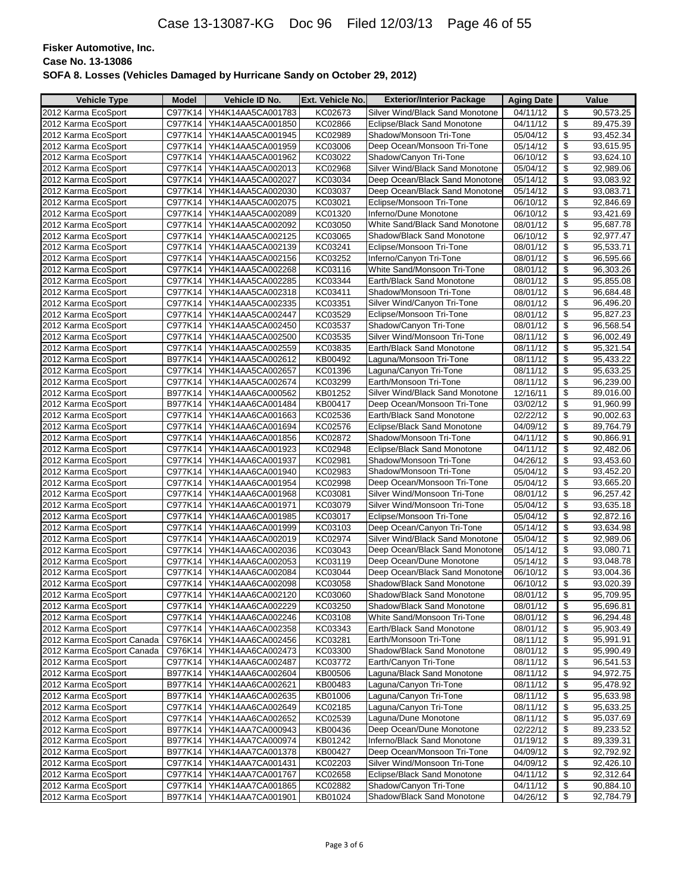| <b>Vehicle Type</b>                        | Model              | Vehicle ID No.                                           | Ext. Vehicle No.   | <b>Exterior/Interior Package</b>                       | <b>Aging Date</b>    |          | Value                  |
|--------------------------------------------|--------------------|----------------------------------------------------------|--------------------|--------------------------------------------------------|----------------------|----------|------------------------|
| 2012 Karma EcoSport                        | C977K14            | YH4K14AA5CA001783                                        | KC02673            | Silver Wind/Black Sand Monotone                        | 04/11/12             | \$       | 90,573.25              |
| 2012 Karma EcoSport                        | C977K14            | YH4K14AA5CA001850                                        | KC02866            | Eclipse/Black Sand Monotone                            | 04/11/12             | \$       | 89,475.39              |
| 2012 Karma EcoSport                        | C977K14            | YH4K14AA5CA001945                                        | KC02989            | Shadow/Monsoon Tri-Tone                                | 05/04/12             | \$       | 93,452.34              |
| 2012 Karma EcoSport                        | C977K14            | YH4K14AA5CA001959                                        | KC03006            | Deep Ocean/Monsoon Tri-Tone                            | 05/14/12             | \$       | 93,615.95              |
| 2012 Karma EcoSport                        | C977K14            | YH4K14AA5CA001962                                        | KC03022            | Shadow/Canyon Tri-Tone                                 | 06/10/12             | \$       | 93,624.10              |
| 2012 Karma EcoSport                        | C977K14            | YH4K14AA5CA002013                                        | KC02968            | Silver Wind/Black Sand Monotone                        | 05/04/12             | \$       | 92,989.06              |
| 2012 Karma EcoSport                        | C977K14            | YH4K14AA5CA002027                                        | KC03034            | Deep Ocean/Black Sand Monotone                         | 05/14/12             | \$       | 93,083.92              |
| 2012 Karma EcoSport                        | C977K14            | YH4K14AA5CA002030                                        | KC03037            | Deep Ocean/Black Sand Monotone                         | 05/14/12             | \$       | 93,083.71              |
| 2012 Karma EcoSport                        | C977K14            | YH4K14AA5CA002075                                        | KC03021            | Eclipse/Monsoon Tri-Tone                               | 06/10/12             | \$       | 92,846.69              |
| 2012 Karma EcoSport                        | C977K14            | YH4K14AA5CA002089                                        | KC01320            | Inferno/Dune Monotone                                  | 06/10/12             | \$       | 93,421.69              |
| 2012 Karma EcoSport                        | C977K14            | YH4K14AA5CA002092                                        | KC03050            | White Sand/Black Sand Monotone                         | 08/01/12             | \$       | 95,687.78              |
| 2012 Karma EcoSport                        | C977K14            | YH4K14AA5CA002125                                        | KC03065            | Shadow/Black Sand Monotone                             | 06/10/12             | \$       | 92,977.47              |
| 2012 Karma EcoSport                        | C977K14            | YH4K14AA5CA002139                                        | KC03241            | Eclipse/Monsoon Tri-Tone                               | 08/01/12             | \$       | 95,533.71              |
| 2012 Karma EcoSport                        | C977K14            | YH4K14AA5CA002156                                        | KC03252            | Inferno/Canyon Tri-Tone                                | 08/01/12             | \$       | 96,595.66              |
| 2012 Karma EcoSport                        | C977K14            | YH4K14AA5CA002268                                        | KC03116            | White Sand/Monsoon Tri-Tone                            | 08/01/12             | \$       | 96,303.26              |
| 2012 Karma EcoSport                        | C977K14            | YH4K14AA5CA002285                                        | KC03344            | Earth/Black Sand Monotone                              | 08/01/12             | \$       | 95,855.08              |
| 2012 Karma EcoSport                        | C977K14            | YH4K14AA5CA002318                                        | KC03411            | Shadow/Monsoon Tri-Tone                                | 08/01/12             | \$       | 96,684.48              |
| 2012 Karma EcoSport                        | C977K14            | YH4K14AA5CA002335                                        | KC03351            | Silver Wind/Canyon Tri-Tone                            | 08/01/12             | \$       | 96,496.20              |
| 2012 Karma EcoSport                        | C977K14            | YH4K14AA5CA002447                                        | KC03529            | Eclipse/Monsoon Tri-Tone                               | 08/01/12             | \$       | 95,827.23              |
| 2012 Karma EcoSport                        | C977K14            | YH4K14AA5CA002450                                        | KC03537            | Shadow/Canyon Tri-Tone                                 | 08/01/12             | \$       | 96,568.54              |
| 2012 Karma EcoSport                        | C977K14            | YH4K14AA5CA002500                                        | KC03535            | Silver Wind/Monsoon Tri-Tone                           | 08/11/12             | \$       | 96,002.49              |
| 2012 Karma EcoSport                        | C977K14            | YH4K14AA5CA002559                                        | KC03835            | Earth/Black Sand Monotone                              | 08/11/12             | \$       | 95,321.54              |
| 2012 Karma EcoSport                        | B977K14            | YH4K14AA5CA002612                                        | KB00492            | Laguna/Monsoon Tri-Tone                                | 08/11/12             | \$       | 95,433.22              |
| 2012 Karma EcoSport                        | C977K14            | YH4K14AA5CA002657                                        | KC01396            | Laguna/Canyon Tri-Tone                                 | 08/11/12             | \$       | 95,633.25              |
| 2012 Karma EcoSport                        | C977K14            | YH4K14AA5CA002674                                        | KC03299            | Earth/Monsoon Tri-Tone                                 | 08/11/12             | \$       | 96,239.00              |
| 2012 Karma EcoSport                        | B977K14            | YH4K14AA6CA000562                                        | KB01252            | Silver Wind/Black Sand Monotone                        | 12/16/11             | \$       | 89,016.00              |
| 2012 Karma EcoSport                        | B977K14            | YH4K14AA6CA001484                                        | KB00417            | Deep Ocean/Monsoon Tri-Tone                            | 03/02/12             | \$       | 91,960.99              |
| 2012 Karma EcoSport                        | C977K14            | YH4K14AA6CA001663                                        | KC02536            | Earth/Black Sand Monotone                              | 02/22/12             | \$       | 90,002.63              |
| 2012 Karma EcoSport                        | C977K14            |                                                          | KC02576            | Eclipse/Black Sand Monotone                            | 04/09/12             | \$       | 89,764.79              |
|                                            |                    | YH4K14AA6CA001694                                        | KC02872            |                                                        |                      | \$       |                        |
| 2012 Karma EcoSport                        | C977K14<br>C977K14 | YH4K14AA6CA001856<br>YH4K14AA6CA001923                   | KC02948            | Shadow/Monsoon Tri-Tone<br>Eclipse/Black Sand Monotone | 04/11/12<br>04/11/12 | \$       | 90,866.91<br>92,482.06 |
| 2012 Karma EcoSport                        |                    |                                                          | KC02981            | Shadow/Monsoon Tri-Tone                                | 04/26/12             | \$       |                        |
| 2012 Karma EcoSport                        | C977K14            | YH4K14AA6CA001937                                        | KC02983            |                                                        | 05/04/12             | \$       | 93,453.60<br>93,452.20 |
| 2012 Karma EcoSport<br>2012 Karma EcoSport | C977K14<br>C977K14 | YH4K14AA6CA001940<br>YH4K14AA6CA001954                   | KC02998            | Shadow/Monsoon Tri-Tone<br>Deep Ocean/Monsoon Tri-Tone | 05/04/12             | \$       | 93,665.20              |
|                                            |                    |                                                          |                    | Silver Wind/Monsoon Tri-Tone                           |                      |          |                        |
| 2012 Karma EcoSport                        | C977K14<br>C977K14 | YH4K14AA6CA001968                                        | KC03081<br>KC03079 | Silver Wind/Monsoon Tri-Tone                           | 08/01/12<br>05/04/12 | \$<br>\$ | 96,257.42<br>93,635.18 |
| 2012 Karma EcoSport<br>2012 Karma EcoSport | C977K14            | YH4K14AA6CA001971<br>YH4K14AA6CA001985                   | KC03017            | Eclipse/Monsoon Tri-Tone                               | 05/04/12             | \$       | 92,872.16              |
| 2012 Karma EcoSport                        |                    |                                                          |                    | Deep Ocean/Canyon Tri-Tone                             | 05/14/12             | \$       |                        |
| 2012 Karma EcoSport                        | C977K14<br>C977K14 | YH4K14AA6CA001999<br>YH4K14AA6CA002019                   | KC03103<br>KC02974 | Silver Wind/Black Sand Monotone                        | 05/04/12             | \$       | 93,634.98<br>92,989.06 |
| 2012 Karma EcoSport                        | C977K14            | YH4K14AA6CA002036                                        | KC03043            | Deep Ocean/Black Sand Monotone                         | 05/14/12             | \$       | 93,080.71              |
| 2012 Karma EcoSport                        | C977K14            | YH4K14AA6CA002053                                        | KC03119            | Deep Ocean/Dune Monotone                               | 05/14/12             | \$       | 93,048.78              |
|                                            | C977K14            | YH4K14AA6CA002084                                        | KC03044            | Deep Ocean/Black Sand Monotone                         | 06/10/12             | \$       | 93,004.36              |
| 2012 Karma EcoSport                        | C977K14            |                                                          | KC03058            |                                                        | 06/10/12             | \$       | 93,020.39              |
| 2012 Karma EcoSport                        |                    | YH4K14AA6CA002098                                        |                    | Shadow/Black Sand Monotone                             | 08/01/12             | \$       |                        |
| 2012 Karma EcoSport                        |                    | C977K14   YH4K14AA6CA002120                              | KC03060            | Shadow/Black Sand Monotone                             |                      |          | 95,709.95              |
| 2012 Karma EcoSport                        |                    | C977K14   YH4K14AA6CA002229                              | KC03250            | Shadow/Black Sand Monotone                             | 08/01/12             | \$       | 95,696.81              |
| 2012 Karma EcoSport                        |                    | C977K14 YH4K14AA6CA002246                                | KC03108            | White Sand/Monsoon Tri-Tone                            | 08/01/12             | \$       | 96,294.48              |
| 2012 Karma EcoSport                        |                    | C977K14   YH4K14AA6CA002358<br>C976K14 YH4K14AA6CA002456 | KC03343            | Earth/Black Sand Monotone<br>Earth/Monsoon Tri-Tone    | 08/01/12<br>08/11/12 | \$       | 95,903.49              |
| 2012 Karma EcoSport Canada                 |                    |                                                          | KC03281            |                                                        |                      | \$       | 95,991.91              |
| 2012 Karma EcoSport Canada                 |                    | C976K14 YH4K14AA6CA002473                                | KC03300            | Shadow/Black Sand Monotone                             | 08/01/12             | \$       | 95,990.49              |
| 2012 Karma EcoSport                        |                    | C977K14   YH4K14AA6CA002487                              | KC03772            | Earth/Canyon Tri-Tone                                  | 08/11/12             | \$       | 96,541.53              |
| 2012 Karma EcoSport                        |                    | B977K14 YH4K14AA6CA002604                                | KB00506            | Laguna/Black Sand Monotone                             | 08/11/12             | \$       | 94,972.75              |
| 2012 Karma EcoSport                        | B977K14            | YH4K14AA6CA002621                                        | KB00483            | Laguna/Canyon Tri-Tone                                 | 08/11/12             | \$       | 95,478.92              |
| 2012 Karma EcoSport                        | B977K14            | YH4K14AA6CA002635                                        | KB01006            | Laguna/Canyon Tri-Tone                                 | 08/11/12             | \$       | 95,633.98              |
| 2012 Karma EcoSport                        | C977K14            | YH4K14AA6CA002649                                        | KC02185            | Laguna/Canyon Tri-Tone                                 | 08/11/12             | \$       | 95,633.25              |
| 2012 Karma EcoSport                        | C977K14            | YH4K14AA6CA002652                                        | KC02539            | Laguna/Dune Monotone                                   | 08/11/12             | \$       | 95,037.69              |
| 2012 Karma EcoSport                        | B977K14            | YH4K14AA7CA000943                                        | KB00436            | Deep Ocean/Dune Monotone                               | 02/22/12             | \$       | 89,233.52              |
| 2012 Karma EcoSport                        |                    | B977K14   YH4K14AA7CA000974                              | KB01242            | Inferno/Black Sand Monotone                            | 01/19/12             | \$       | 89,339.31              |
| 2012 Karma EcoSport                        | B977K14            | YH4K14AA7CA001378                                        | KB00427            | Deep Ocean/Monsoon Tri-Tone                            | 04/09/12             | \$       | 92,792.92              |
| 2012 Karma EcoSport                        | C977K14            | YH4K14AA7CA001431                                        | KC02203            | Silver Wind/Monsoon Tri-Tone                           | 04/09/12             | \$       | 92,426.10              |
| 2012 Karma EcoSport                        |                    | C977K14   YH4K14AA7CA001767                              | KC02658            | Eclipse/Black Sand Monotone                            | 04/11/12             | \$       | 92,312.64              |
| 2012 Karma EcoSport                        | C977K14            | YH4K14AA7CA001865                                        | KC02882            | Shadow/Canyon Tri-Tone                                 | 04/11/12             | \$       | 90,884.10              |
| 2012 Karma EcoSport                        | B977K14            | YH4K14AA7CA001901                                        | KB01024            | Shadow/Black Sand Monotone                             | 04/26/12             | \$       | 92,784.79              |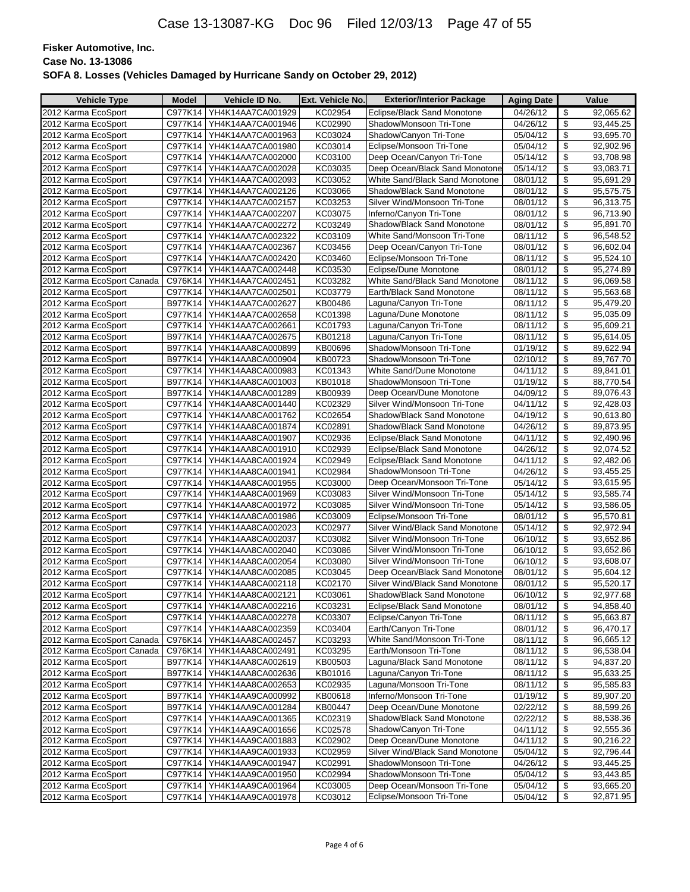| <b>Vehicle Type</b>        | <b>Model</b>       | Vehicle ID No.                         | Ext. Vehicle No.   | <b>Exterior/Interior Package</b>                                | <b>Aging Date</b>    |                                  | Value                  |
|----------------------------|--------------------|----------------------------------------|--------------------|-----------------------------------------------------------------|----------------------|----------------------------------|------------------------|
| 2012 Karma EcoSport        | C977K14            | YH4K14AA7CA001929                      | KC02954            | Eclipse/Black Sand Monotone                                     | 04/26/12             | \$                               | 92.065.62              |
| 2012 Karma EcoSport        | C977K14            | YH4K14AA7CA001946                      | KC02990            | Shadow/Monsoon Tri-Tone                                         | 04/26/12             | \$                               | 93,445.25              |
| 2012 Karma EcoSport        | C977K14            | YH4K14AA7CA001963                      | KC03024            | Shadow/Canyon Tri-Tone                                          | 05/04/12             | \$                               | 93,695.70              |
| 2012 Karma EcoSport        | C977K14            | YH4K14AA7CA001980                      | KC03014            | Eclipse/Monsoon Tri-Tone                                        | 05/04/12             | \$                               | 92,902.96              |
| 2012 Karma EcoSport        | C977K14            | YH4K14AA7CA002000                      | KC03100            | Deep Ocean/Canyon Tri-Tone                                      | 05/14/12             | $\overline{\mathcal{S}}$         | 93,708.98              |
| 2012 Karma EcoSport        | C977K14            | YH4K14AA7CA002028                      | KC03035            | Deep Ocean/Black Sand Monotone                                  | 05/14/12             | \$                               | 93,083.71              |
| 2012 Karma EcoSport        | C977K14            | YH4K14AA7CA002093                      | KC03052            | White Sand/Black Sand Monotone                                  | 08/01/12             | $\overline{\$}$                  | 95,691.29              |
| 2012 Karma EcoSport        | C977K14            | YH4K14AA7CA002126                      | KC03066            | Shadow/Black Sand Monotone                                      | 08/01/12             | \$                               | 95,575.75              |
| 2012 Karma EcoSport        | C977K14            | YH4K14AA7CA002157                      | KC03253            | Silver Wind/Monsoon Tri-Tone                                    | 08/01/12             | \$                               | 96,313.75              |
| 2012 Karma EcoSport        | C977K14            | YH4K14AA7CA002207                      | KC03075            | Inferno/Canyon Tri-Tone                                         | 08/01/12             | \$                               | 96,713.90              |
| 2012 Karma EcoSport        | C977K14            | YH4K14AA7CA002272                      | KC03249            | Shadow/Black Sand Monotone                                      | 08/01/12             | $\overline{\mathcal{S}}$         | 95,891.70              |
| 2012 Karma EcoSport        | C977K14            | YH4K14AA7CA002322                      | KC03109            | White Sand/Monsoon Tri-Tone                                     | 08/11/12             | \$                               | 96,548.52              |
| 2012 Karma EcoSport        | C977K14            | YH4K14AA7CA002367                      | KC03456            | Deep Ocean/Canyon Tri-Tone                                      | 08/01/12             | \$                               | 96,602.04              |
| 2012 Karma EcoSport        | C977K14            | YH4K14AA7CA002420                      | KC03460            | Eclipse/Monsoon Tri-Tone                                        | 08/11/12             | $\overline{\mathcal{S}}$         | 95,524.10              |
| 2012 Karma EcoSport        | C977K14            | YH4K14AA7CA002448                      | KC03530            | Eclipse/Dune Monotone                                           | 08/01/12             | $\overline{\boldsymbol{\theta}}$ | 95,274.89              |
| 2012 Karma EcoSport Canada | C976K14            | YH4K14AA7CA002451                      | KC03282            | White Sand/Black Sand Monotone                                  | 08/11/12             | \$                               | 96,069.58              |
| 2012 Karma EcoSport        | C977K14            | YH4K14AA7CA002501                      | KC03779            | Earth/Black Sand Monotone                                       | 08/11/12             | \$                               | 95,563.68              |
| 2012 Karma EcoSport        | B977K14            | YH4K14AA7CA002627                      | KB00486            | Laguna/Canyon Tri-Tone                                          | 08/11/12             | $\overline{\boldsymbol{\theta}}$ | 95,479.20              |
| 2012 Karma EcoSport        | C977K14            | YH4K14AA7CA002658                      | KC01398            | Laguna/Dune Monotone                                            | 08/11/12             | \$                               | 95,035.09              |
| 2012 Karma EcoSport        | C977K14            | YH4K14AA7CA002661                      | KC01793            | Laguna/Canyon Tri-Tone                                          | 08/11/12             | \$                               | 95,609.21              |
| 2012 Karma EcoSport        | B977K14            | YH4K14AA7CA002675                      | KB01218            | Laguna/Canyon Tri-Tone                                          | 08/11/12             | $\boldsymbol{\theta}$            | 95,614.05              |
| 2012 Karma EcoSport        | B977K14            | YH4K14AA8CA000899                      | KB00696            | Shadow/Monsoon Tri-Tone                                         | 01/19/12             | \$                               | 89,622.94              |
| 2012 Karma EcoSport        | B977K14            | YH4K14AA8CA000904                      | KB00723            | Shadow/Monsoon Tri-Tone                                         | 02/10/12             | \$                               | 89,767.70              |
| 2012 Karma EcoSport        | C977K14            | YH4K14AA8CA000983                      | KC01343            | White Sand/Dune Monotone                                        | 04/11/12             | $\overline{\boldsymbol{\theta}}$ | 89,841.01              |
| 2012 Karma EcoSport        | B977K14            | YH4K14AA8CA001003                      | KB01018            | Shadow/Monsoon Tri-Tone                                         | 01/19/12             | $\boldsymbol{\theta}$            | 88,770.54              |
| 2012 Karma EcoSport        | B977K14            | YH4K14AA8CA001289                      | KB00939            | Deep Ocean/Dune Monotone                                        | 04/09/12             | \$                               | 89,076.43              |
| 2012 Karma EcoSport        | C977K14            | YH4K14AA8CA001440                      | KC02329            | Silver Wind/Monsoon Tri-Tone                                    | 04/11/12             | $\boldsymbol{\theta}$            | 92,428.03              |
| 2012 Karma EcoSport        | C977K14            | YH4K14AA8CA001762                      | KC02654            | Shadow/Black Sand Monotone                                      | 04/19/12             | \$                               | 90,613.80              |
| 2012 Karma EcoSport        | C977K14            | YH4K14AA8CA001874                      | KC02891            | Shadow/Black Sand Monotone                                      | 04/26/12             | \$                               | 89,873.95              |
|                            |                    |                                        | KC02936            |                                                                 |                      | $\overline{\mathcal{S}}$         |                        |
| 2012 Karma EcoSport        | C977K14            | YH4K14AA8CA001907                      |                    | Eclipse/Black Sand Monotone                                     | 04/11/12             | \$                               | 92,490.96<br>92,074.52 |
| 2012 Karma EcoSport        | C977K14            | YH4K14AA8CA001910                      | KC02939<br>KC02949 | Eclipse/Black Sand Monotone                                     | 04/26/12<br>04/11/12 | \$                               |                        |
| 2012 Karma EcoSport        | C977K14            | YH4K14AA8CA001924                      |                    | Eclipse/Black Sand Monotone                                     |                      |                                  | 92,482.06              |
| 2012 Karma EcoSport        | C977K14<br>C977K14 | YH4K14AA8CA001941<br>YH4K14AA8CA001955 | KC02984<br>KC03000 | Shadow/Monsoon Tri-Tone<br>Deep Ocean/Monsoon Tri-Tone          | 04/26/12<br>05/14/12 | \$<br>\$                         | 93,455.25              |
| 2012 Karma EcoSport        |                    |                                        |                    |                                                                 |                      | \$                               | 93,615.95              |
| 2012 Karma EcoSport        | C977K14            | YH4K14AA8CA001969                      | KC03083            | Silver Wind/Monsoon Tri-Tone<br>Silver Wind/Monsoon Tri-Tone    | 05/14/12             | $\overline{\mathcal{S}}$         | 93,585.74              |
| 2012 Karma EcoSport        | C977K14<br>C977K14 | YH4K14AA8CA001972<br>YH4K14AA8CA001986 | KC03085<br>KC03009 |                                                                 | 05/14/12<br>08/01/12 | \$                               | 93,586.05<br>95,570.81 |
| 2012 Karma EcoSport        |                    |                                        |                    | Eclipse/Monsoon Tri-Tone                                        |                      | \$                               |                        |
| 2012 Karma EcoSport        | C977K14            | YH4K14AA8CA002023                      | KC02977            | Silver Wind/Black Sand Monotone<br>Silver Wind/Monsoon Tri-Tone | 05/14/12             | $\overline{\$}$                  | 92,972.94              |
| 2012 Karma EcoSport        | C977K14            | YH4K14AA8CA002037                      | KC03082            |                                                                 | 06/10/12             |                                  | 93,652.86              |
| 2012 Karma EcoSport        | C977K14            | YH4K14AA8CA002040                      | KC03086            | Silver Wind/Monsoon Tri-Tone                                    | 06/10/12             | \$                               | 93,652.86              |
| 2012 Karma EcoSport        | C977K14            | YH4K14AA8CA002054                      | KC03080            | Silver Wind/Monsoon Tri-Tone                                    | 06/10/12             | \$                               | 93,608.07              |
| 2012 Karma EcoSport        | C977K14            | YH4K14AA8CA002085                      | KC03045            | Deep Ocean/Black Sand Monotone                                  | 08/01/12             | \$                               | 95,604.12              |
| 2012 Karma EcoSport        | C977K14            | YH4K14AA8CA002118                      | KC02170            | Silver Wind/Black Sand Monotone                                 | 08/01/12             | \$                               | 95,520.17              |
| 2012 Karma EcoSport        |                    | C977K14   YH4K14AA8CA002121            | KC03061            | Shadow/Black Sand Monotone                                      | 06/10/12             | \$                               | 92,977.68              |
| 2012 Karma EcoSport        |                    | C977K14   YH4K14AA8CA002216            | KC03231            | Eclipse/Black Sand Monotone                                     | 08/01/12             | \$                               | 94,858.40              |
| 2012 Karma EcoSport        |                    | C977K14 YH4K14AA8CA002278              | KC03307            | Eclipse/Canyon Tri-Tone                                         | 08/11/12             | \$                               | 95,663.87              |
| 2012 Karma EcoSport        |                    | C977K14   YH4K14AA8CA002359            | KC03404            | Earth/Canyon Tri-Tone                                           | 08/01/12             | \$                               | 96,470.17              |
| 2012 Karma EcoSport Canada |                    | C976K14 YH4K14AA8CA002457              | KC03293            | White Sand/Monsoon Tri-Tone                                     | 08/11/12             | \$                               | 96,665.12              |
| 2012 Karma EcoSport Canada |                    | C976K14 YH4K14AA8CA002491              | KC03295            | Earth/Monsoon Tri-Tone                                          | 08/11/12             | \$                               | 96,538.04              |
| 2012 Karma EcoSport        |                    | B977K14   YH4K14AA8CA002619            | KB00503            | Laguna/Black Sand Monotone                                      | 08/11/12             | \$                               | 94,837.20              |
| 2012 Karma EcoSport        |                    | B977K14   YH4K14AA8CA002636            | KB01016            | Laguna/Canyon Tri-Tone                                          | 08/11/12             | $\overline{\mathcal{S}}$         | 95,633.25              |
| 2012 Karma EcoSport        | C977K14            | YH4K14AA8CA002653                      | KC02935            | Laguna/Monsoon Tri-Tone                                         | 08/11/12             | \$                               | 95,585.83              |
| 2012 Karma EcoSport        | B977K14            | YH4K14AA9CA000992                      | KB00618            | Inferno/Monsoon Tri-Tone                                        | 01/19/12             | \$                               | 89,907.20              |
| 2012 Karma EcoSport        | B977K14            | YH4K14AA9CA001284                      | KB00447            | Deep Ocean/Dune Monotone                                        | 02/22/12             | $\boldsymbol{\theta}$            | 88,599.26              |
| 2012 Karma EcoSport        |                    | C977K14 YH4K14AA9CA001365              | KC02319            | Shadow/Black Sand Monotone                                      | 02/22/12             | \$                               | 88,538.36              |
| 2012 Karma EcoSport        |                    | C977K14   YH4K14AA9CA001656            | KC02578            | Shadow/Canyon Tri-Tone                                          | 04/11/12             | \$                               | 92,555.36              |
| 2012 Karma EcoSport        |                    | C977K14   YH4K14AA9CA001883            | KC02902            | Deep Ocean/Dune Monotone                                        | 04/11/12             | $\boldsymbol{\theta}$            | 90,216.22              |
| 2012 Karma EcoSport        |                    | C977K14 YH4K14AA9CA001933              | KC02959            | Silver Wind/Black Sand Monotone                                 | 05/04/12             | \$                               | 92,796.44              |
| 2012 Karma EcoSport        |                    | C977K14   YH4K14AA9CA001947            | KC02991            | Shadow/Monsoon Tri-Tone                                         | 04/26/12             | \$                               | 93,445.25              |
| 2012 Karma EcoSport        |                    | C977K14   YH4K14AA9CA001950            | KC02994            | Shadow/Monsoon Tri-Tone                                         | 05/04/12             | \$                               | 93,443.85              |
| 2012 Karma EcoSport        | C977K14            | YH4K14AA9CA001964                      | KC03005            | Deep Ocean/Monsoon Tri-Tone                                     | 05/04/12             | \$                               | 93,665.20              |
| 2012 Karma EcoSport        |                    | C977K14 YH4K14AA9CA001978              | KC03012            | Eclipse/Monsoon Tri-Tone                                        | 05/04/12             | \$                               | 92,871.95              |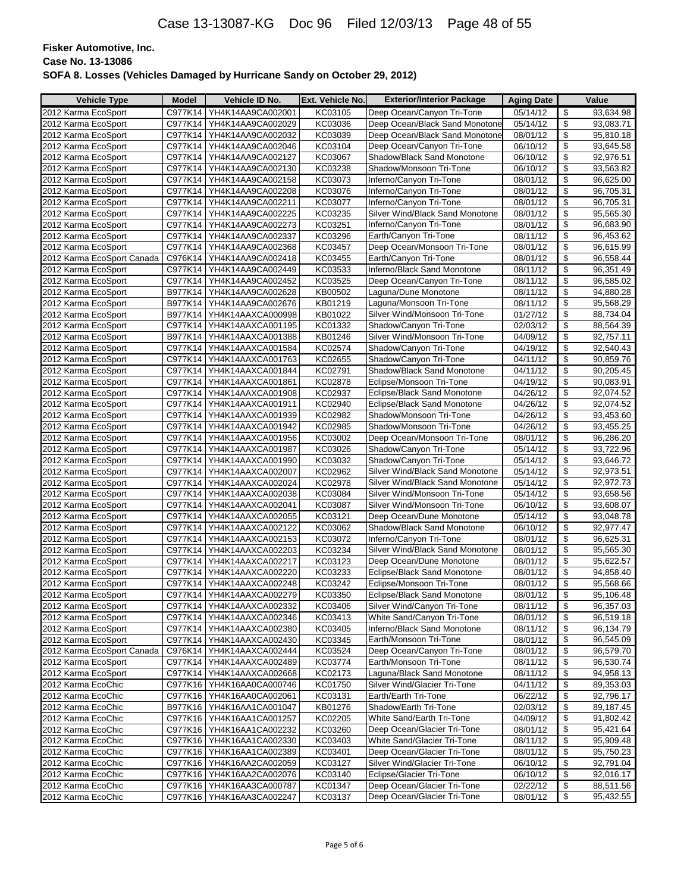| <b>Vehicle Type</b>        | <b>Model</b> | Vehicle ID No.              | Ext. Vehicle No. | <b>Exterior/Interior Package</b> | <b>Aging Date</b> |                                  | Value     |
|----------------------------|--------------|-----------------------------|------------------|----------------------------------|-------------------|----------------------------------|-----------|
| 2012 Karma EcoSport        | C977K14      | YH4K14AA9CA002001           | KC03105          | Deep Ocean/Canyon Tri-Tone       | 05/14/12          | \$                               | 93,634.98 |
| 2012 Karma EcoSport        | C977K14      | YH4K14AA9CA002029           | KC03036          | Deep Ocean/Black Sand Monotone   | 05/14/12          | \$                               | 93,083.71 |
| 2012 Karma EcoSport        | C977K14      | YH4K14AA9CA002032           | KC03039          | Deep Ocean/Black Sand Monotone   | 08/01/12          | \$                               | 95,810.18 |
| 2012 Karma EcoSport        | C977K14      | YH4K14AA9CA002046           | KC03104          | Deep Ocean/Canyon Tri-Tone       | 06/10/12          | \$                               | 93,645.58 |
| 2012 Karma EcoSport        | C977K14      | YH4K14AA9CA002127           | KC03067          | Shadow/Black Sand Monotone       | 06/10/12          | \$                               | 92,976.51 |
| 2012 Karma EcoSport        | C977K14      | YH4K14AA9CA002130           | KC03238          | Shadow/Monsoon Tri-Tone          | 06/10/12          | \$                               | 93,563.82 |
| 2012 Karma EcoSport        | C977K14      | YH4K14AA9CA002158           | KC03073          | Inferno/Canyon Tri-Tone          | 08/01/12          | $\overline{\$}$                  | 96,625.00 |
| 2012 Karma EcoSport        | C977K14      | YH4K14AA9CA002208           | KC03076          | Inferno/Canyon Tri-Tone          | 08/01/12          | \$                               | 96,705.31 |
| 2012 Karma EcoSport        | C977K14      | YH4K14AA9CA002211           | KC03077          | Inferno/Canyon Tri-Tone          | 08/01/12          | $\overline{\boldsymbol{\theta}}$ | 96,705.31 |
| 2012 Karma EcoSport        | C977K14      | YH4K14AA9CA002225           | KC03235          | Silver Wind/Black Sand Monotone  | 08/01/12          | $\frac{1}{2}$                    | 95,565.30 |
| 2012 Karma EcoSport        | C977K14      | YH4K14AA9CA002273           | KC03251          | Inferno/Canyon Tri-Tone          | 08/01/12          | $\boldsymbol{\theta}$            | 96,683.90 |
| 2012 Karma EcoSport        | C977K14      | YH4K14AA9CA002337           | KC03296          | Earth/Canyon Tri-Tone            | 08/11/12          | \$                               | 96,453.62 |
| 2012 Karma EcoSport        | C977K14      | YH4K14AA9CA002368           | KC03457          | Deep Ocean/Monsoon Tri-Tone      | 08/01/12          | $\overline{\$}$                  | 96,615.99 |
| 2012 Karma EcoSport Canada | C976K14      | YH4K14AA9CA002418           | KC03455          | Earth/Canyon Tri-Tone            | 08/01/12          | $\boldsymbol{\theta}$            | 96,558.44 |
| 2012 Karma EcoSport        | C977K14      | YH4K14AA9CA002449           | KC03533          | Inferno/Black Sand Monotone      | 08/11/12          | \$                               | 96,351.49 |
| 2012 Karma EcoSport        | C977K14      | YH4K14AA9CA002452           | KC03525          | Deep Ocean/Canyon Tri-Tone       | 08/11/12          | $\overline{\$}$                  | 96,585.02 |
| 2012 Karma EcoSport        | B977K14      | YH4K14AA9CA002628           | KB00502          | Laguna/Dune Monotone             | 08/11/12          | \$                               | 94,880.28 |
| 2012 Karma EcoSport        | B977K14      | YH4K14AA9CA002676           | KB01219          | Laguna/Monsoon Tri-Tone          | 08/11/12          | \$                               | 95,568.29 |
| 2012 Karma EcoSport        | B977K14      | YH4K14AAXCA000998           | KB01022          | Silver Wind/Monsoon Tri-Tone     | 01/27/12          | \$                               | 88,734.04 |
| 2012 Karma EcoSport        | C977K14      | YH4K14AAXCA001195           | KC01332          | Shadow/Canyon Tri-Tone           | 02/03/12          | $\overline{\mathcal{S}}$         | 88,564.39 |
| 2012 Karma EcoSport        | B977K14      | YH4K14AAXCA001388           | KB01246          | Silver Wind/Monsoon Tri-Tone     | 04/09/12          | \$                               | 92,757.11 |
| 2012 Karma EcoSport        | C977K14      | YH4K14AAXCA001584           | KC02574          | Shadow/Canyon Tri-Tone           | 04/19/12          | \$                               | 92,540.43 |
| 2012 Karma EcoSport        | C977K14      | YH4K14AAXCA001763           | KC02655          | Shadow/Canyon Tri-Tone           | 04/11/12          | $\frac{1}{2}$                    | 90,859.76 |
| 2012 Karma EcoSport        | C977K14      | YH4K14AAXCA001844           | KC02791          | Shadow/Black Sand Monotone       | 04/11/12          | \$                               | 90,205.45 |
| 2012 Karma EcoSport        | C977K14      | YH4K14AAXCA001861           | KC02878          | Eclipse/Monsoon Tri-Tone         | 04/19/12          | \$                               | 90,083.91 |
| 2012 Karma EcoSport        | C977K14      | YH4K14AAXCA001908           | KC02937          | Eclipse/Black Sand Monotone      | 04/26/12          | \$                               | 92,074.52 |
| 2012 Karma EcoSport        | C977K14      | YH4K14AAXCA001911           | KC02940          | Eclipse/Black Sand Monotone      | 04/26/12          | $\overline{\mathcal{S}}$         | 92,074.52 |
| 2012 Karma EcoSport        | C977K14      | YH4K14AAXCA001939           | KC02982          | Shadow/Monsoon Tri-Tone          | 04/26/12          | \$                               | 93,453.60 |
| 2012 Karma EcoSport        | C977K14      | YH4K14AAXCA001942           | KC02985          | Shadow/Monsoon Tri-Tone          | 04/26/12          | \$                               | 93,455.25 |
| 2012 Karma EcoSport        | C977K14      | YH4K14AAXCA001956           | KC03002          | Deep Ocean/Monsoon Tri-Tone      | 08/01/12          | \$                               | 96,286.20 |
| 2012 Karma EcoSport        | C977K14      | YH4K14AAXCA001987           | KC03026          | Shadow/Canyon Tri-Tone           | 05/14/12          | \$                               | 93,722.96 |
| 2012 Karma EcoSport        | C977K14      | YH4K14AAXCA001990           | KC03032          | Shadow/Canyon Tri-Tone           | 05/14/12          | \$                               | 93,646.72 |
| 2012 Karma EcoSport        | C977K14      | YH4K14AAXCA002007           | KC02962          | Silver Wind/Black Sand Monotone  | 05/14/12          | \$                               | 92,973.51 |
| 2012 Karma EcoSport        | C977K14      | YH4K14AAXCA002024           | KC02978          | Silver Wind/Black Sand Monotone  | 05/14/12          | \$                               | 92,972.73 |
| 2012 Karma EcoSport        | C977K14      | YH4K14AAXCA002038           | KC03084          | Silver Wind/Monsoon Tri-Tone     | 05/14/12          | \$                               | 93,658.56 |
| 2012 Karma EcoSport        | C977K14      | YH4K14AAXCA002041           | KC03087          | Silver Wind/Monsoon Tri-Tone     | 06/10/12          | $\boldsymbol{\theta}$            | 93,608.07 |
| 2012 Karma EcoSport        | C977K14      | YH4K14AAXCA002055           | KC03121          | Deep Ocean/Dune Monotone         | 05/14/12          | \$                               | 93,048.78 |
| 2012 Karma EcoSport        | C977K14      | YH4K14AAXCA002122           | KC03062          | Shadow/Black Sand Monotone       | 06/10/12          | \$                               | 92,977.47 |
| 2012 Karma EcoSport        | C977K14      | YH4K14AAXCA002153           | KC03072          | Inferno/Canyon Tri-Tone          | 08/01/12          | $\boldsymbol{\theta}$            | 96,625.31 |
| 2012 Karma EcoSport        | C977K14      | YH4K14AAXCA002203           | KC03234          | Silver Wind/Black Sand Monotone  | 08/01/12          | \$                               | 95,565.30 |
| 2012 Karma EcoSport        | C977K14      | YH4K14AAXCA002217           | KC03123          | Deep Ocean/Dune Monotone         | 08/01/12          | \$                               | 95,622.57 |
| 2012 Karma EcoSport        | C977K14      | YH4K14AAXCA002220           | KC03233          | Eclipse/Black Sand Monotone      | 08/01/12          | $\overline{\mathcal{S}}$         | 94,858.40 |
| 2012 Karma EcoSport        | C977K14      | YH4K14AAXCA002248           | KC03242          | Eclipse/Monsoon Tri-Tone         | 08/01/12          | \$                               | 95,568.66 |
| 2012 Karma EcoSport        |              | C977K14 YH4K14AAXCA002279   | KC03350          | Eclipse/Black Sand Monotone      | 08/01/12          | \$                               | 95,106.48 |
| 2012 Karma EcoSport        |              | C977K14 YH4K14AAXCA002332   | KC03406          | Silver Wind/Canyon Tri-Tone      | 08/11/12          | \$                               | 96,357.03 |
| 2012 Karma EcoSport        |              | C977K14 YH4K14AAXCA002346   | KC03413          | White Sand/Canyon Tri-Tone       | 08/01/12          | \$                               | 96,519.18 |
| 2012 Karma EcoSport        |              | C977K14   YH4K14AAXCA002380 | KC03405          | Inferno/Black Sand Monotone      | 08/11/12          | \$                               | 96,134.79 |
| 2012 Karma EcoSport        |              | C977K14 YH4K14AAXCA002430   | KC03345          | Earth/Monsoon Tri-Tone           | 08/01/12          | $\boldsymbol{\theta}$            | 96,545.09 |
| 2012 Karma EcoSport Canada |              | C976K14 YH4K14AAXCA002444   | KC03524          | Deep Ocean/Canyon Tri-Tone       | 08/01/12          | \$                               | 96,579.70 |
| 2012 Karma EcoSport        |              | C977K14   YH4K14AAXCA002489 | KC03774          | Earth/Monsoon Tri-Tone           | 08/11/12          | \$                               | 96,530.74 |
| 2012 Karma EcoSport        |              | C977K14 YH4K14AAXCA002668   | KC02173          | Laguna/Black Sand Monotone       | 08/11/12          | \$                               | 94,958.13 |
| 2012 Karma EcoChic         |              | C977K16 YH4K16AA0CA000746   | KC01750          | Silver Wind/Glacier Tri-Tone     | 04/11/12          | \$                               | 89,353.03 |
| 2012 Karma EcoChic         |              | C977K16 YH4K16AA0CA002061   | KC03131          | Earth/Earth Tri-Tone             | 06/22/12          | \$                               | 92,796.17 |
| 2012 Karma EcoChic         |              | B977K16   YH4K16AA1CA001047 | KB01276          | Shadow/Earth Tri-Tone            | 02/03/12          | \$                               | 89,187.45 |
| 2012 Karma EcoChic         |              | C977K16 YH4K16AA1CA001257   | KC02205          | White Sand/Earth Tri-Tone        | 04/09/12          | \$                               | 91,802.42 |
| 2012 Karma EcoChic         |              | C977K16   YH4K16AA1CA002232 | KC03260          | Deep Ocean/Glacier Tri-Tone      | 08/01/12          | \$                               | 95,421.64 |
| 2012 Karma EcoChic         |              | C977K16 YH4K16AA1CA002330   | KC03403          | White Sand/Glacier Tri-Tone      | 08/11/12          | \$                               | 95,909.48 |
| 2012 Karma EcoChic         |              | C977K16 YH4K16AA1CA002389   | KC03401          | Deep Ocean/Glacier Tri-Tone      | 08/01/12          | \$                               | 95,750.23 |
| 2012 Karma EcoChic         |              | C977K16   YH4K16AA2CA002059 | KC03127          | Silver Wind/Glacier Tri-Tone     | 06/10/12          | \$                               | 92,791.04 |
| 2012 Karma EcoChic         |              | C977K16   YH4K16AA2CA002076 | KC03140          | Eclipse/Glacier Tri-Tone         | 06/10/12          | \$                               | 92,016.17 |
| 2012 Karma EcoChic         |              | C977K16 YH4K16AA3CA000787   | KC01347          | Deep Ocean/Glacier Tri-Tone      | 02/22/12          | \$                               | 88,511.56 |
| 2012 Karma EcoChic         |              | C977K16 YH4K16AA3CA002247   | KC03137          | Deep Ocean/Glacier Tri-Tone      | 08/01/12          | \$                               | 95,432.55 |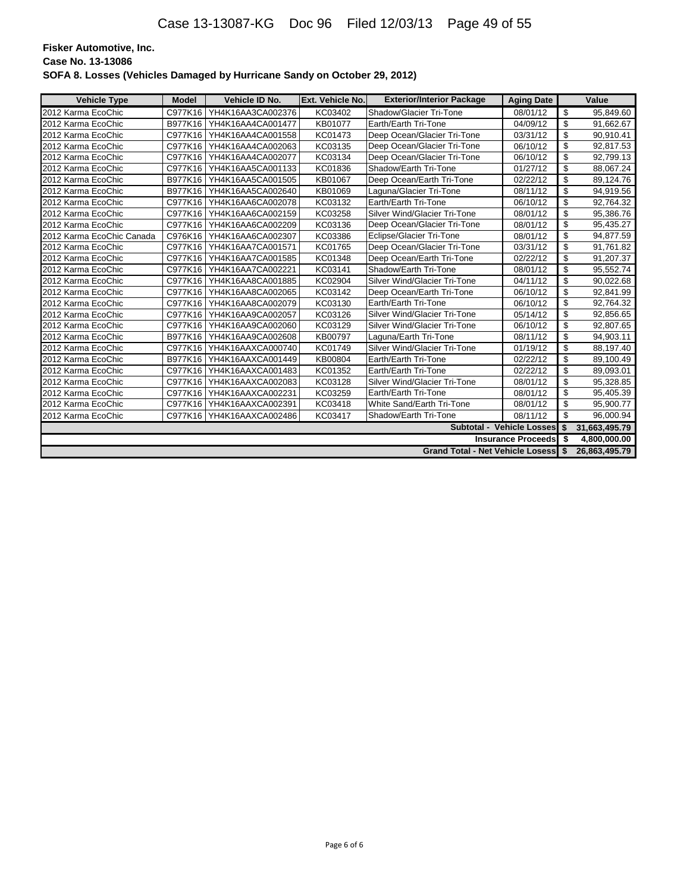| Fisker Automotive, Inc.                                                  |
|--------------------------------------------------------------------------|
| Case No. 13-13086                                                        |
| SOFA 8. Losses (Vehicles Damaged by Hurricane Sandy on October 29, 2012) |

| <b>Vehicle Type</b>                     | <b>Model</b> | Vehicle ID No.    | Ext. Vehicle No. | <b>Exterior/Interior Package</b> | <b>Aging Date</b> |                          | Value     |
|-----------------------------------------|--------------|-------------------|------------------|----------------------------------|-------------------|--------------------------|-----------|
| 2012 Karma EcoChic                      | C977K16      | YH4K16AA3CA002376 | KC03402          | Shadow/Glacier Tri-Tone          | 08/01/12          | \$                       | 95.849.60 |
| 2012 Karma EcoChic                      | B977K16      | YH4K16AA4CA001477 | KB01077          | Earth/Earth Tri-Tone             | 04/09/12          | \$                       | 91,662.67 |
| 2012 Karma EcoChic                      | C977K16      | YH4K16AA4CA001558 | KC01473          | Deep Ocean/Glacier Tri-Tone      | 03/31/12          | \$                       | 90,910.41 |
| 2012 Karma EcoChic                      | C977K16      | YH4K16AA4CA002063 | KC03135          | Deep Ocean/Glacier Tri-Tone      | 06/10/12          | \$                       | 92,817.53 |
| 2012 Karma EcoChic                      | C977K16      | YH4K16AA4CA002077 | KC03134          | Deep Ocean/Glacier Tri-Tone      | 06/10/12          | \$                       | 92,799.13 |
| 2012 Karma EcoChic                      | C977K16      | YH4K16AA5CA001133 | KC01836          | Shadow/Earth Tri-Tone            | 01/27/12          | \$                       | 88,067.24 |
| 2012 Karma EcoChic                      | B977K16      | YH4K16AA5CA001505 | KB01067          | Deep Ocean/Earth Tri-Tone        | 02/22/12          | \$                       | 89,124.76 |
| 2012 Karma EcoChic                      | B977K16      | YH4K16AA5CA002640 | KB01069          | Laguna/Glacier Tri-Tone          | 08/11/12          | \$                       | 94,919.56 |
| 2012 Karma EcoChic                      | C977K16      | YH4K16AA6CA002078 | KC03132          | Earth/Earth Tri-Tone             | 06/10/12          | \$                       | 92,764.32 |
| 2012 Karma EcoChic                      | C977K16      | YH4K16AA6CA002159 | KC03258          | Silver Wind/Glacier Tri-Tone     | 08/01/12          | \$                       | 95,386.76 |
| 2012 Karma EcoChic                      | C977K16      | YH4K16AA6CA002209 | KC03136          | Deep Ocean/Glacier Tri-Tone      | 08/01/12          | $\overline{\mathcal{S}}$ | 95,435.27 |
| 2012 Karma EcoChic Canada               | C976K16      | YH4K16AA6CA002307 | KC03386          | Eclipse/Glacier Tri-Tone         | 08/01/12          | \$                       | 94.877.59 |
| 2012 Karma EcoChic                      | C977K16      | YH4K16AA7CA001571 | KC01765          | Deep Ocean/Glacier Tri-Tone      | 03/31/12          | \$                       | 91,761.82 |
| 2012 Karma EcoChic                      | C977K16      | YH4K16AA7CA001585 | KC01348          | Deep Ocean/Earth Tri-Tone        | 02/22/12          | \$                       | 91,207.37 |
| 2012 Karma EcoChic                      | C977K16      | YH4K16AA7CA002221 | KC03141          | Shadow/Earth Tri-Tone            | 08/01/12          | \$                       | 95,552.74 |
| 2012 Karma EcoChic                      | C977K16      | YH4K16AA8CA001885 | KC02904          | Silver Wind/Glacier Tri-Tone     | 04/11/12          | \$                       | 90,022.68 |
| 2012 Karma EcoChic                      | C977K16      | YH4K16AA8CA002065 | KC03142          | Deep Ocean/Earth Tri-Tone        | 06/10/12          | \$                       | 92,841.99 |
| 2012 Karma EcoChic                      | C977K16      | YH4K16AA8CA002079 | KC03130          | Earth/Earth Tri-Tone             | 06/10/12          | \$                       | 92,764.32 |
| 2012 Karma EcoChic                      | C977K16      | YH4K16AA9CA002057 | KC03126          | Silver Wind/Glacier Tri-Tone     | 05/14/12          | \$                       | 92,856.65 |
| 2012 Karma EcoChic                      | C977K16      | YH4K16AA9CA002060 | KC03129          | Silver Wind/Glacier Tri-Tone     | 06/10/12          | \$                       | 92,807.65 |
| 2012 Karma EcoChic                      | B977K16      | YH4K16AA9CA002608 | KB00797          | Laguna/Earth Tri-Tone            | 08/11/12          | \$                       | 94,903.11 |
| 2012 Karma EcoChic                      | C977K16      | YH4K16AAXCA000740 | KC01749          | Silver Wind/Glacier Tri-Tone     | 01/19/12          | \$                       | 88,197.40 |
| 2012 Karma EcoChic                      | B977K16      | YH4K16AAXCA001449 | KB00804          | Earth/Earth Tri-Tone             | 02/22/12          | \$                       | 89,100.49 |
| 2012 Karma EcoChic                      | C977K16      | YH4K16AAXCA001483 | KC01352          | Earth/Earth Tri-Tone             | 02/22/12          | \$                       | 89,093.01 |
| 2012 Karma EcoChic                      | C977K16      | YH4K16AAXCA002083 | KC03128          | Silver Wind/Glacier Tri-Tone     | 08/01/12          | \$                       | 95,328.85 |
| 2012 Karma EcoChic                      | C977K16      | YH4K16AAXCA002231 | KC03259          | Earth/Earth Tri-Tone             | 08/01/12          | \$                       | 95,405.39 |
| 2012 Karma EcoChic                      | C977K16      | YH4K16AAXCA002391 | KC03418          | White Sand/Earth Tri-Tone        | 08/01/12          | \$                       | 95,900.77 |
| 2012 Karma EcoChic                      | C977K16      | YH4K16AAXCA002486 | KC03417          | Shadow/Earth Tri-Tone            | 08/11/12          | $\overline{\mathcal{S}}$ | 96,000.94 |
| Subtotal - Vehicle Losses               |              |                   |                  |                                  | \$                | 31,663,495.79            |           |
| <b>Insurance Proceeds</b>               |              |                   |                  |                                  | \$                | 4,800,000.00             |           |
| <b>Grand Total - Net Vehicle Losess</b> |              |                   |                  |                                  | \$                | 26.863.495.79            |           |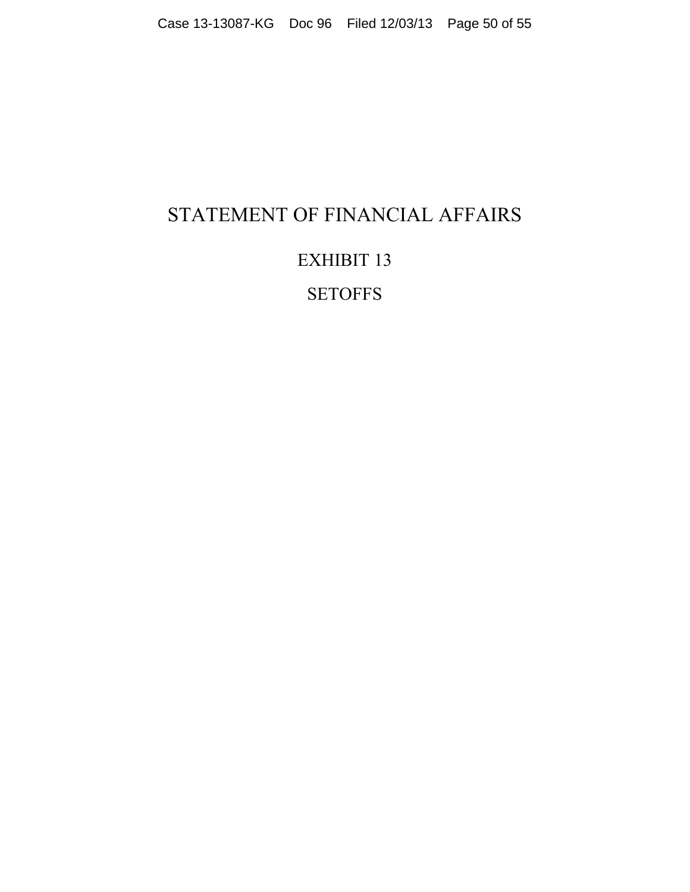# STATEMENT OF FINANCIAL AFFAIRS

# EXHIBIT 13

**SETOFFS**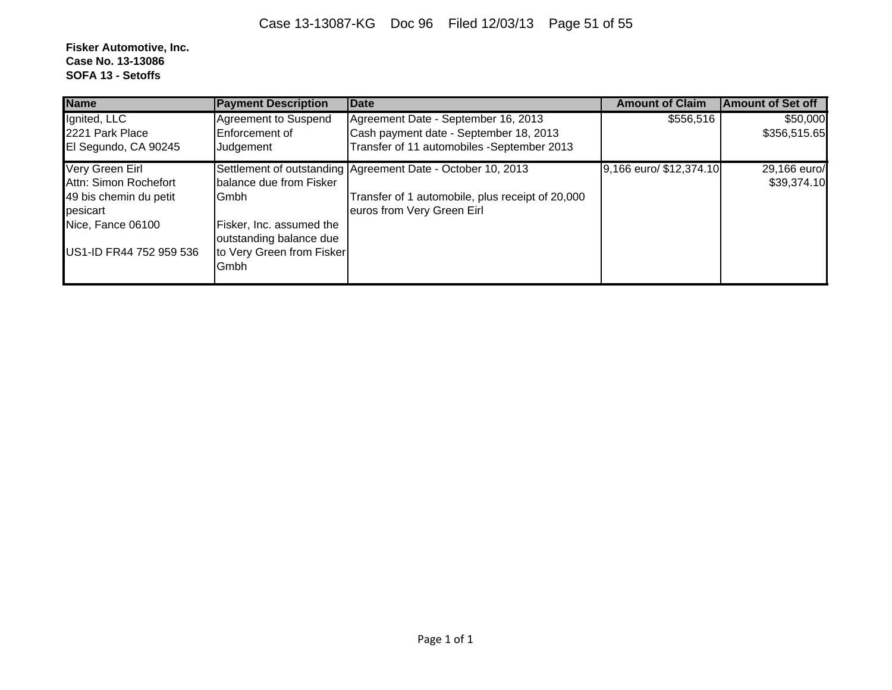**Fisker Automotive, Inc. Case No. 13-13086 SOFA 13 - Setoffs**

| <b>Name</b>             | <b>Payment Description</b> | Date                                                        | <b>Amount of Claim</b>  | <b>Amount of Set off</b> |
|-------------------------|----------------------------|-------------------------------------------------------------|-------------------------|--------------------------|
| Ignited, LLC            | Agreement to Suspend       | Agreement Date - September 16, 2013                         | \$556,516               | \$50,000                 |
| 2221 Park Place         | Enforcement of             | Cash payment date - September 18, 2013                      |                         | \$356,515.65             |
| El Segundo, CA 90245    | Judgement                  | Transfer of 11 automobiles -September 2013                  |                         |                          |
| Very Green Eirl         |                            | Settlement of outstanding Agreement Date - October 10, 2013 | 9,166 euro/ \$12,374.10 | 29,166 euro/             |
| Attn: Simon Rochefort   | balance due from Fisker    |                                                             |                         | \$39,374.10              |
| 49 bis chemin du petit  | Gmbh                       | Transfer of 1 automobile, plus receipt of 20,000            |                         |                          |
| pesicart                |                            | euros from Very Green Eirl                                  |                         |                          |
| Nice, Fance 06100       | Fisker, Inc. assumed the   |                                                             |                         |                          |
|                         | outstanding balance due    |                                                             |                         |                          |
| US1-ID FR44 752 959 536 | to Very Green from Fisker  |                                                             |                         |                          |
|                         | Gmbh                       |                                                             |                         |                          |
|                         |                            |                                                             |                         |                          |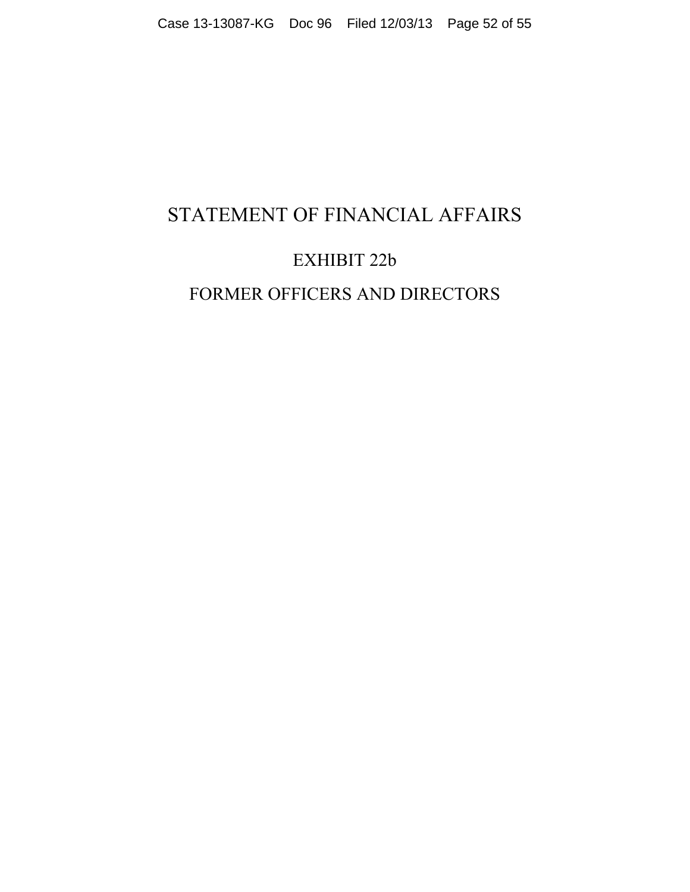## STATEMENT OF FINANCIAL AFFAIRS

## EXHIBIT 22b

## FORMER OFFICERS AND DIRECTORS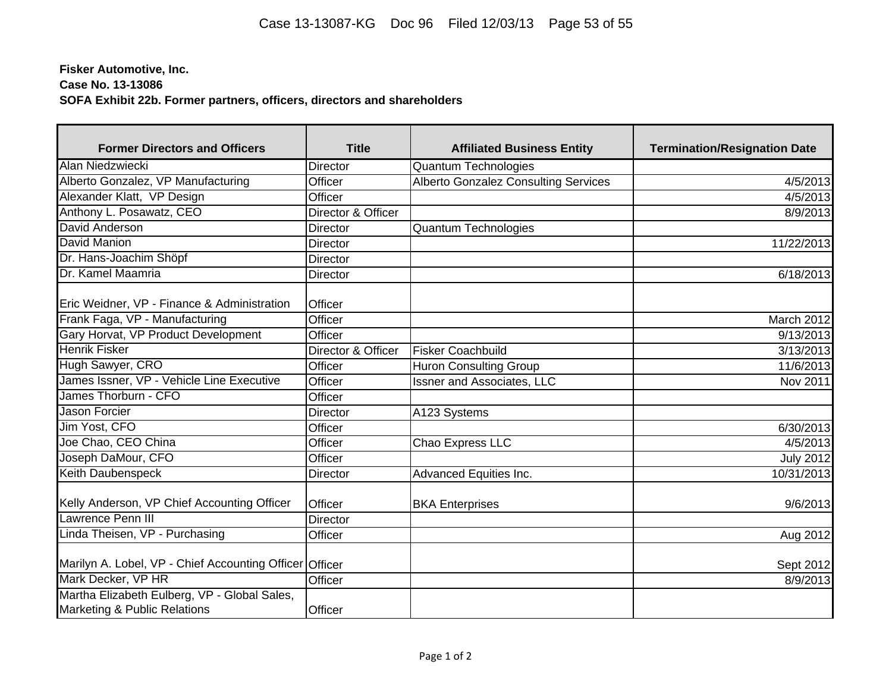## Case 13-13087-KG Doc 96 Filed 12/03/13 Page 53 of 55

## **Fisker Automotive, Inc. Case No. 13-13086 SOFA Exhibit 22b. Former partners, officers, directors and shareholders**

| <b>Former Directors and Officers</b>                                         | <b>Title</b>       | <b>Affiliated Business Entity</b>           | <b>Termination/Resignation Date</b> |
|------------------------------------------------------------------------------|--------------------|---------------------------------------------|-------------------------------------|
| <b>Alan Niedzwiecki</b>                                                      | <b>Director</b>    | Quantum Technologies                        |                                     |
| Alberto Gonzalez, VP Manufacturing                                           | Officer            | <b>Alberto Gonzalez Consulting Services</b> | 4/5/2013                            |
| Alexander Klatt, VP Design                                                   | Officer            |                                             | 4/5/2013                            |
| Anthony L. Posawatz, CEO                                                     | Director & Officer |                                             | 8/9/2013                            |
| David Anderson                                                               | <b>Director</b>    | Quantum Technologies                        |                                     |
| <b>David Manion</b>                                                          | <b>Director</b>    |                                             | 11/22/2013                          |
| Dr. Hans-Joachim Shöpf                                                       | <b>Director</b>    |                                             |                                     |
| Dr. Kamel Maamria                                                            | <b>Director</b>    |                                             | 6/18/2013                           |
| Eric Weidner, VP - Finance & Administration                                  | Officer            |                                             |                                     |
| Frank Faga, VP - Manufacturing                                               | Officer            |                                             | March 2012                          |
| Gary Horvat, VP Product Development                                          | Officer            |                                             | 9/13/2013                           |
| <b>Henrik Fisker</b>                                                         | Director & Officer | <b>Fisker Coachbuild</b>                    | 3/13/2013                           |
| Hugh Sawyer, CRO                                                             | Officer            | <b>Huron Consulting Group</b>               | 11/6/2013                           |
| James Issner, VP - Vehicle Line Executive                                    | Officer            | Issner and Associates, LLC                  | Nov 2011                            |
| James Thorburn - CFO                                                         | Officer            |                                             |                                     |
| Jason Forcier                                                                | <b>Director</b>    | A123 Systems                                |                                     |
| Jim Yost, CFO                                                                | Officer            |                                             | 6/30/2013                           |
| Joe Chao, CEO China                                                          | Officer            | Chao Express LLC                            | 4/5/2013                            |
| Joseph DaMour, CFO                                                           | Officer            |                                             | <b>July 2012</b>                    |
| Keith Daubenspeck                                                            | <b>Director</b>    | <b>Advanced Equities Inc.</b>               | 10/31/2013                          |
| Kelly Anderson, VP Chief Accounting Officer                                  | Officer            | <b>BKA Enterprises</b>                      | 9/6/2013                            |
| Lawrence Penn III                                                            | <b>Director</b>    |                                             |                                     |
| Linda Theisen, VP - Purchasing                                               | Officer            |                                             | Aug 2012                            |
| Marilyn A. Lobel, VP - Chief Accounting Officer Officer                      |                    |                                             | Sept 2012                           |
| Mark Decker, VP HR                                                           | Officer            |                                             | 8/9/2013                            |
| Martha Elizabeth Eulberg, VP - Global Sales,<br>Marketing & Public Relations | Officer            |                                             |                                     |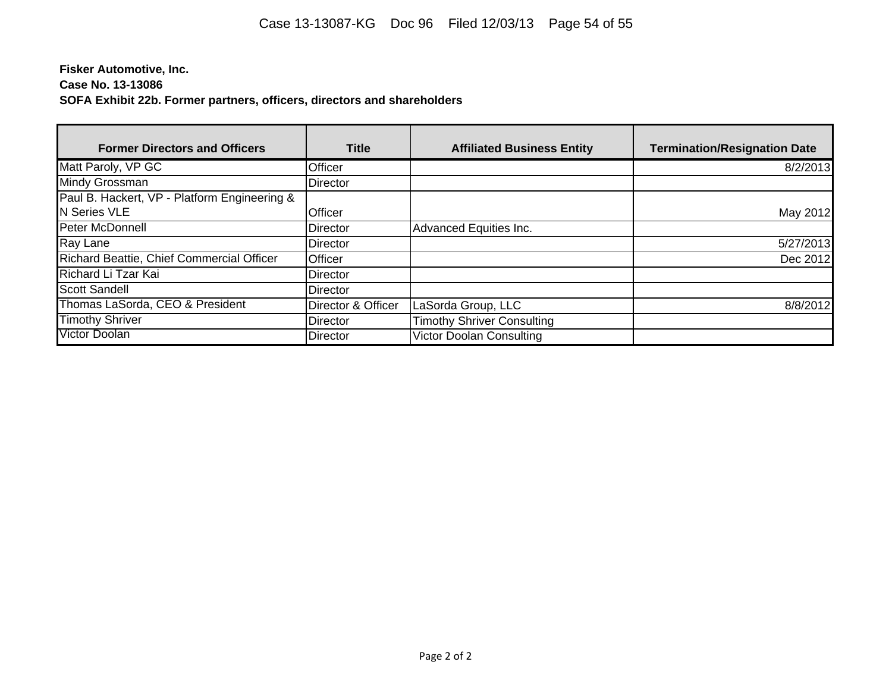## Case 13-13087-KG Doc 96 Filed 12/03/13 Page 54 of 55

## **Fisker Automotive, Inc. Case No. 13-13086 SOFA Exhibit 22b. Former partners, officers, directors and shareholders**

| <b>Former Directors and Officers</b>         | <b>Title</b>       | <b>Affiliated Business Entity</b> | <b>Termination/Resignation Date</b> |
|----------------------------------------------|--------------------|-----------------------------------|-------------------------------------|
| Matt Paroly, VP GC                           | Officer            |                                   | 8/2/2013                            |
| Mindy Grossman                               | Director           |                                   |                                     |
| Paul B. Hackert, VP - Platform Engineering & |                    |                                   |                                     |
| N Series VLE                                 | Officer            |                                   | May 2012                            |
| Peter McDonnell                              | Director           | Advanced Equities Inc.            |                                     |
| Ray Lane                                     | <b>Director</b>    |                                   | 5/27/2013                           |
| Richard Beattie, Chief Commercial Officer    | Officer            |                                   | Dec 2012                            |
| Richard Li Tzar Kai                          | Director           |                                   |                                     |
| <b>Scott Sandell</b>                         | Director           |                                   |                                     |
| Thomas LaSorda, CEO & President              | Director & Officer | LaSorda Group, LLC                | 8/8/2012                            |
| <b>Timothy Shriver</b>                       | Director           | <b>Timothy Shriver Consulting</b> |                                     |
| Victor Doolan                                | Director           | <b>Victor Doolan Consulting</b>   |                                     |